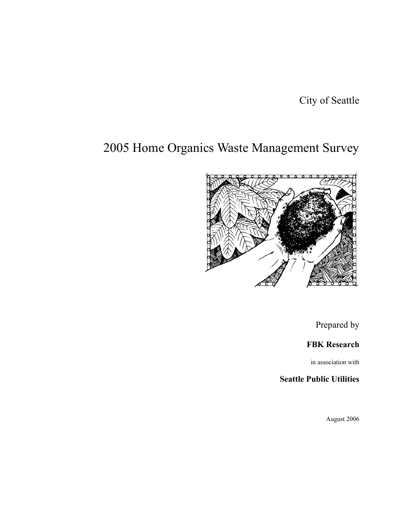City of Seattle

# 2005 Home Organics Waste Management Survey



Prepared by

# **FBK Research**

in association with

# **Seattle Public Utilities**

August 2006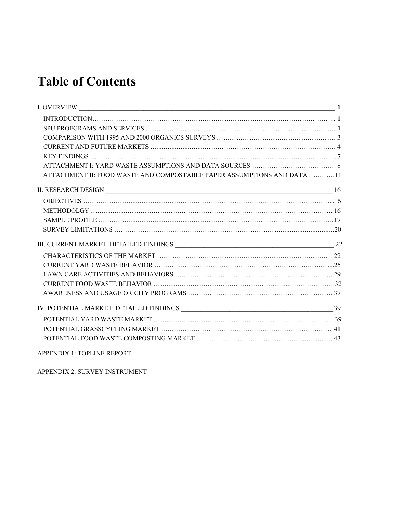# **Table of Contents**

| ATTACHMENT II: FOOD WASTE AND COMPOSTABLE PAPER ASSUMPTIONS AND DATA 11 |  |
|-------------------------------------------------------------------------|--|
|                                                                         |  |
|                                                                         |  |
|                                                                         |  |
|                                                                         |  |
|                                                                         |  |
|                                                                         |  |
|                                                                         |  |
|                                                                         |  |
|                                                                         |  |
|                                                                         |  |
|                                                                         |  |
|                                                                         |  |
|                                                                         |  |
|                                                                         |  |
|                                                                         |  |
|                                                                         |  |

APPENDIX 1: TOPLINE REPORT

APPENDIX 2: SURVEY INSTRUMENT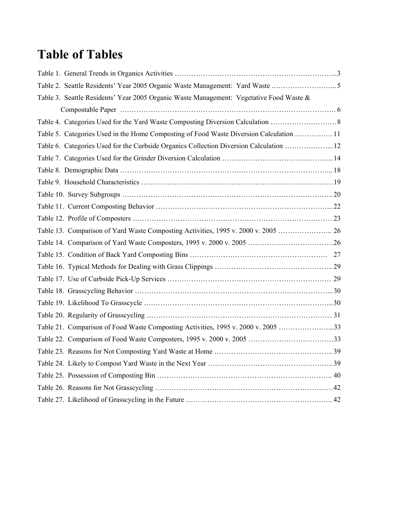# **Table of Tables**

| Table 2. Seattle Residents' Year 2005 Organic Waste Management: Yard Waste 5            |  |
|-----------------------------------------------------------------------------------------|--|
| Table 3. Seattle Residents' Year 2005 Organic Waste Management: Vegetative Food Waste & |  |
|                                                                                         |  |
|                                                                                         |  |
| Table 5. Categories Used in the Home Composting of Food Waste Diversion Calculation  11 |  |
| Table 6. Categories Used for the Curbside Organics Collection Diversion Calculation  12 |  |
|                                                                                         |  |
|                                                                                         |  |
|                                                                                         |  |
|                                                                                         |  |
|                                                                                         |  |
|                                                                                         |  |
|                                                                                         |  |
|                                                                                         |  |
|                                                                                         |  |
|                                                                                         |  |
|                                                                                         |  |
|                                                                                         |  |
|                                                                                         |  |
|                                                                                         |  |
| Table 21. Comparison of Food Waste Composting Activities, 1995 v. 2000 v. 2005 33       |  |
|                                                                                         |  |
|                                                                                         |  |
|                                                                                         |  |
|                                                                                         |  |
|                                                                                         |  |
|                                                                                         |  |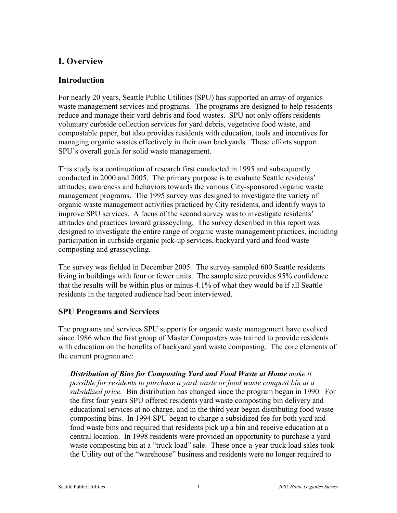# **I. Overview**

#### **Introduction**

For nearly 20 years, Seattle Public Utilities (SPU) has supported an array of organics waste management services and programs. The programs are designed to help residents reduce and manage their yard debris and food wastes. SPU not only offers residents voluntary curbside collection services for yard debris, vegetative food waste, and compostable paper, but also provides residents with education, tools and incentives for managing organic wastes effectively in their own backyards. These efforts support SPU's overall goals for solid waste management.

This study is a continuation of research first conducted in 1995 and subsequently conducted in 2000 and 2005. The primary purpose is to evaluate Seattle residents' attitudes, awareness and behaviors towards the various City-sponsored organic waste management programs. The 1995 survey was designed to investigate the variety of organic waste management activities practiced by City residents, and identify ways to improve SPU services. A focus of the second survey was to investigate residents' attitudes and practices toward grasscycling. The survey described in this report was designed to investigate the entire range of organic waste management practices, including participation in curbside organic pick-up services, backyard yard and food waste composting and grasscycling.

The survey was fielded in December 2005. The survey sampled 600 Seattle residents living in buildings with four or fewer units. The sample size provides 95% confidence that the results will be within plus or minus 4.1% of what they would be if all Seattle residents in the targeted audience had been interviewed.

#### **SPU Programs and Services**

The programs and services SPU supports for organic waste management have evolved since 1986 when the first group of Master Composters was trained to provide residents with education on the benefits of backyard yard waste composting. The core elements of the current program are:

*Distribution of Bins for Composting Yard and Food Waste at Home make it possible for residents to purchase a yard waste or food waste compost bin at a subsidized price.* Bin distribution has changed since the program began in 1990. For the first four years SPU offered residents yard waste composting bin delivery and educational services at no charge, and in the third year began distributing food waste composting bins. In 1994 SPU began to charge a subsidized fee for both yard and food waste bins and required that residents pick up a bin and receive education at a central location. In 1998 residents were provided an opportunity to purchase a yard waste composting bin at a "truck load" sale. These once-a-year truck load sales took the Utility out of the "warehouse" business and residents were no longer required to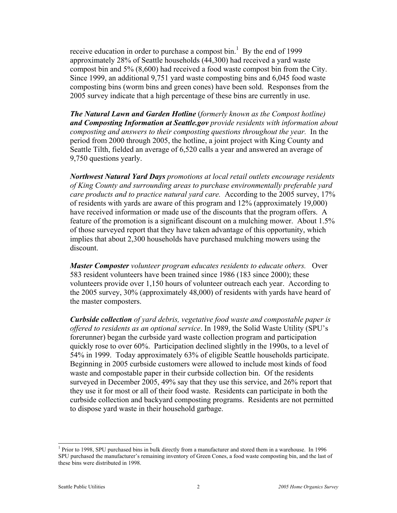receive education in order to purchase a compost bin.<sup>1</sup> By the end of 1999 approximately 28% of Seattle households (44,300) had received a yard waste compost bin and 5% (8,600) had received a food waste compost bin from the City. Since 1999, an additional 9,751 yard waste composting bins and 6,045 food waste composting bins (worm bins and green cones) have been sold. Responses from the 2005 survey indicate that a high percentage of these bins are currently in use.

*The Natural Lawn and Garden Hotline* (*formerly known as the Compost hotline) and Composting Information at Seattle.gov provide residents with information about composting and answers to their composting questions throughout the year.* In the period from 2000 through 2005, the hotline, a joint project with King County and Seattle Tilth, fielded an average of 6,520 calls a year and answered an average of 9,750 questions yearly.

*Northwest Natural Yard Days promotions at local retail outlets encourage residents of King County and surrounding areas to purchase environmentally preferable yard care products and to practice natural yard care.* According to the 2005 survey, 17% of residents with yards are aware of this program and 12% (approximately 19,000) have received information or made use of the discounts that the program offers. A feature of the promotion is a significant discount on a mulching mower. About 1.5% of those surveyed report that they have taken advantage of this opportunity, which implies that about 2,300 households have purchased mulching mowers using the discount.

*Master Composter volunteer program educates residents to educate others.* Over 583 resident volunteers have been trained since 1986 (183 since 2000); these volunteers provide over 1,150 hours of volunteer outreach each year. According to the 2005 survey, 30% (approximately 48,000) of residents with yards have heard of the master composters.

*Curbside collection of yard debris, vegetative food waste and compostable paper is offered to residents as an optional service*. In 1989, the Solid Waste Utility (SPU's forerunner) began the curbside yard waste collection program and participation quickly rose to over 60%. Participation declined slightly in the 1990s, to a level of 54% in 1999. Today approximately 63% of eligible Seattle households participate. Beginning in 2005 curbside customers were allowed to include most kinds of food waste and compostable paper in their curbside collection bin. Of the residents surveyed in December 2005, 49% say that they use this service, and 26% report that they use it for most or all of their food waste. Residents can participate in both the curbside collection and backyard composting programs. Residents are not permitted to dispose yard waste in their household garbage.

 $\overline{a}$ 

<sup>&</sup>lt;sup>1</sup> Prior to 1998, SPU purchased bins in bulk directly from a manufacturer and stored them in a warehouse. In 1996 SPU purchased the manufacturer's remaining inventory of Green Cones, a food waste composting bin, and the last of these bins were distributed in 1998.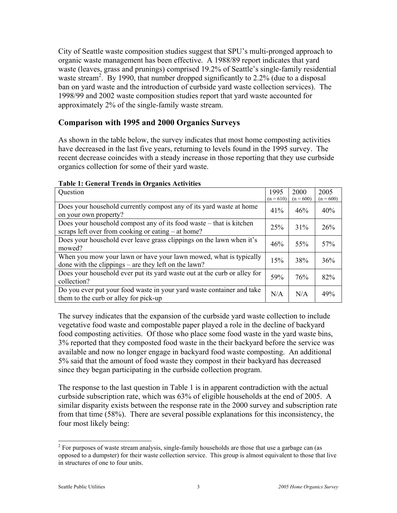City of Seattle waste composition studies suggest that SPU's multi-pronged approach to organic waste management has been effective. A 1988/89 report indicates that yard waste (leaves, grass and prunings) comprised 19.2% of Seattle's single-family residential waste stream<sup>2</sup>. By 1990, that number dropped significantly to 2.2% (due to a disposal ban on yard waste and the introduction of curbside yard waste collection services). The 1998/99 and 2002 waste composition studies report that yard waste accounted for approximately 2% of the single-family waste stream.

#### **Comparison with 1995 and 2000 Organics Surveys**

As shown in the table below, the survey indicates that most home composting activities have decreased in the last five years, returning to levels found in the 1995 survey. The recent decrease coincides with a steady increase in those reporting that they use curbside organics collection for some of their yard waste.

| Question                                                                                                                  | 1995        | 2000        | 2005        |
|---------------------------------------------------------------------------------------------------------------------------|-------------|-------------|-------------|
|                                                                                                                           | $(n = 610)$ | $(n = 600)$ | $(n = 600)$ |
| Does your household currently compost any of its yard waste at home<br>on your own property?                              | 41%         | 46%         | 40%         |
| Does your household compost any of its food waste – that is kitchen<br>scraps left over from cooking or eating – at home? | 25%         | 31%         | 26%         |
| Does your household ever leave grass clippings on the lawn when it's<br>mowed?                                            | 46%         | 55%         | 57%         |
| When you mow your lawn or have your lawn mowed, what is typically<br>done with the clippings – are they left on the lawn? | 15%         | 38%         | 36%         |
| Does your household ever put its yard waste out at the curb or alley for<br>collection?                                   | 59%         | 76%         | 82%         |
| Do you ever put your food waste in your yard waste container and take<br>them to the curb or alley for pick-up            | N/A         | N/A         | 49%         |

#### **Table 1: General Trends in Organics Activities**

The survey indicates that the expansion of the curbside yard waste collection to include vegetative food waste and compostable paper played a role in the decline of backyard food composting activities. Of those who place some food waste in the yard waste bins, 3% reported that they composted food waste in the their backyard before the service was available and now no longer engage in backyard food waste composting. An additional 5% said that the amount of food waste they compost in their backyard has decreased since they began participating in the curbside collection program.

The response to the last question in Table 1 is in apparent contradiction with the actual curbside subscription rate, which was 63% of eligible households at the end of 2005. A similar disparity exists between the response rate in the 2000 survey and subscription rate from that time (58%). There are several possible explanations for this inconsistency, the four most likely being:

<sup>&</sup>lt;sup>2</sup> For purposes of waste stream analysis, single-family households are those that use a garbage can (as opposed to a dumpster) for their waste collection service. This group is almost equivalent to those that live in structures of one to four units.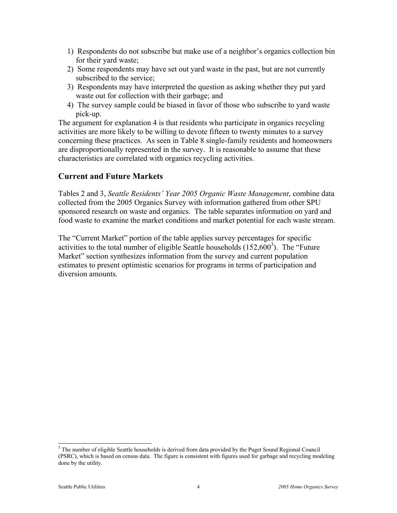- 1) Respondents do not subscribe but make use of a neighbor's organics collection bin for their yard waste;
- 2) Some respondents may have set out yard waste in the past, but are not currently subscribed to the service;
- 3) Respondents may have interpreted the question as asking whether they put yard waste out for collection with their garbage; and
- 4) The survey sample could be biased in favor of those who subscribe to yard waste pick-up.

The argument for explanation 4 is that residents who participate in organics recycling activities are more likely to be willing to devote fifteen to twenty minutes to a survey concerning these practices. As seen in Table 8 single-family residents and homeowners are disproportionally represented in the survey. It is reasonable to assume that these characteristics are correlated with organics recycling activities.

#### **Current and Future Markets**

Tables 2 and 3, *Seattle Residents' Year 2005 Organic Waste Management*, combine data collected from the 2005 Organics Survey with information gathered from other SPU sponsored research on waste and organics. The table separates information on yard and food waste to examine the market conditions and market potential for each waste stream.

The "Current Market" portion of the table applies survey percentages for specific activities to the total number of eligible Seattle households  $(152,600^3)$ . The "Future Market" section synthesizes information from the survey and current population estimates to present optimistic scenarios for programs in terms of participation and diversion amounts.

<sup>&</sup>lt;sup>3</sup> The number of eligible Seattle households is derived from data provided by the Puget Sound Regional Council (PSRC), which is based on census data. The figure is consistent with figures used for garbage and recycling modeling done by the utility.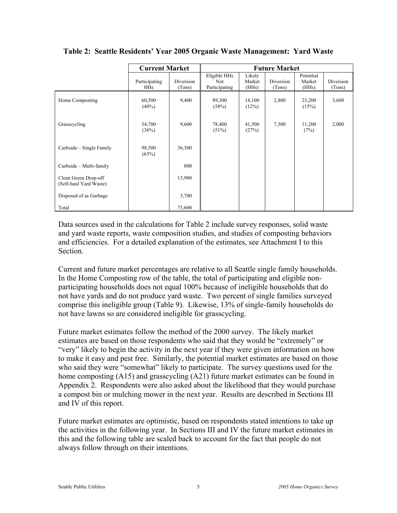|                                                | <b>Current Market</b>       |                     |                                      | <b>Future Market</b>      |                     |                              |                     |
|------------------------------------------------|-----------------------------|---------------------|--------------------------------------|---------------------------|---------------------|------------------------------|---------------------|
|                                                | Participating<br><b>HHs</b> | Diversion<br>(Tons) | Eligible HHs<br>Not<br>Participating | Likely<br>Market<br>(HHs) | Diversion<br>(Tons) | Potential<br>Market<br>(HHs) | Diversion<br>(Tons) |
| Home Composting                                | 60,500<br>$(40\%)$          | 9,400               | 89,300<br>(58%)                      | 18,100<br>(12%)           | 2,800               | 23,200<br>(15%)              | 3,600               |
| Grasscycling                                   | 54,700<br>(36%)             | 9,600               | 78,400<br>$(51\%)$                   | 41,500<br>(27%)           | 7,300               | 11,200<br>(7%)               | 2,000               |
| Curbside – Single Family                       | 98,500<br>(63%)             | 36,300              |                                      |                           |                     |                              |                     |
| Curbside - Multi-family                        |                             | 800                 |                                      |                           |                     |                              |                     |
| Clean Green Drop-off<br>(Self-haul Yard Waste) |                             | 13,900              |                                      |                           |                     |                              |                     |
| Disposed of as Garbage                         |                             | 3,700               |                                      |                           |                     |                              |                     |
| Total                                          |                             | 73,600              |                                      |                           |                     |                              |                     |

**Table 2: Seattle Residents' Year 2005 Organic Waste Management: Yard Waste** 

Data sources used in the calculations for Table 2 include survey responses, solid waste and yard waste reports, waste composition studies, and studies of composting behaviors and efficiencies. For a detailed explanation of the estimates, see Attachment I to this **Section** 

Current and future market percentages are relative to all Seattle single family households. In the Home Composting row of the table, the total of participating and eligible nonparticipating households does not equal 100% because of ineligible households that do not have yards and do not produce yard waste. Two percent of single families surveyed comprise this ineligible group (Table 9). Likewise, 13% of single-family households do not have lawns so are considered ineligible for grasscycling.

Future market estimates follow the method of the 2000 survey. The likely market estimates are based on those respondents who said that they would be "extremely" or "very" likely to begin the activity in the next year if they were given information on how to make it easy and pest free. Similarly, the potential market estimates are based on those who said they were "somewhat" likely to participate. The survey questions used for the home composting (A15) and grasscycling (A21) future market estimates can be found in Appendix 2. Respondents were also asked about the likelihood that they would purchase a compost bin or mulching mower in the next year. Results are described in Sections III and IV of this report.

Future market estimates are optimistic, based on respondents stated intentions to take up the activities in the following year. In Sections III and IV the future market estimates in this and the following table are scaled back to account for the fact that people do not always follow through on their intentions.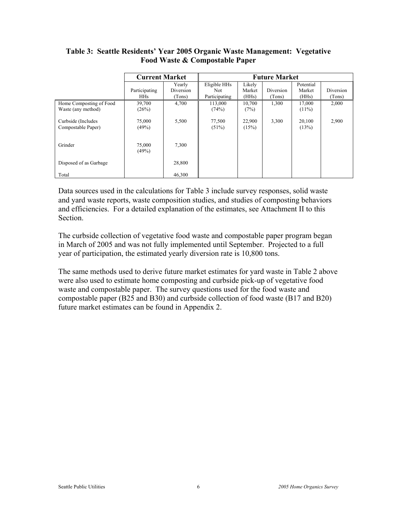|                         | <b>Current Market</b> |           | <b>Future Market</b> |        |           |           |           |
|-------------------------|-----------------------|-----------|----------------------|--------|-----------|-----------|-----------|
|                         |                       | Yearly    | Eligible HHs         | Likely |           | Potential |           |
|                         | Participating         | Diversion | <b>Not</b>           | Market | Diversion | Market    | Diversion |
|                         | <b>HHs</b>            | (Tons)    | Participating        | (HHs)  | (Tons)    | (HHs)     | (Tons)    |
| Home Composting of Food | 39,700                | 4,700     | 113,000              | 10,700 | 1,300     | 17,000    | 2,000     |
| Waste (any method)      | (26%)                 |           | (74%)                | (7%)   |           | $(11\%)$  |           |
|                         |                       |           |                      |        |           |           |           |
| Curbside (Includes      | 75,000                | 5,500     | 77,500               | 22,900 | 3,300     | 20,100    | 2,900     |
| Compostable Paper)      | (49%)                 |           | (51%)                | (15%)  |           | (13%)     |           |
|                         |                       |           |                      |        |           |           |           |
|                         |                       |           |                      |        |           |           |           |
| Grinder                 | 75,000                | 7,300     |                      |        |           |           |           |
|                         | (49%)                 |           |                      |        |           |           |           |
|                         |                       |           |                      |        |           |           |           |
| Disposed of as Garbage  |                       | 28,800    |                      |        |           |           |           |
| Total                   |                       | 46.300    |                      |        |           |           |           |
|                         |                       |           |                      |        |           |           |           |

#### **Table 3: Seattle Residents' Year 2005 Organic Waste Management: Vegetative Food Waste & Compostable Paper**

Data sources used in the calculations for Table 3 include survey responses, solid waste and yard waste reports, waste composition studies, and studies of composting behaviors and efficiencies. For a detailed explanation of the estimates, see Attachment II to this Section.

The curbside collection of vegetative food waste and compostable paper program began in March of 2005 and was not fully implemented until September. Projected to a full year of participation, the estimated yearly diversion rate is 10,800 tons.

The same methods used to derive future market estimates for yard waste in Table 2 above were also used to estimate home composting and curbside pick-up of vegetative food waste and compostable paper. The survey questions used for the food waste and compostable paper (B25 and B30) and curbside collection of food waste (B17 and B20) future market estimates can be found in Appendix 2.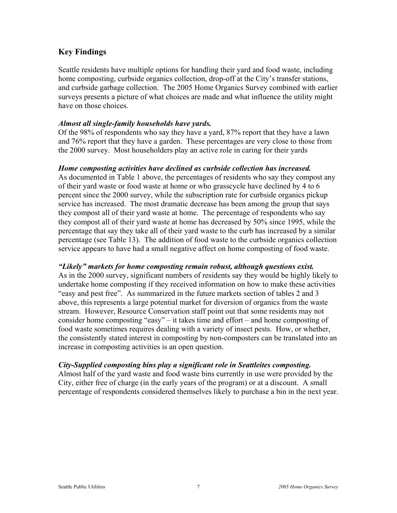#### **Key Findings**

Seattle residents have multiple options for handling their yard and food waste, including home composting, curbside organics collection, drop-off at the City's transfer stations, and curbside garbage collection. The 2005 Home Organics Survey combined with earlier surveys presents a picture of what choices are made and what influence the utility might have on those choices.

#### *Almost all single-family households have yards.*

Of the 98% of respondents who say they have a yard, 87% report that they have a lawn and 76% report that they have a garden. These percentages are very close to those from the 2000 survey. Most householders play an active role in caring for their yards

#### *Home composting activities have declined as curbside collection has increased.*

As documented in Table 1 above, the percentages of residents who say they compost any of their yard waste or food waste at home or who grasscycle have declined by 4 to 6 percent since the 2000 survey, while the subscription rate for curbside organics pickup service has increased. The most dramatic decrease has been among the group that says they compost all of their yard waste at home. The percentage of respondents who say they compost all of their yard waste at home has decreased by 50% since 1995, while the percentage that say they take all of their yard waste to the curb has increased by a similar percentage (see Table 13). The addition of food waste to the curbside organics collection service appears to have had a small negative affect on home composting of food waste.

#### *"Likely" markets for home composting remain robust, although questions exist.*

As in the 2000 survey, significant numbers of residents say they would be highly likely to undertake home composting if they received information on how to make these activities "easy and pest free". As summarized in the future markets section of tables 2 and 3 above, this represents a large potential market for diversion of organics from the waste stream. However, Resource Conservation staff point out that some residents may not consider home composting "easy" – it takes time and effort – and home composting of food waste sometimes requires dealing with a variety of insect pests. How, or whether, the consistently stated interest in composting by non-composters can be translated into an increase in composting activities is an open question.

#### *City-Supplied composting bins play a significant role in Seattleites composting.*

Almost half of the yard waste and food waste bins currently in use were provided by the City, either free of charge (in the early years of the program) or at a discount. A small percentage of respondents considered themselves likely to purchase a bin in the next year.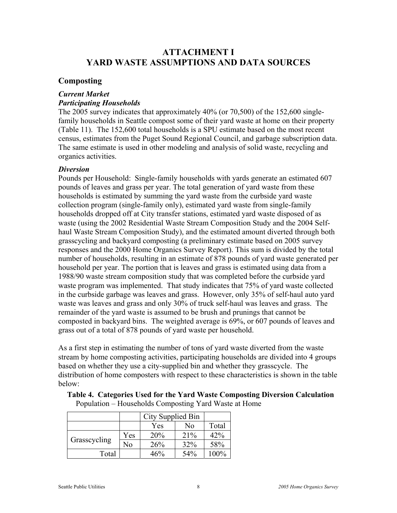## **ATTACHMENT I YARD WASTE ASSUMPTIONS AND DATA SOURCES**

#### **Composting**

#### *Current Market Participating Households*

The 2005 survey indicates that approximately 40% (or 70,500) of the 152,600 singlefamily households in Seattle compost some of their yard waste at home on their property (Table 11). The 152,600 total households is a SPU estimate based on the most recent census, estimates from the Puget Sound Regional Council, and garbage subscription data. The same estimate is used in other modeling and analysis of solid waste, recycling and organics activities.

#### *Diversion*

Pounds per Household: Single-family households with yards generate an estimated 607 pounds of leaves and grass per year. The total generation of yard waste from these households is estimated by summing the yard waste from the curbside yard waste collection program (single-family only), estimated yard waste from single-family households dropped off at City transfer stations, estimated yard waste disposed of as waste (using the 2002 Residential Waste Stream Composition Study and the 2004 Selfhaul Waste Stream Composition Study), and the estimated amount diverted through both grasscycling and backyard composting (a preliminary estimate based on 2005 survey responses and the 2000 Home Organics Survey Report). This sum is divided by the total number of households, resulting in an estimate of 878 pounds of yard waste generated per household per year. The portion that is leaves and grass is estimated using data from a 1988/90 waste stream composition study that was completed before the curbside yard waste program was implemented. That study indicates that 75% of yard waste collected in the curbside garbage was leaves and grass. However, only 35% of self-haul auto yard waste was leaves and grass and only 30% of truck self-haul was leaves and grass. The remainder of the yard waste is assumed to be brush and prunings that cannot be composted in backyard bins. The weighted average is 69%, or 607 pounds of leaves and grass out of a total of 878 pounds of yard waste per household.

As a first step in estimating the number of tons of yard waste diverted from the waste stream by home composting activities, participating households are divided into 4 groups based on whether they use a city-supplied bin and whether they grasscycle. The distribution of home composters with respect to these characteristics is shown in the table below:

|              |     | City Supplied Bin |     |         |
|--------------|-----|-------------------|-----|---------|
|              |     | Yes               | No  | Total   |
|              | Yes | 20%               | 21% | 42%     |
| Grasscycling | No  | 26%               | 32% | 58%     |
| Total        |     | 46%               | 54% | $100\%$ |

 **Table 4. Categories Used for the Yard Waste Composting Diversion Calculation**  Population – Households Composting Yard Waste at Home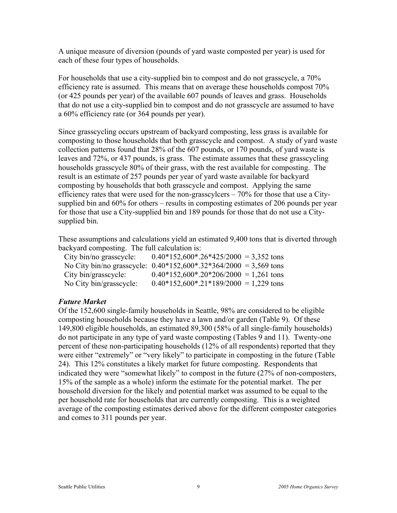A unique measure of diversion (pounds of yard waste composted per year) is used for each of these four types of households.

For households that use a city-supplied bin to compost and do not grasscycle, a 70% efficiency rate is assumed. This means that on average these households compost 70% (or 425 pounds per year) of the available 607 pounds of leaves and grass. Households that do not use a city-supplied bin to compost and do not grasscycle are assumed to have a 60% efficiency rate (or 364 pounds per year).

Since grasscycling occurs upstream of backyard composting, less grass is available for composting to those households that both grasscycle and compost. A study of yard waste collection patterns found that 28% of the 607 pounds, or 170 pounds, of yard waste is leaves and 72%, or 437 pounds, is grass. The estimate assumes that these grasscycling households grasscycle 80% of their grass, with the rest available for composting. The result is an estimate of 257 pounds per year of yard waste available for backyard composting by households that both grasscycle and compost. Applying the same efficiency rates that were used for the non-grasscylcers – 70% for those that use a Citysupplied bin and 60% for others – results in composting estimates of 206 pounds per year for those that use a City-supplied bin and 189 pounds for those that do not use a Citysupplied bin.

These assumptions and calculations yield an estimated 9,400 tons that is diverted through backyard composting. The full calculation is:

| City bin/no grasscycle: | $0.40*152,600*.26*425/2000 = 3,352$ tons                            |
|-------------------------|---------------------------------------------------------------------|
|                         | No City bin/no grasscycle: $0.40*152,600*.32*364/2000 = 3,569$ tons |
| City bin/grasscycle:    | $0.40*152,600*.20*206/2000 = 1,261$ tons                            |
| No City bin/grasscycle: | $0.40*152,600*.21*189/2000 = 1,229$ tons                            |

#### *Future Market*

Of the 152,600 single-family households in Seattle, 98% are considered to be eligible composting households because they have a lawn and/or garden (Table 9). Of these 149,800 eligible households, an estimated 89,300 (58% of all single-family households) do not participate in any type of yard waste composting (Tables 9 and 11). Twenty-one percent of these non-participating households (12% of all respondents) reported that they were either "extremely" or "very likely" to participate in composting in the future (Table 24). This 12% constitutes a likely market for future composting. Respondents that indicated they were "somewhat likely" to compost in the future (27% of non-composters, 15% of the sample as a whole) inform the estimate for the potential market. The per household diversion for the likely and potential market was assumed to be equal to the per household rate for households that are currently composting. This is a weighted average of the composting estimates derived above for the different composter categories and comes to 311 pounds per year.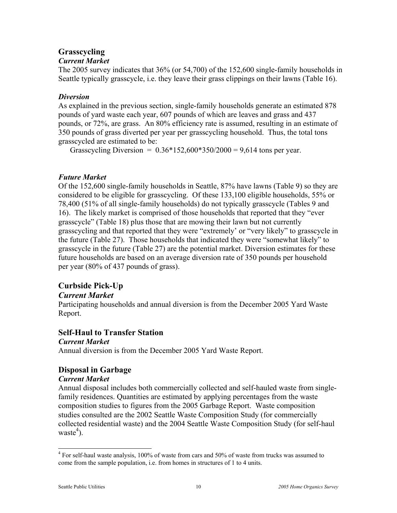# **Grasscycling**

#### *Current Market*

The 2005 survey indicates that 36% (or 54,700) of the 152,600 single-family households in Seattle typically grasscycle, i.e. they leave their grass clippings on their lawns (Table 16).

#### *Diversion*

As explained in the previous section, single-family households generate an estimated 878 pounds of yard waste each year, 607 pounds of which are leaves and grass and 437 pounds, or 72%, are grass. An 80% efficiency rate is assumed, resulting in an estimate of 350 pounds of grass diverted per year per grasscycling household. Thus, the total tons grasscycled are estimated to be:

Grasscycling Diversion =  $0.36*152,600*350/2000 = 9,614$  tons per year.

#### *Future Market*

Of the 152,600 single-family households in Seattle, 87% have lawns (Table 9) so they are considered to be eligible for grasscycling. Of these 133,100 eligible households, 55% or 78,400 (51% of all single-family households) do not typically grasscycle (Tables 9 and 16). The likely market is comprised of those households that reported that they "ever grasscycle" (Table 18) plus those that are mowing their lawn but not currently grasscycling and that reported that they were "extremely' or "very likely" to grasscycle in the future (Table 27). Those households that indicated they were "somewhat likely" to grasscycle in the future (Table 27) are the potential market. Diversion estimates for these future households are based on an average diversion rate of 350 pounds per household per year (80% of 437 pounds of grass).

## **Curbside Pick-Up**

#### *Current Market*

Participating households and annual diversion is from the December 2005 Yard Waste Report.

## **Self-Haul to Transfer Station**

#### *Current Market*

Annual diversion is from the December 2005 Yard Waste Report.

## **Disposal in Garbage**

#### *Current Market*

Annual disposal includes both commercially collected and self-hauled waste from singlefamily residences. Quantities are estimated by applying percentages from the waste composition studies to figures from the 2005 Garbage Report. Waste composition studies consulted are the 2002 Seattle Waste Composition Study (for commercially collected residential waste) and the 2004 Seattle Waste Composition Study (for self-haul waste $4$ ).

 $\overline{a}$ 

<sup>&</sup>lt;sup>4</sup> For self-haul waste analysis, 100% of waste from cars and 50% of waste from trucks was assumed to come from the sample population, i.e. from homes in structures of 1 to 4 units.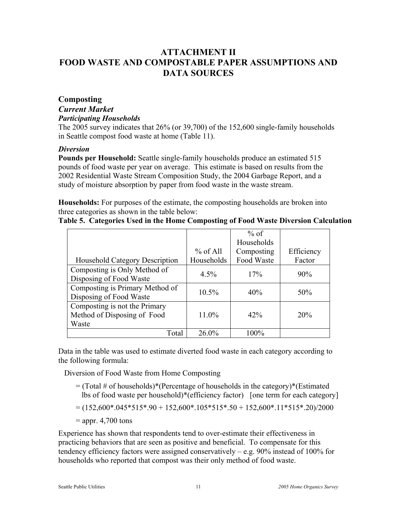# **ATTACHMENT II FOOD WASTE AND COMPOSTABLE PAPER ASSUMPTIONS AND DATA SOURCES**

#### **Composting**

#### *Current Market*

#### *Participating Households*

The 2005 survey indicates that 26% (or 39,700) of the 152,600 single-family households in Seattle compost food waste at home (Table 11).

#### *Diversion*

**Pounds per Household:** Seattle single-family households produce an estimated 515 pounds of food waste per year on average. This estimate is based on results from the 2002 Residential Waste Stream Composition Study, the 2004 Garbage Report, and a study of moisture absorption by paper from food waste in the waste stream.

**Households:** For purposes of the estimate, the composting households are broken into three categories as shown in the table below:

**Table 5. Categories Used in the Home Composting of Food Waste Diversion Calculation** 

|            | $%$ of           |            |
|------------|------------------|------------|
|            | Households       |            |
| $%$ of All | Composting       | Efficiency |
| Households | Food Waste       | Factor     |
|            |                  | 90%        |
|            |                  |            |
|            |                  | 50%        |
|            |                  |            |
|            |                  |            |
| 11.0%      | 42%              | 20%        |
|            |                  |            |
| $26.0\%$   | 100%             |            |
|            | $4.5\%$<br>10.5% | 17%<br>40% |

Data in the table was used to estimate diverted food waste in each category according to the following formula:

Diversion of Food Waste from Home Composting

- $=$  (Total # of households)\*(Percentage of households in the category)\*(Estimated lbs of food waste per household)\*(efficiency factor) [one term for each category]
- $= (152,600*.045*515*.90 + 152,600*.105*515*.50 + 152,600*.11*515*.20)/2000$
- $=$  appr. 4,700 tons

Experience has shown that respondents tend to over-estimate their effectiveness in practicing behaviors that are seen as positive and beneficial. To compensate for this tendency efficiency factors were assigned conservatively  $-$  e.g. 90% instead of 100% for households who reported that compost was their only method of food waste.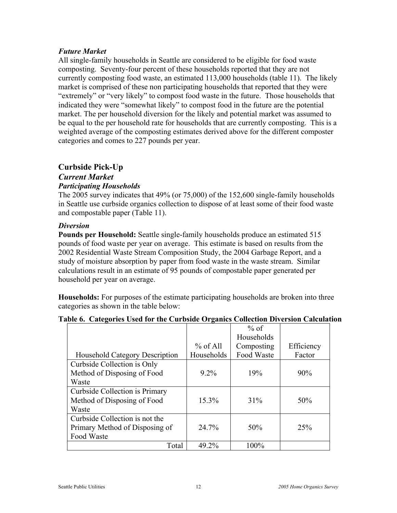#### *Future Market*

All single-family households in Seattle are considered to be eligible for food waste composting. Seventy-four percent of these households reported that they are not currently composting food waste, an estimated 113,000 households (table 11). The likely market is comprised of these non participating households that reported that they were "extremely" or "very likely" to compost food waste in the future. Those households that indicated they were "somewhat likely" to compost food in the future are the potential market. The per household diversion for the likely and potential market was assumed to be equal to the per household rate for households that are currently composting. This is a weighted average of the composting estimates derived above for the different composter categories and comes to 227 pounds per year.

#### **Curbside Pick-Up**

#### *Current Market Participating Households*

The 2005 survey indicates that 49% (or 75,000) of the 152,600 single-family households in Seattle use curbside organics collection to dispose of at least some of their food waste and compostable paper (Table 11).

#### *Diversion*

**Pounds per Household:** Seattle single-family households produce an estimated 515 pounds of food waste per year on average. This estimate is based on results from the 2002 Residential Waste Stream Composition Study, the 2004 Garbage Report, and a study of moisture absorption by paper from food waste in the waste stream. Similar calculations result in an estimate of 95 pounds of compostable paper generated per household per year on average.

**Households:** For purposes of the estimate participating households are broken into three categories as shown in the table below:

|                                       |            | $%$ of     |            |
|---------------------------------------|------------|------------|------------|
|                                       |            | Households |            |
|                                       | $%$ of All | Composting | Efficiency |
| <b>Household Category Description</b> | Households | Food Waste | Factor     |
| Curbside Collection is Only           |            |            |            |
| Method of Disposing of Food           | $9.2\%$    | 19%        | 90%        |
| Waste                                 |            |            |            |
| Curbside Collection is Primary        |            |            |            |
| Method of Disposing of Food           | 15.3%      | 31%        | 50%        |
| Waste                                 |            |            |            |
| Curbside Collection is not the        |            |            |            |
| Primary Method of Disposing of        | 24.7%      | 50%        | 25%        |
| Food Waste                            |            |            |            |
| Total                                 | 49.2%      | 100%       |            |

#### **Table 6. Categories Used for the Curbside Organics Collection Diversion Calculation**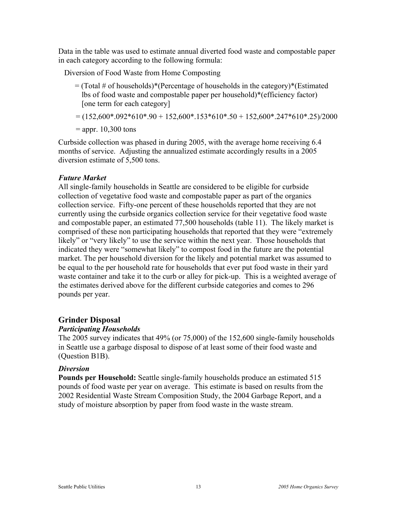Data in the table was used to estimate annual diverted food waste and compostable paper in each category according to the following formula:

Diversion of Food Waste from Home Composting

- $=$  (Total # of households)\*(Percentage of households in the category)\*(Estimated lbs of food waste and compostable paper per household)\*(efficiency factor) [one term for each category]
- $= (152,600*.092*610*.90 + 152,600*.153*610*.50 + 152,600*.247*610*.25)/2000$

 $=$  appr. 10,300 tons

Curbside collection was phased in during 2005, with the average home receiving 6.4 months of service. Adjusting the annualized estimate accordingly results in a 2005 diversion estimate of 5,500 tons.

#### *Future Market*

All single-family households in Seattle are considered to be eligible for curbside collection of vegetative food waste and compostable paper as part of the organics collection service. Fifty-one percent of these households reported that they are not currently using the curbside organics collection service for their vegetative food waste and compostable paper, an estimated 77,500 households (table 11). The likely market is comprised of these non participating households that reported that they were "extremely likely" or "very likely" to use the service within the next year. Those households that indicated they were "somewhat likely" to compost food in the future are the potential market. The per household diversion for the likely and potential market was assumed to be equal to the per household rate for households that ever put food waste in their yard waste container and take it to the curb or alley for pick-up. This is a weighted average of the estimates derived above for the different curbside categories and comes to 296 pounds per year.

#### **Grinder Disposal**

#### *Participating Households*

The 2005 survey indicates that 49% (or 75,000) of the 152,600 single-family households in Seattle use a garbage disposal to dispose of at least some of their food waste and (Question B1B).

#### *Diversion*

**Pounds per Household:** Seattle single-family households produce an estimated 515 pounds of food waste per year on average. This estimate is based on results from the 2002 Residential Waste Stream Composition Study, the 2004 Garbage Report, and a study of moisture absorption by paper from food waste in the waste stream.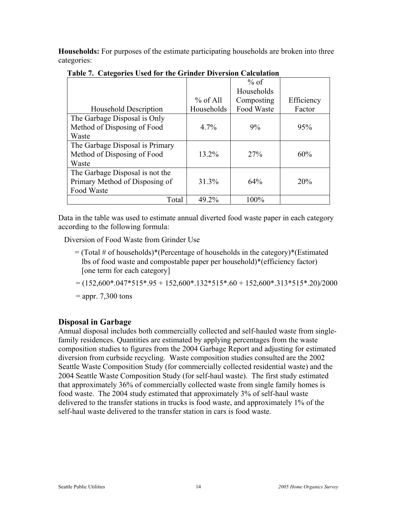**Households:** For purposes of the estimate participating households are broken into three categories:

|                                 |            | $%$ of     |            |
|---------------------------------|------------|------------|------------|
|                                 |            | Households |            |
|                                 | $%$ of All | Composting | Efficiency |
| Household Description           | Households | Food Waste | Factor     |
| The Garbage Disposal is Only    |            |            |            |
| Method of Disposing of Food     | $4.7\%$    | 9%         | 95%        |
| Waste                           |            |            |            |
| The Garbage Disposal is Primary |            |            |            |
| Method of Disposing of Food     | 13.2%      | 27%        | 60%        |
| Waste                           |            |            |            |
| The Garbage Disposal is not the |            |            |            |
| Primary Method of Disposing of  | 31.3%      | 64%        | 20%        |
| Food Waste                      |            |            |            |
| Total                           | 49.2%      | 100%       |            |

**Table 7. Categories Used for the Grinder Diversion Calculation** 

Data in the table was used to estimate annual diverted food waste paper in each category according to the following formula:

Diversion of Food Waste from Grinder Use

- $=$  (Total # of households)\*(Percentage of households in the category)\*(Estimated lbs of food waste and compostable paper per household)\*(efficiency factor) [one term for each category]
- $= (152,600*.047*515*.95 + 152,600*.132*515*.60 + 152,600*.313*515*.20)/2000$

 $=$  appr. 7,300 tons

#### **Disposal in Garbage**

Annual disposal includes both commercially collected and self-hauled waste from singlefamily residences. Quantities are estimated by applying percentages from the waste composition studies to figures from the 2004 Garbage Report and adjusting for estimated diversion from curbside recycling. Waste composition studies consulted are the 2002 Seattle Waste Composition Study (for commercially collected residential waste) and the 2004 Seattle Waste Composition Study (for self-haul waste). The first study estimated that approximately 36% of commercially collected waste from single family homes is food waste. The 2004 study estimated that approximately 3% of self-haul waste delivered to the transfer stations in trucks is food waste, and approximately 1% of the self-haul waste delivered to the transfer station in cars is food waste.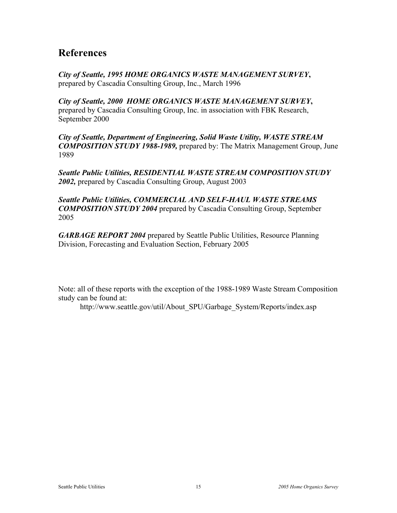# **References**

*City of Seattle, 1995 HOME ORGANICS WASTE MANAGEMENT SURVEY***,**  prepared by Cascadia Consulting Group, Inc., March 1996

*City of Seattle, 2000 HOME ORGANICS WASTE MANAGEMENT SURVEY***,**  prepared by Cascadia Consulting Group, Inc. in association with FBK Research, September 2000

*City of Seattle, Department of Engineering, Solid Waste Utility, WASTE STREAM COMPOSITION STUDY 1988-1989,* prepared by: The Matrix Management Group, June 1989

*Seattle Public Utilities, RESIDENTIAL WASTE STREAM COMPOSITION STUDY 2002,* prepared by Cascadia Consulting Group, August 2003

*Seattle Public Utilities, COMMERCIAL AND SELF-HAUL WASTE STREAMS COMPOSITION STUDY 2004* prepared by Cascadia Consulting Group, September 2005

*GARBAGE REPORT 2004* prepared by Seattle Public Utilities, Resource Planning Division, Forecasting and Evaluation Section, February 2005

Note: all of these reports with the exception of the 1988-1989 Waste Stream Composition study can be found at:

http://www.seattle.gov/util/About\_SPU/Garbage\_System/Reports/index.asp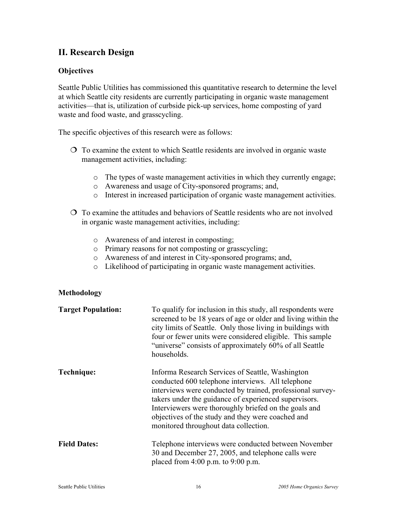# **II. Research Design**

#### **Objectives**

Seattle Public Utilities has commissioned this quantitative research to determine the level at which Seattle city residents are currently participating in organic waste management activities—that is, utilization of curbside pick-up services, home composting of yard waste and food waste, and grasscycling.

The specific objectives of this research were as follows:

- To examine the extent to which Seattle residents are involved in organic waste management activities, including:
	- o The types of waste management activities in which they currently engage;
	- o Awareness and usage of City-sponsored programs; and,
	- o Interest in increased participation of organic waste management activities.
- To examine the attitudes and behaviors of Seattle residents who are not involved in organic waste management activities, including:
	- o Awareness of and interest in composting;
	- o Primary reasons for not composting or grasscycling;
	- o Awareness of and interest in City-sponsored programs; and,
	- o Likelihood of participating in organic waste management activities.

#### **Methodology**

| <b>Target Population:</b> | To qualify for inclusion in this study, all respondents were<br>screened to be 18 years of age or older and living within the<br>city limits of Seattle. Only those living in buildings with<br>four or fewer units were considered eligible. This sample<br>"universe" consists of approximately 60% of all Seattle<br>households.                                                 |
|---------------------------|-------------------------------------------------------------------------------------------------------------------------------------------------------------------------------------------------------------------------------------------------------------------------------------------------------------------------------------------------------------------------------------|
| Technique:                | Informa Research Services of Seattle, Washington<br>conducted 600 telephone interviews. All telephone<br>interviews were conducted by trained, professional survey-<br>takers under the guidance of experienced supervisors.<br>Interviewers were thoroughly briefed on the goals and<br>objectives of the study and they were coached and<br>monitored throughout data collection. |
| <b>Field Dates:</b>       | Telephone interviews were conducted between November<br>30 and December 27, 2005, and telephone calls were<br>placed from $4:00$ p.m. to $9:00$ p.m.                                                                                                                                                                                                                                |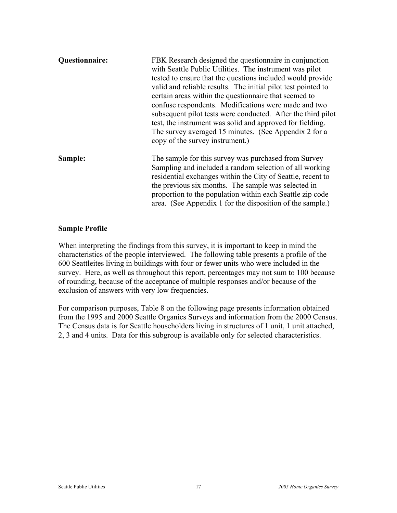| <b>Questionnaire:</b> | FBK Research designed the questionnaire in conjunction<br>with Seattle Public Utilities. The instrument was pilot<br>tested to ensure that the questions included would provide<br>valid and reliable results. The initial pilot test pointed to<br>certain areas within the questionnaire that seemed to<br>confuse respondents. Modifications were made and two<br>subsequent pilot tests were conducted. After the third pilot<br>test, the instrument was solid and approved for fielding.<br>The survey averaged 15 minutes. (See Appendix 2 for a<br>copy of the survey instrument.) |
|-----------------------|--------------------------------------------------------------------------------------------------------------------------------------------------------------------------------------------------------------------------------------------------------------------------------------------------------------------------------------------------------------------------------------------------------------------------------------------------------------------------------------------------------------------------------------------------------------------------------------------|
| Sample:               | The sample for this survey was purchased from Survey<br>Sampling and included a random selection of all working<br>residential exchanges within the City of Seattle, recent to<br>the previous six months. The sample was selected in<br>proportion to the population within each Seattle zip code<br>area. (See Appendix 1 for the disposition of the sample.)                                                                                                                                                                                                                            |

#### **Sample Profile**

When interpreting the findings from this survey, it is important to keep in mind the characteristics of the people interviewed. The following table presents a profile of the 600 Seattleites living in buildings with four or fewer units who were included in the survey. Here, as well as throughout this report, percentages may not sum to 100 because of rounding, because of the acceptance of multiple responses and/or because of the exclusion of answers with very low frequencies.

For comparison purposes, Table 8 on the following page presents information obtained from the 1995 and 2000 Seattle Organics Surveys and information from the 2000 Census. The Census data is for Seattle householders living in structures of 1 unit, 1 unit attached, 2, 3 and 4 units. Data for this subgroup is available only for selected characteristics.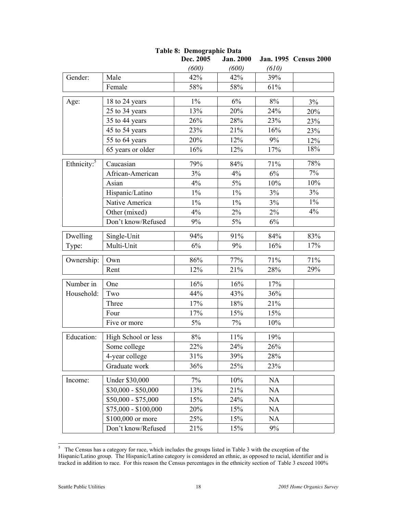|                         |                      | Dec. 2005 | <b>Jan. 2000</b> |           | Jan. 1995 Census 2000 |
|-------------------------|----------------------|-----------|------------------|-----------|-----------------------|
|                         |                      | (600)     | (600)            | (610)     |                       |
| Gender:                 | Male                 | 42%       | 42%              | 39%       |                       |
|                         | Female               | 58%       | 58%              | 61%       |                       |
| Age:                    | 18 to 24 years       | $1\%$     | 6%               | 8%        | 3%                    |
|                         | 25 to 34 years       | 13%       | 20%              | 24%       | 20%                   |
|                         | 35 to 44 years       | 26%       | 28%              | 23%       | 23%                   |
|                         | 45 to 54 years       | 23%       | 21%              | 16%       | 23%                   |
|                         | 55 to 64 years       | 20%       | 12%              | 9%        | 12%                   |
|                         | 65 years or older    | 16%       | 12%              | 17%       | 18%                   |
| Ethnicity: <sup>5</sup> | Caucasian            | 79%       | 84%              | 71%       | 78%                   |
|                         | African-American     | 3%        | 4%               | 6%        | $7\%$                 |
|                         | Asian                | 4%        | $5\%$            | 10%       | 10%                   |
|                         | Hispanic/Latino      | $1\%$     | $1\%$            | 3%        | 3%                    |
|                         | Native America       | $1\%$     | $1\%$            | 3%        | $1\%$                 |
|                         | Other (mixed)        | 4%        | 2%               | $2\%$     | 4%                    |
|                         | Don't know/Refused   | 9%        | 5%               | 6%        |                       |
| Dwelling                | Single-Unit          | 94%       | 91%              | 84%       | 83%                   |
| Type:                   | Multi-Unit           | 6%        | 9%               | 16%       | 17%                   |
| Ownership:              | Own                  | 86%       | 77%              | 71%       | 71%                   |
|                         | Rent                 | 12%       | 21%              | 28%       | 29%                   |
| Number in               | One                  | 16%       | 16%              | 17%       |                       |
| Household:              | Two                  | 44%       | 43%              | 36%       |                       |
|                         | Three                | 17%       | 18%              | 21%       |                       |
|                         | Four                 | 17%       | 15%              | 15%       |                       |
|                         | Five or more         | $5\%$     | 7%               | 10%       |                       |
| Education:              | High School or less  | $8\%$     | 11%              | 19%       |                       |
|                         | Some college         | 22%       | 24%              | $26\%$    |                       |
|                         | 4-year college       | 31%       | 39%              | 28%       |                       |
|                         | Graduate work        | 36%       | 25%              | 23%       |                       |
| Income:                 | Under \$30,000       | 7%        | 10%              | <b>NA</b> |                       |
|                         | $$30,000 - $50,000$  | 13%       | 21%              | <b>NA</b> |                       |
|                         | $$50,000 - $75,000$  | 15%       | 24%              | NA        |                       |
|                         | $$75,000 - $100,000$ | 20%       | 15%              | NA        |                       |
|                         | \$100,000 or more    | 25%       | 15%              | NA        |                       |
|                         | Don't know/Refused   | 21%       | 15%              | 9%        |                       |

# **Table 8: Demographic Data**

<sup>&</sup>lt;sup>5</sup> The Census has a category for race, which includes the groups listed in Table 3 with the exception of the Hispanic/Latino group. The Hispanic/Latino category is considered an ethnic, as opposed to racial, identifier and is tracked in addition to race. For this reason the Census percentages in the ethnicity section of Table 3 exceed 100%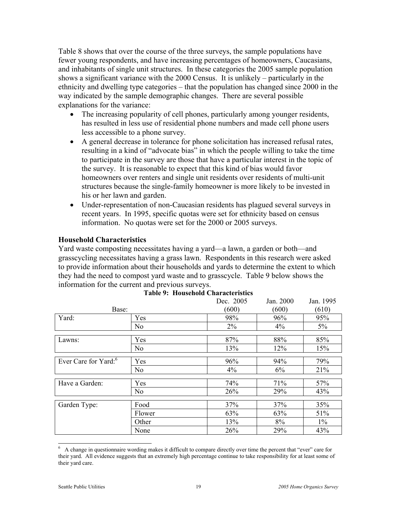Table 8 shows that over the course of the three surveys, the sample populations have fewer young respondents, and have increasing percentages of homeowners, Caucasians, and inhabitants of single unit structures. In these categories the 2005 sample population shows a significant variance with the 2000 Census. It is unlikely – particularly in the ethnicity and dwelling type categories – that the population has changed since 2000 in the way indicated by the sample demographic changes. There are several possible explanations for the variance:

- The increasing popularity of cell phones, particularly among younger residents, has resulted in less use of residential phone numbers and made cell phone users less accessible to a phone survey.
- A general decrease in tolerance for phone solicitation has increased refusal rates, resulting in a kind of "advocate bias" in which the people willing to take the time to participate in the survey are those that have a particular interest in the topic of the survey. It is reasonable to expect that this kind of bias would favor homeowners over renters and single unit residents over residents of multi-unit structures because the single-family homeowner is more likely to be invested in his or her lawn and garden.
- Under-representation of non-Caucasian residents has plagued several surveys in recent years. In 1995, specific quotas were set for ethnicity based on census information. No quotas were set for the 2000 or 2005 surveys.

#### **Household Characteristics**

Yard waste composting necessitates having a yard—a lawn, a garden or both—and grasscycling necessitates having a grass lawn. Respondents in this research were asked to provide information about their households and yards to determine the extent to which they had the need to compost yard waste and to grasscycle. Table 9 below shows the information for the current and previous surveys.

|                                  |                | Dec. 2005 | Jan. 2000 | Jan. 1995 |
|----------------------------------|----------------|-----------|-----------|-----------|
| Base:                            |                | (600)     | (600)     | (610)     |
| Yard:                            | Yes            | 98%       | 96%       | 95%       |
|                                  | N <sub>o</sub> | 2%        | $4\%$     | $5\%$     |
| Lawns:                           | Yes            | 87%       | 88%       | 85%       |
|                                  | N <sub>o</sub> | 13%       | 12%       | 15%       |
| Ever Care for Yard: <sup>6</sup> | Yes            | 96%       | 94%       | 79%       |
|                                  | N <sub>o</sub> | $4\%$     | 6%        | 21%       |
| Have a Garden:                   | Yes            | 74%       | 71%       | 57%       |
|                                  | N <sub>o</sub> | 26%       | 29%       | 43%       |
| Garden Type:                     | Food           | 37%       | 37%       | 35%       |
|                                  | Flower         | 63%       | 63%       | 51%       |
|                                  | Other          | 13%       | 8%        | $1\%$     |
|                                  | None           | 26%       | 29%       | 43%       |

# **Table 9: Household Characteristics**

 $\overline{a}$ 

<sup>6</sup> A change in questionnaire wording makes it difficult to compare directly over time the percent that "ever" care for their yard. All evidence suggests that an extremely high percentage continue to take responsibility for at least some of their yard care.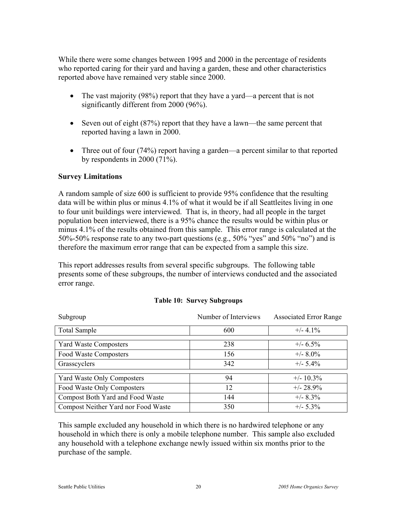While there were some changes between 1995 and 2000 in the percentage of residents who reported caring for their yard and having a garden, these and other characteristics reported above have remained very stable since 2000.

- The vast majority (98%) report that they have a yard—a percent that is not significantly different from 2000 (96%).
- Seven out of eight (87%) report that they have a lawn—the same percent that reported having a lawn in 2000.
- Three out of four (74%) report having a garden—a percent similar to that reported by respondents in 2000 (71%).

#### **Survey Limitations**

A random sample of size 600 is sufficient to provide 95% confidence that the resulting data will be within plus or minus 4.1% of what it would be if all Seattleites living in one to four unit buildings were interviewed. That is, in theory, had all people in the target population been interviewed, there is a 95% chance the results would be within plus or minus 4.1% of the results obtained from this sample. This error range is calculated at the 50%-50% response rate to any two-part questions (e.g., 50% "yes" and 50% "no") and is therefore the maximum error range that can be expected from a sample this size.

This report addresses results from several specific subgroups. The following table presents some of these subgroups, the number of interviews conducted and the associated error range.

| Subgroup                            | Number of Interviews | <b>Associated Error Range</b> |
|-------------------------------------|----------------------|-------------------------------|
| <b>Total Sample</b>                 | 600                  | $+/- 4.1\%$                   |
| <b>Yard Waste Composters</b>        | 238                  | $+/- 6.5\%$                   |
| Food Waste Composters               | 156                  | $+/- 8.0\%$                   |
| Grasscyclers                        | 342                  | $+/- 5.4\%$                   |
| <b>Yard Waste Only Composters</b>   | 94                   | $+/- 10.3\%$                  |
| Food Waste Only Composters          | 12                   | $+/- 28.9%$                   |
| Compost Both Yard and Food Waste    | 144                  | $+/- 8.3\%$                   |
| Compost Neither Yard nor Food Waste | 350                  | $+/- 5.3\%$                   |

#### **Table 10: Survey Subgroups**

This sample excluded any household in which there is no hardwired telephone or any household in which there is only a mobile telephone number. This sample also excluded any household with a telephone exchange newly issued within six months prior to the purchase of the sample.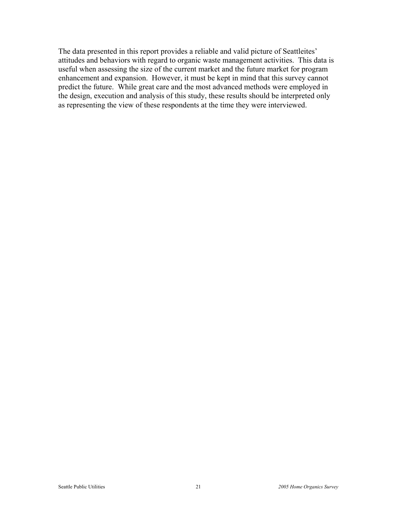The data presented in this report provides a reliable and valid picture of Seattleites' attitudes and behaviors with regard to organic waste management activities. This data is useful when assessing the size of the current market and the future market for program enhancement and expansion. However, it must be kept in mind that this survey cannot predict the future. While great care and the most advanced methods were employed in the design, execution and analysis of this study, these results should be interpreted only as representing the view of these respondents at the time they were interviewed.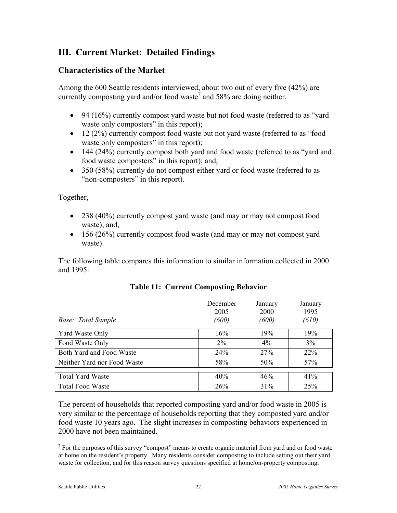# **III. Current Market: Detailed Findings**

#### **Characteristics of the Market**

Among the 600 Seattle residents interviewed, about two out of every five (42%) are currently composting yard and/or food waste<sup>7</sup> and 58% are doing neither.

- 94 (16%) currently compost yard waste but not food waste (referred to as "yard" waste only composters" in this report);
- 12 (2%) currently compost food waste but not yard waste (referred to as "food waste only composters" in this report);
- 144 (24%) currently compost both yard and food waste (referred to as "yard and food waste composters" in this report); and,
- 350 (58%) currently do not compost either yard or food waste (referred to as "non-composters" in this report).

Together,

- 238 (40%) currently compost yard waste (and may or may not compost food waste); and,
- 156 (26%) currently compost food waste (and may or may not compost yard waste).

The following table compares this information to similar information collected in 2000 and 1995:

| <b>Base:</b> Total Sample   | December<br>2005<br>(600) | January<br>2000<br>(600) | January<br>1995<br>(610) |
|-----------------------------|---------------------------|--------------------------|--------------------------|
| Yard Waste Only             | 16%                       | 19%                      | 19%                      |
| Food Waste Only             | $2\%$                     | $4\%$                    | 3%                       |
| Both Yard and Food Waste    | 24%                       | 27%                      | 22%                      |
| Neither Yard nor Food Waste | 58%                       | 50%                      | 57%                      |
|                             |                           |                          |                          |
| <b>Total Yard Waste</b>     | 40%                       | 46%                      | 41%                      |
| <b>Total Food Waste</b>     | 26%                       | 31%                      | 25%                      |

#### **Table 11: Current Composting Behavior**

The percent of households that reported composting yard and/or food waste in 2005 is very similar to the percentage of households reporting that they composted yard and/or food waste 10 years ago. The slight increases in composting behaviors experienced in 2000 have not been maintained.

<sup>&</sup>lt;sup>7</sup> For the purposes of this survey "compost" means to create organic material from yard and or food waste at home on the resident's property. Many residents consider composting to include setting out their yard waste for collection, and for this reason survey questions specified at home/on-property composting.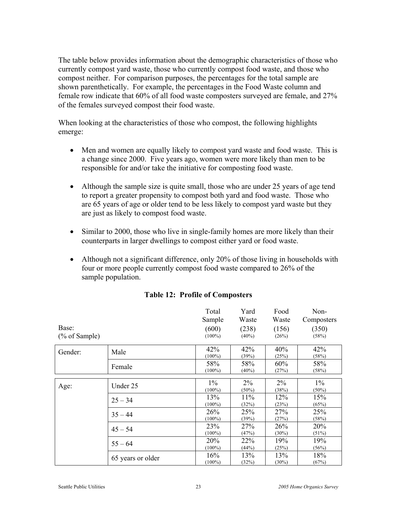The table below provides information about the demographic characteristics of those who currently compost yard waste, those who currently compost food waste, and those who compost neither. For comparison purposes, the percentages for the total sample are shown parenthetically. For example, the percentages in the Food Waste column and female row indicate that 60% of all food waste composters surveyed are female, and 27% of the females surveyed compost their food waste.

When looking at the characteristics of those who compost, the following highlights emerge:

- Men and women are equally likely to compost vard waste and food waste. This is a change since 2000. Five years ago, women were more likely than men to be responsible for and/or take the initiative for composting food waste.
- Although the sample size is quite small, those who are under 25 years of age tend to report a greater propensity to compost both yard and food waste. Those who are 65 years of age or older tend to be less likely to compost yard waste but they are just as likely to compost food waste.
- Similar to 2000, those who live in single-family homes are more likely than their counterparts in larger dwellings to compost either yard or food waste.
- Although not a significant difference, only 20% of those living in households with four or more people currently compost food waste compared to 26% of the sample population.

|                  |                   | Total      | Yard     | Food     | Non-       |
|------------------|-------------------|------------|----------|----------|------------|
|                  |                   | Sample     | Waste    | Waste    | Composters |
| Base:            |                   | (600)      | (238)    | (156)    | (350)      |
| $(\%$ of Sample) |                   | $(100\%)$  | $(40\%)$ | (26%)    | (58%)      |
| Gender:          | Male              | 42%        | 42%      | 40%      | 42%        |
|                  |                   | $(100\%)$  | (39%)    | (25%)    | (58%)      |
|                  | Female            | 58%        | 58%      | 60%      | 58%        |
|                  |                   | $(100\%)$  | (40%)    | (27%)    | (58%)      |
| Age:             | Under 25          | $1\%$      | $2\%$    | $2\%$    | $1\%$      |
|                  |                   | $(100\%)$  | $(50\%)$ | (38%)    | $(50\%)$   |
|                  | $25 - 34$         | 13%        | 11%      | 12%      | 15%        |
|                  |                   | $(100\%)$  | (32%)    | (23%)    | (65%)      |
|                  | $35 - 44$         | 26%        | 25%      | 27%      | 25%        |
|                  |                   | $(100\%)$  | (39%)    | (27%)    | (58%)      |
|                  | $45 - 54$         | 23%        | 27%      | 26%      | 20%        |
|                  |                   | $(100\%)$  | (47%)    | $(30\%)$ | (51%)      |
|                  | $55 - 64$         | <b>20%</b> | 22%      | 19%      | 19%        |
|                  |                   | $(100\%)$  | (44%)    | (25%)    | (56%)      |
|                  | 65 years or older | 16%        | 13%      | 13%      | 18%        |
|                  |                   | $(100\%)$  | (32%)    | $(30\%)$ | (67%)      |

#### **Table 12: Profile of Composters**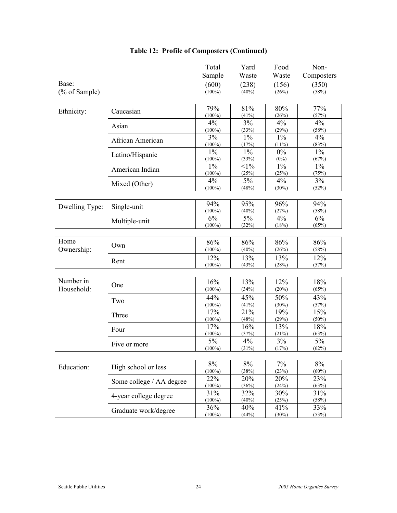|                         |                          | Total<br>Sample    | Yard<br>Waste     | Food<br>Waste     | Non-<br>Composters |
|-------------------------|--------------------------|--------------------|-------------------|-------------------|--------------------|
| Base:<br>(% of Sample)  |                          | (600)<br>$(100\%)$ | (238)<br>$(40\%)$ | (156)<br>(26%)    | (350)<br>(58%)     |
| Ethnicity:              | Caucasian                | 79%<br>$(100\%)$   | 81%<br>(41%)      | 80%<br>(26%)      | 77%<br>(57%)       |
|                         | Asian                    | 4%<br>$(100\%)$    | 3%<br>(33%)       | 4%<br>(29%)       | 4%<br>(58%)        |
|                         | African American         | 3%<br>$(100\%)$    | $1\%$<br>(17%)    | $1\%$<br>$(11\%)$ | 4%<br>(83%)        |
|                         | Latino/Hispanic          | $1\%$<br>$(100\%)$ | $1\%$<br>(33%)    | $0\%$<br>$(0\%)$  | $1\%$<br>(67%)     |
|                         | American Indian          | $1\%$<br>$(100\%)$ | $<1\%$<br>(25%)   | $1\%$<br>(25%)    | $1\%$<br>(75%)     |
|                         | Mixed (Other)            | 4%<br>$(100\%)$    | 5%<br>(48%)       | 4%<br>$(30\%)$    | 3%<br>(52%)        |
| Dwelling Type:          | Single-unit              | 94%<br>$(100\%)$   | 95%<br>$(40\%)$   | 96%<br>(27%)      | 94%<br>(58%)       |
|                         | Multiple-unit            | 6%<br>$(100\%)$    | $5\%$<br>(32%)    | 4%<br>(18%)       | 6%<br>(65%)        |
| Home<br>Ownership:      | Own                      | 86%<br>$(100\%)$   | 86%<br>(40%)      | 86%<br>(26%)      | 86%<br>(58%)       |
|                         | Rent                     | 12%<br>$(100\%)$   | 13%<br>(43%)      | 13%<br>(28%)      | 12%<br>(57%)       |
|                         |                          |                    |                   |                   |                    |
| Number in<br>Household: | One                      | 16%<br>$(100\%)$   | 13%<br>(34%)      | 12%<br>(20%)      | 18%<br>(65%)       |
|                         | Two                      | 44%<br>$(100\%)$   | 45%<br>(41%)      | 50%<br>(30%)      | 43%<br>(57%)       |
|                         | Three                    | 17%<br>$(100\%)$   | 21%<br>(48%)      | 19%<br>(29%)      | 15%<br>(50%)       |
|                         | Four                     | 17%<br>$(100\%)$   | 16%<br>(37%)      | 13%<br>(21%)      | 18%<br>(63%)       |
|                         | Five or more             | 5%<br>$(100\%)$    | 4%<br>(31%)       | 3%<br>(17%)       | 5%<br>(62%)        |
| Education:              | High school or less      | 8%<br>$(100\%)$    | 8%<br>(38%)       | 7%<br>(23%)       | 8%<br>$(60\%)$     |
|                         | Some college / AA degree | 22%<br>$(100\%)$   | 20%<br>(36%)      | 20%<br>(24%)      | 23%<br>(63%)       |
|                         | 4-year college degree    | 31%<br>$(100\%)$   | 32%<br>(40%)      | 30%<br>(25%)      | 31%<br>(58%)       |
|                         | Graduate work/degree     | 36%<br>$(100\%)$   | 40%<br>(44%)      | 41%<br>(30%)      | 33%<br>(53%)       |

### **Table 12: Profile of Composters (Continued)**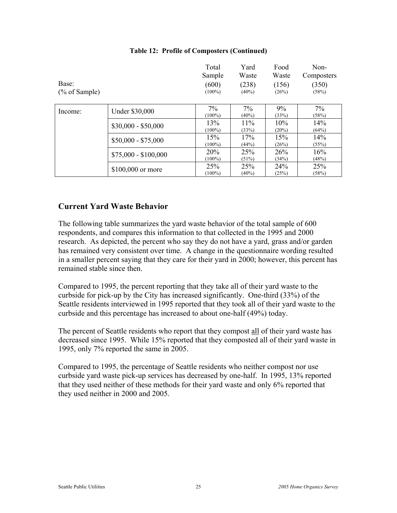| Base:<br>$(\%$ of Sample) |                      | Total<br>Sample<br>(600)<br>$(100\%)$ | Yard<br>Waste<br>(238)<br>$(40\%)$ | Food<br>Waste<br>(156)<br>(26%) | Non-<br>Composters<br>(350)<br>(58%) |
|---------------------------|----------------------|---------------------------------------|------------------------------------|---------------------------------|--------------------------------------|
| Income:                   | Under \$30,000       | 7%<br>$(100\%)$                       | $7\%$<br>$(40\%)$                  | $9\%$<br>(33%)                  | 7%<br>(58%)                          |
|                           | $$30,000 - $50,000$  | 13%<br>$(100\%)$                      | 11%<br>(33%)                       | 10%<br>$(20\%)$                 | 14%<br>(64%)                         |
|                           | $$50,000 - $75,000$  | 15%<br>$(100\%)$                      | 17%<br>(44%)                       | 15%<br>(26%)                    | 14%<br>(55%)                         |
|                           | $$75,000 - $100,000$ | 20%<br>$(100\%)$                      | 25%<br>(51%)                       | 26%<br>(34%)                    | 16%<br>(48%)                         |
|                           | \$100,000 or more    | 25%<br>$(100\%)$                      | 25%<br>$(40\%)$                    | 24%<br>(25%)                    | 25%<br>(58%)                         |

#### **Table 12: Profile of Composters (Continued)**

#### **Current Yard Waste Behavior**

The following table summarizes the yard waste behavior of the total sample of 600 respondents, and compares this information to that collected in the 1995 and 2000 research. As depicted, the percent who say they do not have a yard, grass and/or garden has remained very consistent over time. A change in the questionnaire wording resulted in a smaller percent saying that they care for their yard in 2000; however, this percent has remained stable since then.

Compared to 1995, the percent reporting that they take all of their yard waste to the curbside for pick-up by the City has increased significantly. One-third (33%) of the Seattle residents interviewed in 1995 reported that they took all of their yard waste to the curbside and this percentage has increased to about one-half (49%) today.

The percent of Seattle residents who report that they compost all of their yard waste has decreased since 1995. While 15% reported that they composted all of their yard waste in 1995, only 7% reported the same in 2005.

Compared to 1995, the percentage of Seattle residents who neither compost nor use curbside yard waste pick-up services has decreased by one-half. In 1995, 13% reported that they used neither of these methods for their yard waste and only 6% reported that they used neither in 2000 and 2005.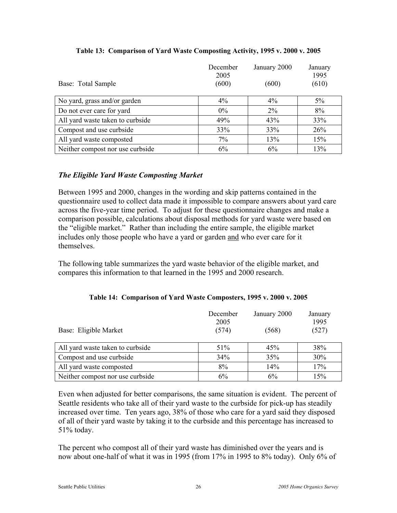| Base: Total Sample               | December<br>2005<br>(600) | January 2000<br>(600) | January<br>1995<br>(610) |
|----------------------------------|---------------------------|-----------------------|--------------------------|
| No yard, grass and/or garden     | $4\%$                     | $4\%$                 | $5\%$                    |
| Do not ever care for yard        | $0\%$                     | $2\%$                 | 8%                       |
| All yard waste taken to curbside | 49%                       | 43%                   | 33%                      |
| Compost and use curbside         | 33%                       | 33%                   | 26%                      |
| All yard waste composted         | 7%                        | 13%                   | 15%                      |
| Neither compost nor use curbside | 6%                        | 6%                    | 13%                      |

#### **Table 13: Comparison of Yard Waste Composting Activity, 1995 v. 2000 v. 2005**

#### *The Eligible Yard Waste Composting Market*

Between 1995 and 2000, changes in the wording and skip patterns contained in the questionnaire used to collect data made it impossible to compare answers about yard care across the five-year time period. To adjust for these questionnaire changes and make a comparison possible, calculations about disposal methods for yard waste were based on the "eligible market." Rather than including the entire sample, the eligible market includes only those people who have a yard or garden and who ever care for it themselves.

The following table summarizes the yard waste behavior of the eligible market, and compares this information to that learned in the 1995 and 2000 research.

| Base: Eligible Market            | December<br>2005<br>(574) | January 2000<br>(568) | January<br>1995<br>(527) |
|----------------------------------|---------------------------|-----------------------|--------------------------|
| All yard waste taken to curbside | 51%                       | 45%                   | 38%                      |
| Compost and use curbside         | 34%                       | 35%                   | 30%                      |
| All yard waste composted         | 8%                        | 14%                   | 17%                      |
| Neither compost nor use curbside | 6%                        | 6%                    | 15%                      |

#### **Table 14: Comparison of Yard Waste Composters, 1995 v. 2000 v. 2005**

Even when adjusted for better comparisons, the same situation is evident. The percent of Seattle residents who take all of their yard waste to the curbside for pick-up has steadily increased over time. Ten years ago, 38% of those who care for a yard said they disposed of all of their yard waste by taking it to the curbside and this percentage has increased to 51% today.

The percent who compost all of their yard waste has diminished over the years and is now about one-half of what it was in 1995 (from 17% in 1995 to 8% today). Only 6% of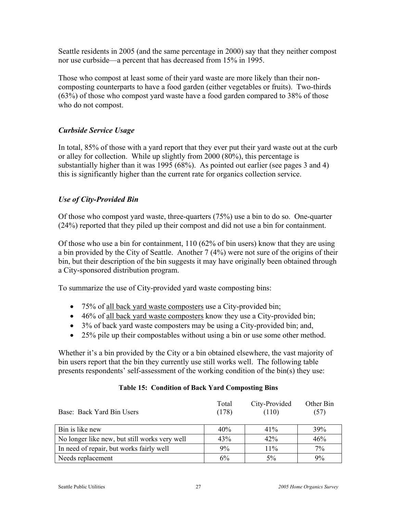Seattle residents in 2005 (and the same percentage in 2000) say that they neither compost nor use curbside—a percent that has decreased from 15% in 1995.

Those who compost at least some of their yard waste are more likely than their noncomposting counterparts to have a food garden (either vegetables or fruits). Two-thirds (63%) of those who compost yard waste have a food garden compared to 38% of those who do not compost.

#### *Curbside Service Usage*

In total, 85% of those with a yard report that they ever put their yard waste out at the curb or alley for collection. While up slightly from 2000 (80%), this percentage is substantially higher than it was 1995 (68%). As pointed out earlier (see pages 3 and 4) this is significantly higher than the current rate for organics collection service.

#### *Use of City-Provided Bin*

Of those who compost yard waste, three-quarters (75%) use a bin to do so. One-quarter (24%) reported that they piled up their compost and did not use a bin for containment.

Of those who use a bin for containment, 110 (62% of bin users) know that they are using a bin provided by the City of Seattle. Another 7 (4%) were not sure of the origins of their bin, but their description of the bin suggests it may have originally been obtained through a City-sponsored distribution program.

To summarize the use of City-provided yard waste composting bins:

- 75% of all back yard waste composters use a City-provided bin;
- 46% of all back yard waste composters know they use a City-provided bin;
- 3% of back yard waste composters may be using a City-provided bin; and,
- 25% pile up their compostables without using a bin or use some other method.

Whether it's a bin provided by the City or a bin obtained elsewhere, the vast majority of bin users report that the bin they currently use still works well. The following table presents respondents' self-assessment of the working condition of the bin(s) they use:

| Base: Back Yard Bin Users                     | Total<br>(178) | City-Provided<br>(110) | Other Bin<br>(57) |
|-----------------------------------------------|----------------|------------------------|-------------------|
| Bin is like new                               | 40%            | $41\%$                 | 39%               |
| No longer like new, but still works very well | 43%            | 42%                    | 46%               |
| In need of repair, but works fairly well      | 9%             | 11%                    | 7%                |
| Needs replacement                             | 6%             | $5\%$                  | 9%                |

#### **Table 15: Condition of Back Yard Composting Bins**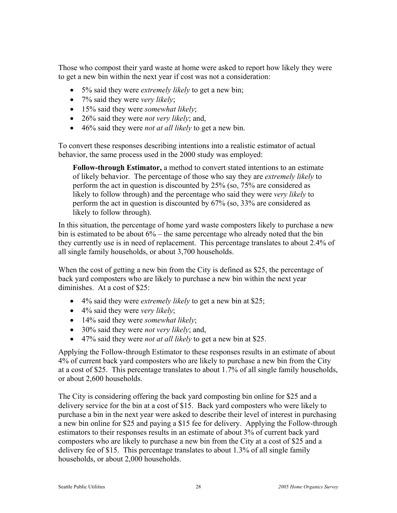Those who compost their yard waste at home were asked to report how likely they were to get a new bin within the next year if cost was not a consideration:

- 5% said they were *extremely likely* to get a new bin;
- 7% said they were *very likely*;
- 15% said they were *somewhat likely*;
- 26% said they were *not very likely*; and,
- 46% said they were *not at all likely* to get a new bin.

To convert these responses describing intentions into a realistic estimator of actual behavior, the same process used in the 2000 study was employed:

**Follow-through Estimator,** a method to convert stated intentions to an estimate of likely behavior. The percentage of those who say they are *extremely likely* to perform the act in question is discounted by 25% (so, 75% are considered as likely to follow through) and the percentage who said they were *very likely* to perform the act in question is discounted by 67% (so, 33% are considered as likely to follow through).

In this situation, the percentage of home yard waste composters likely to purchase a new bin is estimated to be about 6% – the same percentage who already noted that the bin they currently use is in need of replacement. This percentage translates to about 2.4% of all single family households, or about 3,700 households.

When the cost of getting a new bin from the City is defined as \$25, the percentage of back yard composters who are likely to purchase a new bin within the next year diminishes. At a cost of \$25<sup>-</sup>

- 4% said they were *extremely likely* to get a new bin at \$25;
- 4% said they were *very likely*;
- 14% said they were *somewhat likely*;
- 30% said they were *not very likely*; and,
- 47% said they were *not at all likely* to get a new bin at \$25.

Applying the Follow-through Estimator to these responses results in an estimate of about 4% of current back yard composters who are likely to purchase a new bin from the City at a cost of \$25. This percentage translates to about 1.7% of all single family households, or about 2,600 households.

The City is considering offering the back yard composting bin online for \$25 and a delivery service for the bin at a cost of \$15. Back yard composters who were likely to purchase a bin in the next year were asked to describe their level of interest in purchasing a new bin online for \$25 and paying a \$15 fee for delivery. Applying the Follow-through estimators to their responses results in an estimate of about 3% of current back yard composters who are likely to purchase a new bin from the City at a cost of \$25 and a delivery fee of \$15. This percentage translates to about 1.3% of all single family households, or about 2,000 households.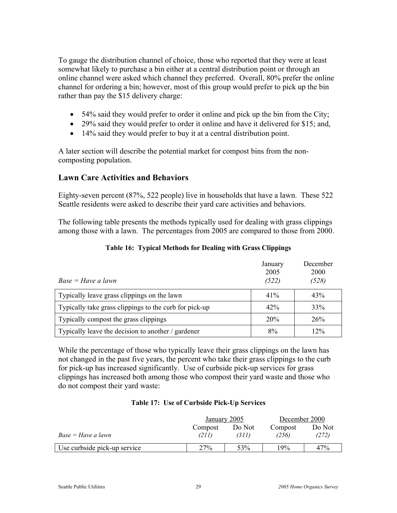To gauge the distribution channel of choice, those who reported that they were at least somewhat likely to purchase a bin either at a central distribution point or through an online channel were asked which channel they preferred. Overall, 80% prefer the online channel for ordering a bin; however, most of this group would prefer to pick up the bin rather than pay the \$15 delivery charge:

- 54% said they would prefer to order it online and pick up the bin from the City;
- 29% said they would prefer to order it online and have it delivered for \$15; and,
- 14% said they would prefer to buy it at a central distribution point.

A later section will describe the potential market for compost bins from the noncomposting population.

#### **Lawn Care Activities and Behaviors**

Eighty-seven percent (87%, 522 people) live in households that have a lawn. These 522 Seattle residents were asked to describe their yard care activities and behaviors.

The following table presents the methods typically used for dealing with grass clippings among those with a lawn. The percentages from 2005 are compared to those from 2000.

| $Base = Have a lawn$                                   | January<br>2005<br>(522) | December<br>2000<br>(528) |
|--------------------------------------------------------|--------------------------|---------------------------|
| Typically leave grass clippings on the lawn            | 41%                      | 43%                       |
| Typically take grass clippings to the curb for pick-up | 42%                      | 33%                       |
| Typically compost the grass clippings                  | 20%                      | 26%                       |
| Typically leave the decision to another / gardener     | 8%                       | 12%                       |

#### **Table 16: Typical Methods for Dealing with Grass Clippings**

While the percentage of those who typically leave their grass clippings on the lawn has not changed in the past five years, the percent who take their grass clippings to the curb for pick-up has increased significantly. Use of curbside pick-up services for grass clippings has increased both among those who compost their yard waste and those who do not compost their yard waste:

#### **Table 17: Use of Curbside Pick-Up Services**

|                              | January 2005     |                 | December 2000    |                 |  |
|------------------------------|------------------|-----------------|------------------|-----------------|--|
| Base = Have a lawn           | Compost<br>(211) | Do Not<br>(311) | Compost<br>(256) | Do Not<br>(272) |  |
| Use curbside pick-up service | 27%              | 53%             | 19%              | 47%             |  |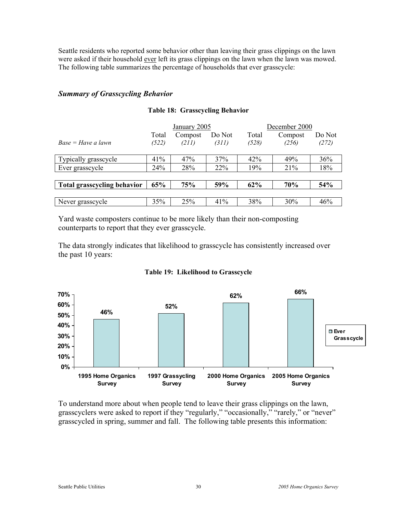Seattle residents who reported some behavior other than leaving their grass clippings on the lawn were asked if their household ever left its grass clippings on the lawn when the lawn was mowed. The following table summarizes the percentage of households that ever grasscycle:

#### *Summary of Grasscycling Behavior*

|                             | January 2005   |                  | December 2000   |                |                  |                 |
|-----------------------------|----------------|------------------|-----------------|----------------|------------------|-----------------|
| $Base = Have a lawn$        | Total<br>(522) | Compost<br>(211) | Do Not<br>(311) | Total<br>(528) | Compost<br>(256) | Do Not<br>(272) |
| Typically grasscycle        | 41%            | 47%              | 37%             | 42%            | 49%              | 36%             |
| Ever grasscycle             | 24%            | 28%              | 22%             | 19%            | 21%              | 18%             |
|                             |                |                  |                 |                |                  |                 |
| Total grasscycling behavior | 65%            | 75%              | 59%             | 62%            | 70%              | 54%             |
|                             |                |                  |                 |                |                  |                 |
| Never grasscycle            | 35%            | 25%              | 41%             | 38%            | 30%              | 46%             |

#### **Table 18: Grasscycling Behavior**

Yard waste composters continue to be more likely than their non-composting counterparts to report that they ever grasscycle.

The data strongly indicates that likelihood to grasscycle has consistently increased over the past 10 years:



#### **Table 19: Likelihood to Grasscycle**

To understand more about when people tend to leave their grass clippings on the lawn, grasscyclers were asked to report if they "regularly," "occasionally," "rarely," or "never" grasscycled in spring, summer and fall. The following table presents this information: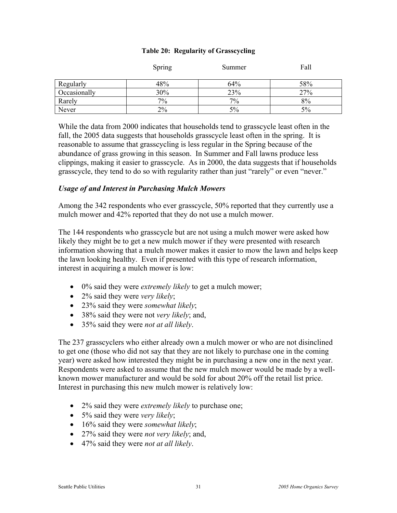|  |  | Table 20: Regularity of Grasscycling |
|--|--|--------------------------------------|
|--|--|--------------------------------------|

|              | Spring | Summer | Fall |
|--------------|--------|--------|------|
| Regularly    | 48%    | 64%    | 58%  |
| Occasionally | 30%    | 23%    | 27%  |
| Rarely       | $7\%$  | 7%     | 8%   |
| Never        | $2\%$  | 5%     | 5%   |

While the data from 2000 indicates that households tend to grasscycle least often in the fall, the 2005 data suggests that households grasscycle least often in the spring. It is reasonable to assume that grasscycling is less regular in the Spring because of the abundance of grass growing in this season. In Summer and Fall lawns produce less clippings, making it easier to grasscycle. As in 2000, the data suggests that if households grasscycle, they tend to do so with regularity rather than just "rarely" or even "never."

#### *Usage of and Interest in Purchasing Mulch Mowers*

Among the 342 respondents who ever grasscycle, 50% reported that they currently use a mulch mower and 42% reported that they do not use a mulch mower.

The 144 respondents who grasscycle but are not using a mulch mower were asked how likely they might be to get a new mulch mower if they were presented with research information showing that a mulch mower makes it easier to mow the lawn and helps keep the lawn looking healthy. Even if presented with this type of research information, interest in acquiring a mulch mower is low:

- 0% said they were *extremely likely* to get a mulch mower;
- 2% said they were *very likely*;
- 23% said they were *somewhat likely*;
- 38% said they were not *very likely*; and,
- 35% said they were *not at all likely*.

The 237 grasscyclers who either already own a mulch mower or who are not disinclined to get one (those who did not say that they are not likely to purchase one in the coming year) were asked how interested they might be in purchasing a new one in the next year. Respondents were asked to assume that the new mulch mower would be made by a wellknown mower manufacturer and would be sold for about 20% off the retail list price. Interest in purchasing this new mulch mower is relatively low:

- 2% said they were *extremely likely* to purchase one;
- 5% said they were *very likely*;
- 16% said they were *somewhat likely*;
- 27% said they were *not very likely*; and,
- 47% said they were *not at all likely*.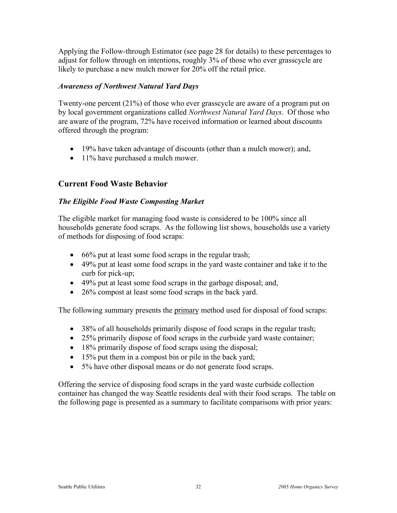Applying the Follow-through Estimator (see page 28 for details) to these percentages to adjust for follow through on intentions, roughly 3% of those who ever grasscycle are likely to purchase a new mulch mower for 20% off the retail price.

#### *Awareness of Northwest Natural Yard Days*

Twenty-one percent (21%) of those who ever grasscycle are aware of a program put on by local government organizations called *Northwest Natural Yard Days*. Of those who are aware of the program, 72% have received information or learned about discounts offered through the program:

- 19% have taken advantage of discounts (other than a mulch mower); and,
- 11% have purchased a mulch mower.

#### **Current Food Waste Behavior**

#### *The Eligible Food Waste Composting Market*

The eligible market for managing food waste is considered to be 100% since all households generate food scraps. As the following list shows, households use a variety of methods for disposing of food scraps:

- 66% put at least some food scraps in the regular trash;
- 49% put at least some food scraps in the yard waste container and take it to the curb for pick-up;
- 49% put at least some food scraps in the garbage disposal; and,
- 26% compost at least some food scraps in the back yard.

The following summary presents the primary method used for disposal of food scraps:

- 38% of all households primarily dispose of food scraps in the regular trash;
- 25% primarily dispose of food scraps in the curbside yard waste container;
- 18% primarily dispose of food scraps using the disposal;
- 15% put them in a compost bin or pile in the back yard;
- 5% have other disposal means or do not generate food scraps.

Offering the service of disposing food scraps in the yard waste curbside collection container has changed the way Seattle residents deal with their food scraps. The table on the following page is presented as a summary to facilitate comparisons with prior years: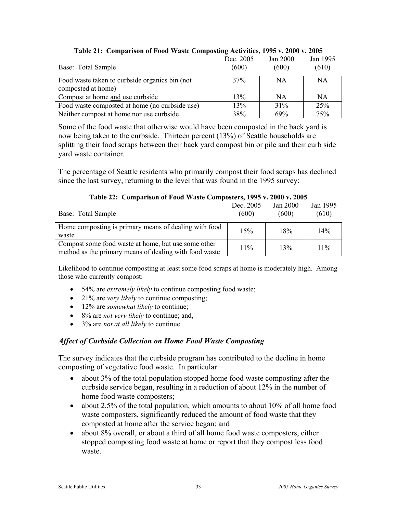| Tapic 21. Comparison of Food Waste Composing Activities, 1770 W. 2000 W. 2000 |           |           |           |
|-------------------------------------------------------------------------------|-----------|-----------|-----------|
|                                                                               | Dec. 2005 | Jan 2000  | Jan 1995  |
| Base: Total Sample                                                            | (600)     | (600)     | (610)     |
| Food waste taken to curbside organics bin (not                                | 37%       | NA.       | <b>NA</b> |
| composted at home)                                                            |           |           |           |
| Compost at home and use curbside                                              | 13%       | <b>NA</b> | NA        |
| Food waste composted at home (no curbside use)                                | 13%       | 31%       | 25%       |
| Neither compost at home nor use curbside                                      | 38%       | 69%       | 75%       |

## **Table 21: Comparison of Food Waste Composting Activities, 1995 v. 2000 v. 2005**

Some of the food waste that otherwise would have been composted in the back yard is now being taken to the curbside. Thirteen percent (13%) of Seattle households are splitting their food scraps between their back yard compost bin or pile and their curb side yard waste container.

The percentage of Seattle residents who primarily compost their food scraps has declined since the last survey, returning to the level that was found in the 1995 survey:

| Base: Total Sample                                                                                            | Dec. 2005<br>(600) | Jan $2000$<br>(600) | Jan 1995<br>(610) |
|---------------------------------------------------------------------------------------------------------------|--------------------|---------------------|-------------------|
| Home composting is primary means of dealing with food<br>waste                                                | 15%                | 18%                 | $14\%$            |
| Compost some food waste at home, but use some other<br>method as the primary means of dealing with food waste | $11\%$             | 13%                 | $11\%$            |

## **Table 22: Comparison of Food Waste Composters, 1995 v. 2000 v. 2005**

Likelihood to continue composting at least some food scraps at home is moderately high. Among those who currently compost:

- 54% are *extremely likely* to continue composting food waste;
- 21% are *very likely* to continue composting;
- 12% are *somewhat likely* to continue;
- 8% are *not very likely* to continue; and,
- 3% are *not at all likely* to continue.

# *Affect of Curbside Collection on Home Food Waste Composting*

The survey indicates that the curbside program has contributed to the decline in home composting of vegetative food waste. In particular:

- about 3% of the total population stopped home food waste composting after the curbside service began, resulting in a reduction of about 12% in the number of home food waste composters;
- about 2.5% of the total population, which amounts to about 10% of all home food waste composters, significantly reduced the amount of food waste that they composted at home after the service began; and
- about 8% overall, or about a third of all home food waste composters, either stopped composting food waste at home or report that they compost less food waste.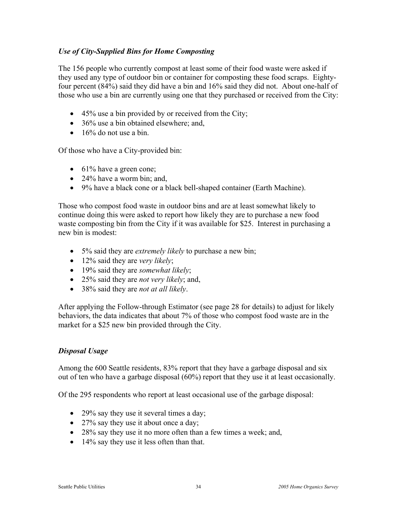# *Use of City-Supplied Bins for Home Composting*

The 156 people who currently compost at least some of their food waste were asked if they used any type of outdoor bin or container for composting these food scraps. Eightyfour percent (84%) said they did have a bin and 16% said they did not. About one-half of those who use a bin are currently using one that they purchased or received from the City:

- 45% use a bin provided by or received from the City;
- 36% use a bin obtained elsewhere; and,
- $\bullet$  16% do not use a bin.

Of those who have a City-provided bin:

- 61% have a green cone;
- 24% have a worm bin; and,
- 9% have a black cone or a black bell-shaped container (Earth Machine).

Those who compost food waste in outdoor bins and are at least somewhat likely to continue doing this were asked to report how likely they are to purchase a new food waste composting bin from the City if it was available for \$25. Interest in purchasing a new bin is modest:

- 5% said they are *extremely likely* to purchase a new bin;
- 12% said they are *very likely*;
- 19% said they are *somewhat likely*;
- 25% said they are *not very likely*; and,
- 38% said they are *not at all likely*.

After applying the Follow-through Estimator (see page 28 for details) to adjust for likely behaviors, the data indicates that about 7% of those who compost food waste are in the market for a \$25 new bin provided through the City.

## *Disposal Usage*

Among the 600 Seattle residents, 83% report that they have a garbage disposal and six out of ten who have a garbage disposal (60%) report that they use it at least occasionally.

Of the 295 respondents who report at least occasional use of the garbage disposal:

- 29% say they use it several times a day;
- 27% say they use it about once a day;
- 28% say they use it no more often than a few times a week; and,
- 14% say they use it less often than that.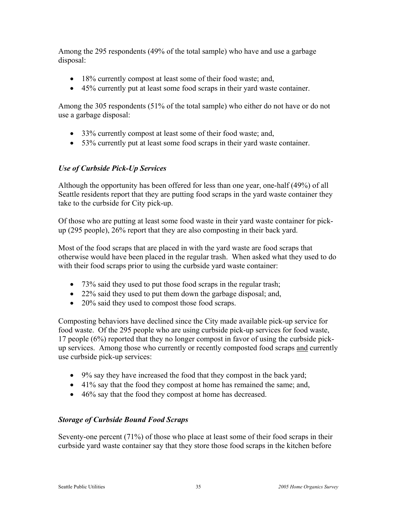Among the 295 respondents (49% of the total sample) who have and use a garbage disposal:

- 18% currently compost at least some of their food waste; and,
- 45% currently put at least some food scraps in their yard waste container.

Among the 305 respondents (51% of the total sample) who either do not have or do not use a garbage disposal:

- 33% currently compost at least some of their food waste; and,
- 53% currently put at least some food scraps in their yard waste container.

# *Use of Curbside Pick-Up Services*

Although the opportunity has been offered for less than one year, one-half (49%) of all Seattle residents report that they are putting food scraps in the yard waste container they take to the curbside for City pick-up.

Of those who are putting at least some food waste in their yard waste container for pickup (295 people), 26% report that they are also composting in their back yard.

Most of the food scraps that are placed in with the yard waste are food scraps that otherwise would have been placed in the regular trash. When asked what they used to do with their food scraps prior to using the curbside yard waste container:

- 73% said they used to put those food scraps in the regular trash;
- 22% said they used to put them down the garbage disposal; and,
- 20% said they used to compost those food scraps.

Composting behaviors have declined since the City made available pick-up service for food waste. Of the 295 people who are using curbside pick-up services for food waste, 17 people (6%) reported that they no longer compost in favor of using the curbside pickup services. Among those who currently or recently composted food scraps and currently use curbside pick-up services:

- 9% say they have increased the food that they compost in the back yard;
- 41% say that the food they compost at home has remained the same; and,
- 46% say that the food they compost at home has decreased.

# *Storage of Curbside Bound Food Scraps*

Seventy-one percent (71%) of those who place at least some of their food scraps in their curbside yard waste container say that they store those food scraps in the kitchen before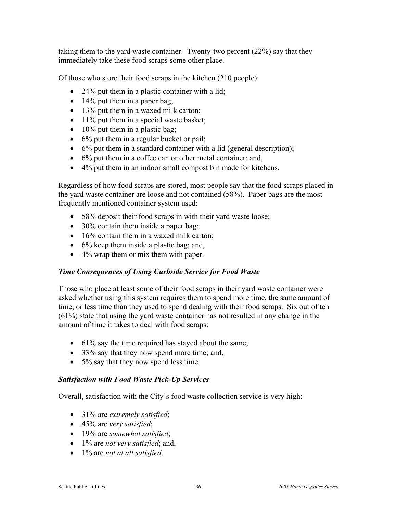taking them to the yard waste container. Twenty-two percent (22%) say that they immediately take these food scraps some other place.

Of those who store their food scraps in the kitchen (210 people):

- 24% put them in a plastic container with a lid;
- $\bullet$  14% put them in a paper bag;
- 13% put them in a waxed milk carton;
- 11% put them in a special waste basket;
- 10% put them in a plastic bag;
- 6% put them in a regular bucket or pail;
- 6% put them in a standard container with a lid (general description);
- 6% put them in a coffee can or other metal container; and,
- 4% put them in an indoor small compost bin made for kitchens.

Regardless of how food scraps are stored, most people say that the food scraps placed in the yard waste container are loose and not contained (58%). Paper bags are the most frequently mentioned container system used:

- 58% deposit their food scraps in with their yard waste loose;
- 30% contain them inside a paper bag;
- 16% contain them in a waxed milk carton;
- 6% keep them inside a plastic bag; and,
- 4% wrap them or mix them with paper.

# *Time Consequences of Using Curbside Service for Food Waste*

Those who place at least some of their food scraps in their yard waste container were asked whether using this system requires them to spend more time, the same amount of time, or less time than they used to spend dealing with their food scraps. Six out of ten (61%) state that using the yard waste container has not resulted in any change in the amount of time it takes to deal with food scraps:

- 61% say the time required has stayed about the same;
- 33% say that they now spend more time; and,
- 5% say that they now spend less time.

# *Satisfaction with Food Waste Pick-Up Services*

Overall, satisfaction with the City's food waste collection service is very high:

- 31% are *extremely satisfied*;
- 45% are *very satisfied*;
- 19% are *somewhat satisfied*;
- 1% are *not very satisfied*; and,
- 1% are *not at all satisfied*.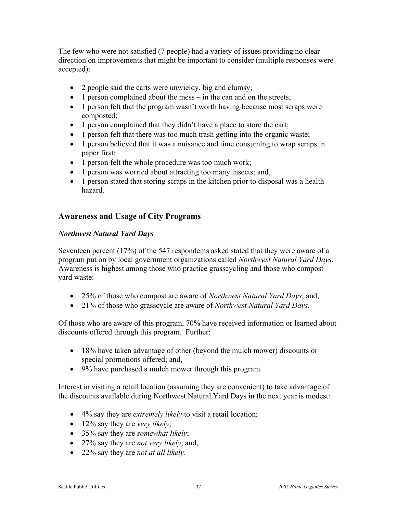The few who were not satisfied (7 people) had a variety of issues providing no clear direction on improvements that might be important to consider (multiple responses were accepted):

- 2 people said the carts were unwieldy, big and clumsy;
- $\bullet$  1 person complained about the mess in the can and on the streets;
- 1 person felt that the program wasn't worth having because most scraps were composted;
- 1 person complained that they didn't have a place to store the cart;
- 1 person felt that there was too much trash getting into the organic waste;
- 1 person believed that it was a nuisance and time consuming to wrap scraps in paper first;
- 1 person felt the whole procedure was too much work;
- 1 person was worried about attracting too many insects; and,
- 1 person stated that storing scraps in the kitchen prior to disposal was a health hazard.

# **Awareness and Usage of City Programs**

## *Northwest Natural Yard Days*

Seventeen percent (17%) of the 547 respondents asked stated that they were aware of a program put on by local government organizations called *Northwest Natural Yard Days*. Awareness is highest among those who practice grasscycling and those who compost yard waste:

- 25% of those who compost are aware of *Northwest Natural Yard Days*; and,
- 21% of those who grasscycle are aware of *Northwest Natural Yard Days.*

Of those who are aware of this program, 70% have received information or learned about discounts offered through this program. Further:

- 18% have taken advantage of other (beyond the mulch mower) discounts or special promotions offered; and,
- 9% have purchased a mulch mower through this program.

Interest in visiting a retail location (assuming they are convenient) to take advantage of the discounts available during Northwest Natural Yard Days in the next year is modest:

- 4% say they are *extremely likely* to visit a retail location;
- 12% say they are *very likely*;
- 35% say they are *somewhat likely*;
- 27% say they are *not very likely*; and,
- 22% say they are *not at all likely*.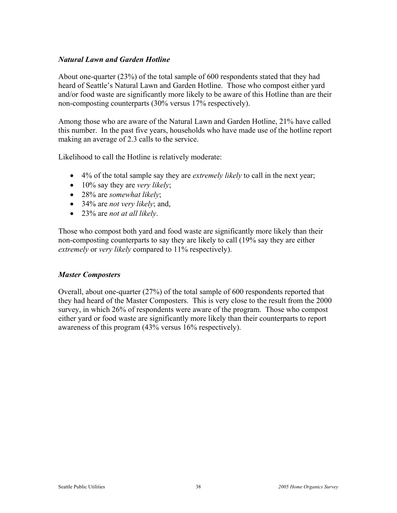# *Natural Lawn and Garden Hotline*

About one-quarter (23%) of the total sample of 600 respondents stated that they had heard of Seattle's Natural Lawn and Garden Hotline. Those who compost either yard and/or food waste are significantly more likely to be aware of this Hotline than are their non-composting counterparts (30% versus 17% respectively).

Among those who are aware of the Natural Lawn and Garden Hotline, 21% have called this number. In the past five years, households who have made use of the hotline report making an average of 2.3 calls to the service.

Likelihood to call the Hotline is relatively moderate:

- 4% of the total sample say they are *extremely likely* to call in the next year;
- 10% say they are *very likely*;
- 28% are *somewhat likely*;
- 34% are *not very likely*; and,
- 23% are *not at all likely*.

Those who compost both yard and food waste are significantly more likely than their non-composting counterparts to say they are likely to call (19% say they are either *extremely* or *very likely* compared to 11% respectively).

## *Master Composters*

Overall, about one-quarter (27%) of the total sample of 600 respondents reported that they had heard of the Master Composters. This is very close to the result from the 2000 survey, in which 26% of respondents were aware of the program. Those who compost either yard or food waste are significantly more likely than their counterparts to report awareness of this program (43% versus 16% respectively).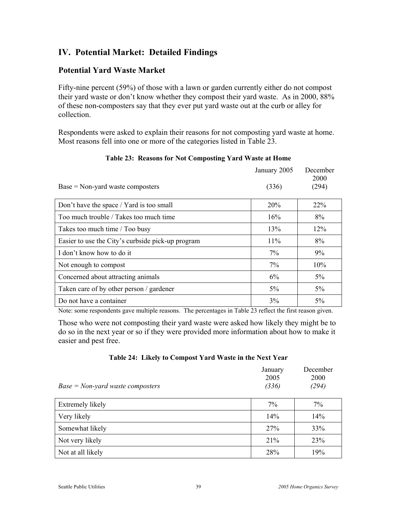# **IV. Potential Market: Detailed Findings**

# **Potential Yard Waste Market**

Fifty-nine percent (59%) of those with a lawn or garden currently either do not compost their yard waste or don't know whether they compost their yard waste. As in 2000, 88% of these non-composters say that they ever put yard waste out at the curb or alley for collection.

Respondents were asked to explain their reasons for not composting yard waste at home. Most reasons fell into one or more of the categories listed in Table 23.

|                                                   | January 2005 | December<br>2000 |
|---------------------------------------------------|--------------|------------------|
| $Base = Non-yard$ waste composters                | (336)        | (294)            |
| Don't have the space / Yard is too small          | 20%          | $22\%$           |
| Too much trouble / Takes too much time            | 16%          | 8%               |
| Takes too much time / Too busy                    | 13%          | 12%              |
| Easier to use the City's curbside pick-up program | $11\%$       | 8%               |
| I don't know how to do it                         | $7\%$        | $9\%$            |
| Not enough to compost                             | $7\%$        | 10%              |
| Concerned about attracting animals                | 6%           | $5\%$            |
| Taken care of by other person / gardener          | $5\%$        | $5\%$            |
| Do not have a container                           | 3%           | $5\%$            |

## **Table 23: Reasons for Not Composting Yard Waste at Home**

Note: some respondents gave multiple reasons. The percentages in Table 23 reflect the first reason given.

Those who were not composting their yard waste were asked how likely they might be to do so in the next year or so if they were provided more information about how to make it easier and pest free.

| $Base = Non-yard$ waste composters | January<br>2005<br>(336) | December<br>2000<br>(294) |
|------------------------------------|--------------------------|---------------------------|
| Extremely likely                   | $7\%$                    | $7\%$                     |
| Very likely                        | 14%                      | 14%                       |
| Somewhat likely                    | 27%                      | 33%                       |
| Not very likely                    | 21%                      | 23%                       |
| Not at all likely                  | 28%                      | 19%                       |

## **Table 24: Likely to Compost Yard Waste in the Next Year**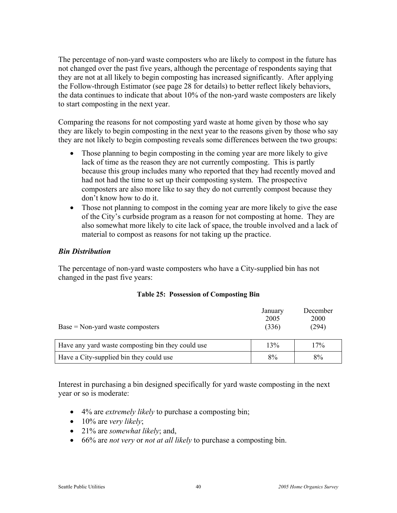The percentage of non-yard waste composters who are likely to compost in the future has not changed over the past five years, although the percentage of respondents saying that they are not at all likely to begin composting has increased significantly. After applying the Follow-through Estimator (see page 28 for details) to better reflect likely behaviors, the data continues to indicate that about 10% of the non-yard waste composters are likely to start composting in the next year.

Comparing the reasons for not composting yard waste at home given by those who say they are likely to begin composting in the next year to the reasons given by those who say they are not likely to begin composting reveals some differences between the two groups:

- Those planning to begin composting in the coming year are more likely to give lack of time as the reason they are not currently composting. This is partly because this group includes many who reported that they had recently moved and had not had the time to set up their composting system. The prospective composters are also more like to say they do not currently compost because they don't know how to do it.
- Those not planning to compost in the coming year are more likely to give the ease of the City's curbside program as a reason for not composting at home. They are also somewhat more likely to cite lack of space, the trouble involved and a lack of material to compost as reasons for not taking up the practice.

## *Bin Distribution*

The percentage of non-yard waste composters who have a City-supplied bin has not changed in the past five years:

| $Base = Non-yard$ waste composters                | January<br>2005<br>(336) | December<br><b>2000</b><br>(294) |
|---------------------------------------------------|--------------------------|----------------------------------|
| Have any yard waste composting bin they could use | 13%                      | 17%                              |
| Have a City-supplied bin they could use           | 8%                       | 8%                               |

#### **Table 25: Possession of Composting Bin**

Interest in purchasing a bin designed specifically for yard waste composting in the next year or so is moderate:

- 4% are *extremely likely* to purchase a composting bin;
- 10% are *very likely*;
- 21% are *somewhat likely*; and,
- 66% are *not very* or *not at all likely* to purchase a composting bin.

December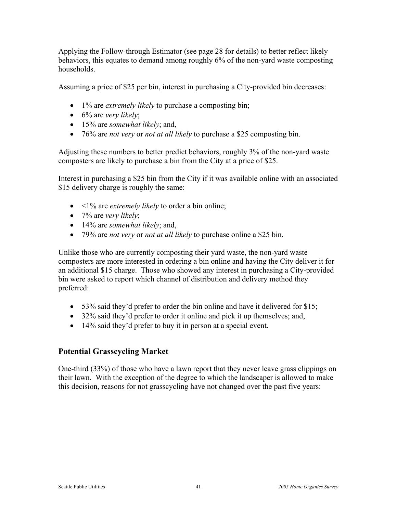Applying the Follow-through Estimator (see page 28 for details) to better reflect likely behaviors, this equates to demand among roughly 6% of the non-yard waste composting households.

Assuming a price of \$25 per bin, interest in purchasing a City-provided bin decreases:

- 1% are *extremely likely* to purchase a composting bin;
- 6% are *very likely*;
- 15% are *somewhat likely*; and,
- 76% are *not very* or *not at all likely* to purchase a \$25 composting bin.

Adjusting these numbers to better predict behaviors, roughly 3% of the non-yard waste composters are likely to purchase a bin from the City at a price of \$25.

Interest in purchasing a \$25 bin from the City if it was available online with an associated \$15 delivery charge is roughly the same:

- <1% are *extremely likely* to order a bin online;
- 7% are *very likely*;
- 14% are *somewhat likely*; and,
- 79% are *not very* or *not at all likely* to purchase online a \$25 bin.

Unlike those who are currently composting their yard waste, the non-yard waste composters are more interested in ordering a bin online and having the City deliver it for an additional \$15 charge. Those who showed any interest in purchasing a City-provided bin were asked to report which channel of distribution and delivery method they preferred:

- 53% said they'd prefer to order the bin online and have it delivered for \$15;
- 32% said they'd prefer to order it online and pick it up themselves; and,
- 14% said they'd prefer to buy it in person at a special event.

# **Potential Grasscycling Market**

One-third (33%) of those who have a lawn report that they never leave grass clippings on their lawn. With the exception of the degree to which the landscaper is allowed to make this decision, reasons for not grasscycling have not changed over the past five years: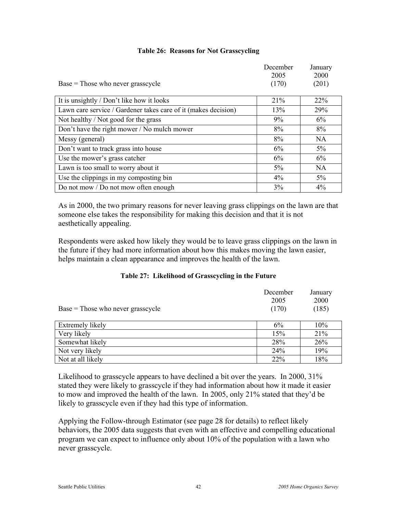|  |  |  | <b>Table 26: Reasons for Not Grasscycling</b> |
|--|--|--|-----------------------------------------------|
|--|--|--|-----------------------------------------------|

|                                                                | December<br>2005 | January<br>2000 |
|----------------------------------------------------------------|------------------|-----------------|
| $Base = Those$ who never grasscycle                            | (170)            | (201)           |
| It is unsightly / Don't like how it looks                      | 21%              | 22%             |
| Lawn care service / Gardener takes care of it (makes decision) | 13%              | 29%             |
| Not healthy / Not good for the grass                           | 9%               | 6%              |
| Don't have the right mower / No mulch mower                    | 8%               | 8%              |
| Messy (general)                                                | 8%               | <b>NA</b>       |
| Don't want to track grass into house                           | 6%               | $5\%$           |
| Use the mower's grass catcher                                  | 6%               | 6%              |
| Lawn is too small to worry about it                            | 5%               | <b>NA</b>       |
| Use the clippings in my composting bin                         | 4%               | $5\%$           |
| Do not mow / Do not mow often enough                           | 3%               | $4\%$           |

As in 2000, the two primary reasons for never leaving grass clippings on the lawn are that someone else takes the responsibility for making this decision and that it is not aesthetically appealing.

Respondents were asked how likely they would be to leave grass clippings on the lawn in the future if they had more information about how this makes moving the lawn easier, helps maintain a clean appearance and improves the health of the lawn.

| $Base = Those who never grasscycle$ | December<br>2005<br>(170) | January<br>2000<br>(185) |
|-------------------------------------|---------------------------|--------------------------|
| Extremely likely                    | 6%                        | 10%                      |
| Very likely                         | 15%                       | 21%                      |
| Somewhat likely                     | 28%                       | 26%                      |
| Not very likely                     | 24%                       | 19%                      |
| Not at all likely                   | 22%                       | 18%                      |

## **Table 27: Likelihood of Grasscycling in the Future**

Likelihood to grasscycle appears to have declined a bit over the years. In 2000, 31% stated they were likely to grasscycle if they had information about how it made it easier to mow and improved the health of the lawn. In 2005, only 21% stated that they'd be likely to grasscycle even if they had this type of information.

Applying the Follow-through Estimator (see page 28 for details) to reflect likely behaviors, the 2005 data suggests that even with an effective and compelling educational program we can expect to influence only about 10% of the population with a lawn who never grasscycle.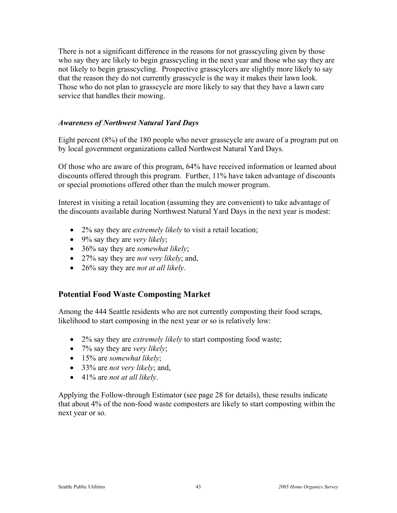There is not a significant difference in the reasons for not grasscycling given by those who say they are likely to begin grasscycling in the next year and those who say they are not likely to begin grasscycling. Prospective grasscylcers are slightly more likely to say that the reason they do not currently grasscycle is the way it makes their lawn look. Those who do not plan to grasscycle are more likely to say that they have a lawn care service that handles their mowing.

### *Awareness of Northwest Natural Yard Days*

Eight percent (8%) of the 180 people who never grasscycle are aware of a program put on by local government organizations called Northwest Natural Yard Days.

Of those who are aware of this program, 64% have received information or learned about discounts offered through this program. Further, 11% have taken advantage of discounts or special promotions offered other than the mulch mower program.

Interest in visiting a retail location (assuming they are convenient) to take advantage of the discounts available during Northwest Natural Yard Days in the next year is modest:

- 2% say they are *extremely likely* to visit a retail location;
- 9% say they are *very likely*;
- 36% say they are *somewhat likely*;
- 27% say they are *not very likely*; and,
- 26% say they are *not at all likely*.

## **Potential Food Waste Composting Market**

Among the 444 Seattle residents who are not currently composting their food scraps, likelihood to start composing in the next year or so is relatively low:

- 2% say they are *extremely likely* to start composting food waste;
- 7% say they are *very likely*;
- 15% are *somewhat likely*;
- 33% are *not very likely*; and,
- 41% are *not at all likely*.

Applying the Follow-through Estimator (see page 28 for details), these results indicate that about 4% of the non-food waste composters are likely to start composting within the next year or so.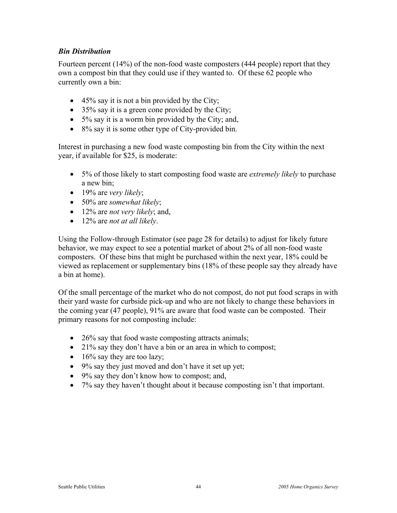# *Bin Distribution*

Fourteen percent (14%) of the non-food waste composters (444 people) report that they own a compost bin that they could use if they wanted to. Of these 62 people who currently own a bin:

- $\bullet$  45% say it is not a bin provided by the City;
- 35% say it is a green cone provided by the City;
- 5% say it is a worm bin provided by the City; and,
- 8% say it is some other type of City-provided bin.

Interest in purchasing a new food waste composting bin from the City within the next year, if available for \$25, is moderate:

- 5% of those likely to start composting food waste are *extremely likely* to purchase a new bin;
- 19% are *very likely*;
- 50% are *somewhat likely*;
- 12% are *not very likely*; and,
- 12% are *not at all likely*.

Using the Follow-through Estimator (see page 28 for details) to adjust for likely future behavior, we may expect to see a potential market of about 2% of all non-food waste composters. Of these bins that might be purchased within the next year, 18% could be viewed as replacement or supplementary bins (18% of these people say they already have a bin at home).

Of the small percentage of the market who do not compost, do not put food scraps in with their yard waste for curbside pick-up and who are not likely to change these behaviors in the coming year (47 people), 91% are aware that food waste can be composted. Their primary reasons for not composting include:

- 26% say that food waste composting attracts animals;
- 21% say they don't have a bin or an area in which to compost;
- $\bullet$  16% say they are too lazy;
- 9% say they just moved and don't have it set up yet;
- 9% say they don't know how to compost; and,
- 7% say they haven't thought about it because composting isn't that important.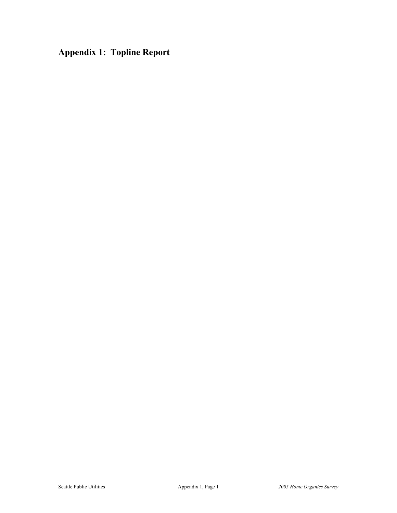**Appendix 1: Topline Report**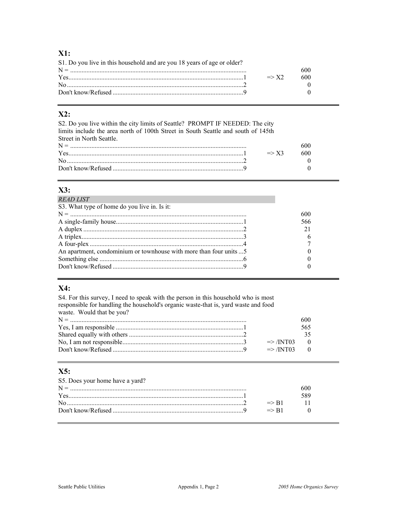# $X1:$

| S1. Do you live in this household and are you 18 years of age or older? |     |
|-------------------------------------------------------------------------|-----|
|                                                                         |     |
| $Yes$ $= > X2$                                                          | 600 |
|                                                                         |     |
|                                                                         |     |

# $X2:$

S2. Do you live within the city limits of Seattle? PROMPT IF NEEDED: The city limits include the area north of 100th Street in South Seattle and south of 145th Street in North Seattle.  $N =$ 

| $N =$ |                  |        |
|-------|------------------|--------|
| Yes   | $\Rightarrow$ X3 | ו וו ר |
|       |                  |        |
|       |                  |        |

# $X3:$

| <b>READ LIST</b>                                                    |     |
|---------------------------------------------------------------------|-----|
| S3. What type of home do you live in. Is it:                        |     |
|                                                                     | 600 |
|                                                                     | 566 |
|                                                                     | 21  |
|                                                                     |     |
|                                                                     |     |
| An apartment, condominium or townhouse with more than four units  5 |     |
|                                                                     |     |
|                                                                     |     |
|                                                                     |     |

# X4:

S4. For this survey, I need to speak with the person in this household who is most responsible for handling the household's organic waste-that is, yard waste and food waste. Would that be you? 600 565 35  $\Rightarrow$  /INT03  $\mathbf{0}$  $\Rightarrow$  /INT03  $\mathbf{0}$ 

# $X5:$

| S5. Does your home have a yard? |                  |  |
|---------------------------------|------------------|--|
|                                 |                  |  |
|                                 |                  |  |
|                                 | $\Rightarrow$ R1 |  |
|                                 | $\Rightarrow$ R1 |  |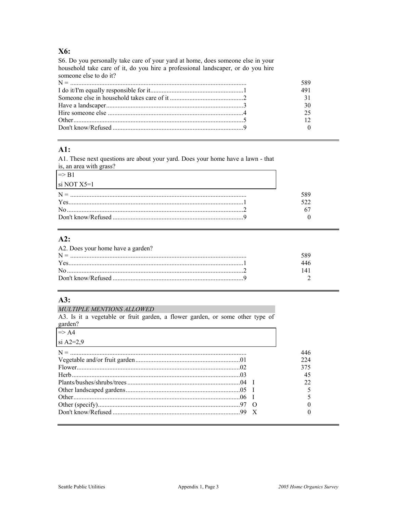## X6:

S6. Do you personally take care of your yard at home, does someone else in your household take care of it, do you hire a professional landscaper, or do you hire someone else to do it?

## $AI:$

A1. These next questions are about your yard. Does your home have a lawn - that is, an area with grass?

| $\Rightarrow$ R1                                                                                                                                                                                                                     |     |
|--------------------------------------------------------------------------------------------------------------------------------------------------------------------------------------------------------------------------------------|-----|
| $\vert$ si NOT X5=1                                                                                                                                                                                                                  |     |
| $N =$                                                                                                                                                                                                                                | 589 |
|                                                                                                                                                                                                                                      | 522 |
| No <u>manual communication in the set of the set of the set of the set of the set of the set of the set of the set of the set of the set of the set of the set of the set of the set of the set of the set of the set of the set</u> |     |
|                                                                                                                                                                                                                                      |     |

#### $A2:$

| A2. Does your home have a garden?                                                                                                                                                                                                                                                                                                         |  |
|-------------------------------------------------------------------------------------------------------------------------------------------------------------------------------------------------------------------------------------------------------------------------------------------------------------------------------------------|--|
|                                                                                                                                                                                                                                                                                                                                           |  |
| $Yes$ $\ldots$ $\ldots$ $\ldots$ $\ldots$ $\ldots$ $\ldots$ $\ldots$ $\ldots$ $\ldots$ $\ldots$ $\ldots$ $\ldots$ $\ldots$ $\ldots$ $\ldots$ $\ldots$ $\ldots$ $\ldots$ $\ldots$ $\ldots$ $\ldots$ $\ldots$ $\ldots$ $\ldots$ $\ldots$ $\ldots$ $\ldots$ $\ldots$ $\ldots$ $\ldots$ $\ldots$ $\ldots$ $\ldots$ $\ldots$ $\ldots$ $\ldots$ |  |
| $\rm No$                                                                                                                                                                                                                                                                                                                                  |  |
|                                                                                                                                                                                                                                                                                                                                           |  |

# $A3:$

#### **MULTIPLE MENTIONS ALLOWED**

A3. Is it a vegetable or fruit garden, a flower garden, or some other type of garden?

| $\Rightarrow$ A4 |     |
|------------------|-----|
| $\pi$ A2=2,9     |     |
|                  | 446 |
|                  | 224 |
|                  | 375 |
|                  | 45  |
|                  |     |
|                  |     |
|                  |     |
|                  |     |
|                  |     |
|                  |     |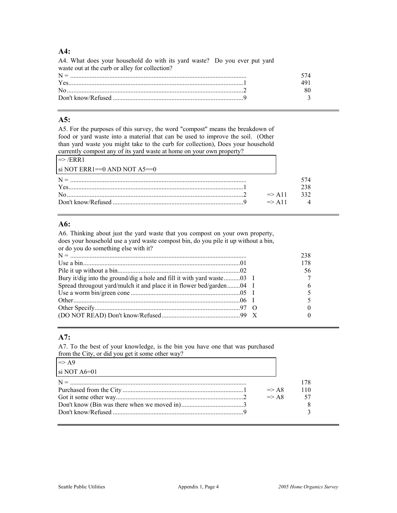#### **A4:**

| A4. What does your household do with its yard waste? Do you ever put yard                                                                                                                                                                                                                                                                    |              |  |
|----------------------------------------------------------------------------------------------------------------------------------------------------------------------------------------------------------------------------------------------------------------------------------------------------------------------------------------------|--------------|--|
| waste out at the curb or alley for collection?                                                                                                                                                                                                                                                                                               |              |  |
|                                                                                                                                                                                                                                                                                                                                              | 574.         |  |
| $Yes$ 1                                                                                                                                                                                                                                                                                                                                      | 491          |  |
| $\text{No}$ $\ldots$ $\ldots$ $\ldots$ $\ldots$ $\ldots$ $\ldots$ $\ldots$ $\ldots$ $\ldots$ $\ldots$ $\ldots$ $\ldots$ $\ldots$ $\ldots$ $\ldots$ $\ldots$ $\ldots$ $\ldots$ $\ldots$ $\ldots$ $\ldots$ $\ldots$ $\ldots$ $\ldots$ $\ldots$ $\ldots$ $\ldots$ $\ldots$ $\ldots$ $\ldots$ $\ldots$ $\ldots$ $\ldots$ $\ldots$ $\ldots$ $\ld$ | 80.          |  |
|                                                                                                                                                                                                                                                                                                                                              | $\mathbf{r}$ |  |

#### **A5:**

A5. For the purposes of this survey, the word "compost" means the breakdown of food or yard waste into a material that can be used to improve the soil. (Other than yard waste you might take to the curb for collection), Does your household currently compost any of its yard waste at home on your own property?

| $\Rightarrow$ /ERR1              |                   |     |
|----------------------------------|-------------------|-----|
| $\sin NOT$ ERR1==0 AND NOT A5==0 |                   |     |
| $N =$                            |                   |     |
|                                  |                   | 238 |
|                                  | $\Rightarrow$ A11 | 332 |
|                                  | $\Rightarrow$ A11 |     |

## **A6:**

A6. Thinking about just the yard waste that you compost on your own property, does your household use a yard waste compost bin, do you pile it up without a bin, or do you do something else with it?

|                                                                        | 238 |
|------------------------------------------------------------------------|-----|
|                                                                        | 178 |
|                                                                        | 56  |
| Bury it/dig into the ground/dig a hole and fill it with yard waste03 I |     |
| Spread througout yard/mulch it and place it in flower bed/garden04 I   | h   |
|                                                                        |     |
|                                                                        |     |
|                                                                        |     |
|                                                                        |     |
|                                                                        |     |

#### **A7:**

A7. To the best of your knowledge, is the bin you have one that was purchased from the City, or did you get it some other way?

| $\overline{\text{si NOT A6=01}}$ |      |
|----------------------------------|------|
|                                  | 178  |
| $\Rightarrow$ A8                 | 110  |
| $\Rightarrow$ A8                 | - 57 |
|                                  |      |
|                                  |      |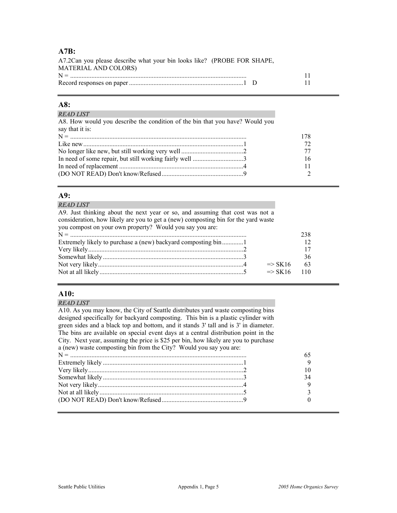#### **A7B:**

| A7.2Can you please describe what your bin looks like? (PROBE FOR SHAPE, |                |
|-------------------------------------------------------------------------|----------------|
| <b>MATERIAL AND COLORS)</b>                                             |                |
|                                                                         |                |
|                                                                         | $\blacksquare$ |

#### **A8:**

| <b>READ LIST</b>                                                             |     |
|------------------------------------------------------------------------------|-----|
| A8. How would you describe the condition of the bin that you have? Would you |     |
| say that it is:                                                              |     |
|                                                                              | 178 |
|                                                                              | 72  |
|                                                                              |     |
|                                                                              | 16  |
|                                                                              |     |
|                                                                              |     |
|                                                                              |     |

#### **A9:**

#### *READ LIST*

A9. Just thinking about the next year or so, and assuming that cost was not a consideration, how likely are you to get a (new) composting bin for the yard waste you compost on your own property? Would you say you are:

|                        | 238 |
|------------------------|-----|
|                        |     |
|                        |     |
|                        | 36  |
| $\Rightarrow$ SK 16    | -63 |
| $\Rightarrow$ SK16 110 |     |

#### **A10:**

#### *READ LIST*

A10. As you may know, the City of Seattle distributes yard waste composting bins designed specifically for backyard composting. This bin is a plastic cylinder with green sides and a black top and bottom, and it stands 3' tall and is 3' in diameter. The bins are available on special event days at a central distribution point in the City. Next year, assuming the price is \$25 per bin, how likely are you to purchase a (new) waste composting bin from the City? Would you say you are: N = ............................................................................................................ 65 Extremely likely ......................................................................................1 9 Very likely...............................................................................................2 10 Somewhat likely ......................................................................................3 34 Not very likely.........................................................................................4 9 Not at all likely........................................................................................5 3 (DO NOT READ) Don't know/Refused..................................................9 0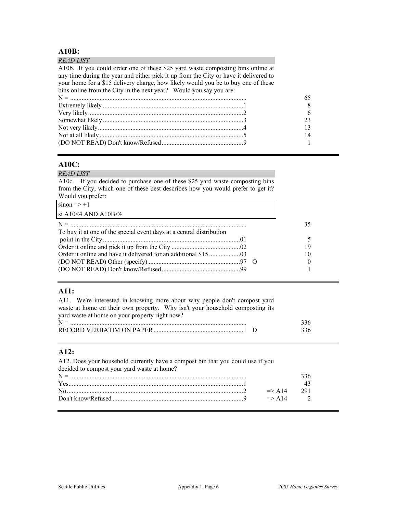# **A10B:**

| <i>READ LIST</i>                                                                     |    |
|--------------------------------------------------------------------------------------|----|
| A10b. If you could order one of these \$25 yard waste composting bins online at      |    |
| any time during the year and either pick it up from the City or have it delivered to |    |
| your home for a \$15 delivery charge, how likely would you be to buy one of these    |    |
| bins online from the City in the next year? Would you say you are:                   |    |
|                                                                                      | 65 |
|                                                                                      |    |
|                                                                                      | 6  |
|                                                                                      | 23 |
|                                                                                      | 13 |
|                                                                                      | 14 |
|                                                                                      |    |

### **A10C:**

A10c. If you decided to purchase one of these \$25 yard waste composting bins from the City, which one of these best describes how you would prefer to get it? Would you prefer:

 $sinon \Rightarrow +1$ 

si A10<4 AND A10B<4

| To buy it at one of the special event days at a central distribution |   |
|----------------------------------------------------------------------|---|
|                                                                      |   |
|                                                                      |   |
|                                                                      |   |
|                                                                      | 0 |
|                                                                      |   |

## **A11:**

| A11. We're interested in knowing more about why people don't compost yard    |     |
|------------------------------------------------------------------------------|-----|
| waste at home on their own property. Why isn't your household composting its |     |
| yard waste at home on your property right now?                               |     |
|                                                                              | 336 |
|                                                                              | 336 |

## **A12:**

| A12. Does your household currently have a compost bin that you could use if you |                    |     |
|---------------------------------------------------------------------------------|--------------------|-----|
| decided to compost your yard waste at home?                                     |                    |     |
|                                                                                 |                    | 336 |
|                                                                                 |                    | 43  |
|                                                                                 | $\Rightarrow$ A 14 | 291 |
|                                                                                 | $\Rightarrow$ A14  |     |
|                                                                                 |                    |     |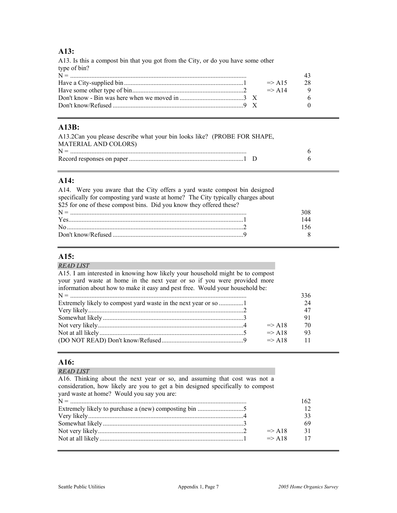#### **A13:**

A13. Is this a compost bin that you got from the City, or do you have some other type of bin? N = ............................................................................................................ 43 Have a City-supplied bin.........................................................................1 => A15 28 Have some other type of bin....................................................................2 => A14 9 Don't know - Bin was here when we moved in .......................................3 X 6 Don't know/Refused ................................................................................9 X 0

#### **A13B:**

| A13.2Can you please describe what your bin looks like? (PROBE FOR SHAPE, |  |
|--------------------------------------------------------------------------|--|
| <b>MATERIAL AND COLORS)</b>                                              |  |
|                                                                          |  |
|                                                                          |  |

#### **A14:**

| A14. Were you aware that the City offers a yard waste compost bin designed       |     |
|----------------------------------------------------------------------------------|-----|
| specifically for composting yard waste at home? The City typically charges about |     |
| \$25 for one of these compost bins. Did you know they offered these?             |     |
|                                                                                  | 308 |
|                                                                                  | 144 |
|                                                                                  | 156 |
|                                                                                  | - 8 |

### **A15:**

#### *READ LIST*  A15. I am interested in knowing how likely your household might be to compost your yard waste at home in the next year or so if you were provided more information about how to make it easy and pest free. Would your household be: N = ............................................................................................................ 336 Extremely likely to compost yard waste in the next year or so ...............1 24 Very likely...............................................................................................2 47 Somewhat likely ......................................................................................3 91 Not very likely.........................................................................................4 => A18 70 Not at all likely........................................................................................5 => A18 93 (DO NOT READ) Don't know/Refused..................................................9 => A18 11

#### **A16:**

| <b>READ LIST</b>                                                                                                                                                                                           |     |
|------------------------------------------------------------------------------------------------------------------------------------------------------------------------------------------------------------|-----|
| A16. Thinking about the next year or so, and assuming that cost was not a<br>consideration, how likely are you to get a bin designed specifically to compost<br>yard waste at home? Would you say you are: |     |
|                                                                                                                                                                                                            | 162 |
|                                                                                                                                                                                                            |     |
|                                                                                                                                                                                                            | 33  |
|                                                                                                                                                                                                            | 69  |
| $\Rightarrow$ A18                                                                                                                                                                                          | 31  |
| $\Rightarrow$ A18                                                                                                                                                                                          | 17  |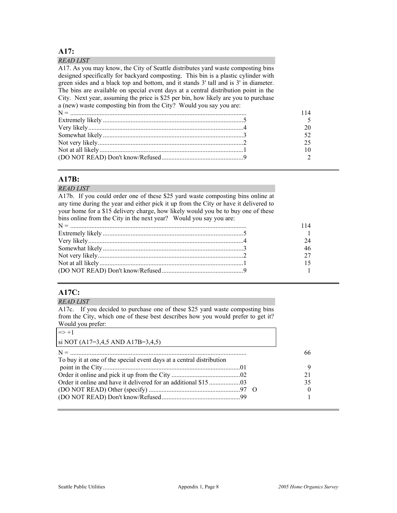#### **A17:**

#### *READ LIST*

A17. As you may know, the City of Seattle distributes yard waste composting bins designed specifically for backyard composting. This bin is a plastic cylinder with green sides and a black top and bottom, and it stands 3' tall and is 3' in diameter. The bins are available on special event days at a central distribution point in the City. Next year, assuming the price is \$25 per bin, how likely are you to purchase a (new) waste composting bin from the City? Would you say you are: N = ............................................................................................................ 114 Extremely likely ......................................................................................5 5 Very likely...............................................................................................4 20 Somewhat likely ......................................................................................3 52 Not very likely.........................................................................................2 25 Not at all likely........................................................................................1 10 (DO NOT READ) Don't know/Refused..................................................9 2

#### **A17B:**

#### *READ LIST*

A17b. If you could order one of these \$25 yard waste composting bins online at any time during the year and either pick it up from the City or have it delivered to your home for a \$15 delivery charge, how likely would you be to buy one of these bins online from the City in the next year? Would you say you are:

## **A17C:**

#### *READ LIST*

A17c. If you decided to purchase one of these \$25 yard waste composting bins from the City, which one of these best describes how you would prefer to get it? Would you prefer:

| $\Rightarrow$ +1                                                     |    |
|----------------------------------------------------------------------|----|
| si NOT (A17=3,4,5 AND A17B=3,4,5)                                    |    |
|                                                                      | 66 |
| To buy it at one of the special event days at a central distribution |    |
|                                                                      |    |
|                                                                      | 21 |
|                                                                      | 35 |
| $(DO NOT READ) Other (specific)  \dots 97 0$                         |    |
|                                                                      |    |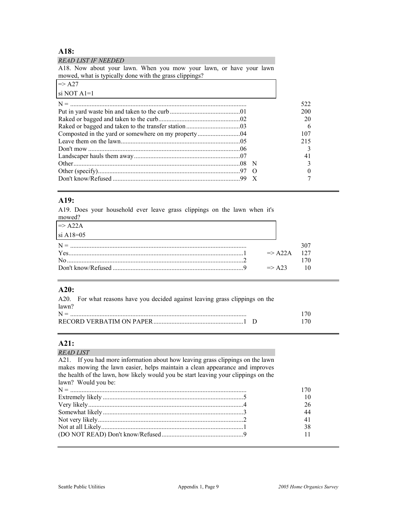# **A18:**

| <b>READ LIST IF NEEDED</b><br>A18. Now about your lawn. When you mow your lawn, or have your lawn<br>mowed, what is typically done with the grass clippings? |          |
|--------------------------------------------------------------------------------------------------------------------------------------------------------------|----------|
| $\Rightarrow$ A27                                                                                                                                            |          |
| si NOT $A1=1$                                                                                                                                                |          |
|                                                                                                                                                              | 522      |
|                                                                                                                                                              | 200      |
|                                                                                                                                                              | 20       |
|                                                                                                                                                              | 6        |
|                                                                                                                                                              | 107      |
|                                                                                                                                                              | 215      |
|                                                                                                                                                              |          |
|                                                                                                                                                              | 41       |
|                                                                                                                                                              |          |
|                                                                                                                                                              | $\Omega$ |
|                                                                                                                                                              |          |

#### **A19:**

A19. Does your household ever leave grass clippings on the lawn when it's mowed?

| $\Rightarrow$ A22A |                    |     |
|--------------------|--------------------|-----|
| $\sin A18=0.5$     |                    |     |
|                    |                    |     |
|                    | $\Rightarrow$ A22A | 127 |
|                    |                    |     |
|                    | $\Rightarrow$ A23  |     |

# **A20:**

| A20. For what reasons have you decided against leaving grass clippings on the |     |
|-------------------------------------------------------------------------------|-----|
| lawn?                                                                         |     |
| $N =$                                                                         | 170 |
|                                                                               | 170 |

## **A21:**

| A21. If you had more information about how leaving grass clippings on the lawn<br>makes mowing the lawn easier, helps maintain a clean appearance and improves<br>the health of the lawn, how likely would you be start leaving your clippings on the<br>lawn? Would you be: |     |
|------------------------------------------------------------------------------------------------------------------------------------------------------------------------------------------------------------------------------------------------------------------------------|-----|
|                                                                                                                                                                                                                                                                              |     |
|                                                                                                                                                                                                                                                                              |     |
|                                                                                                                                                                                                                                                                              | 170 |
|                                                                                                                                                                                                                                                                              | 10  |
|                                                                                                                                                                                                                                                                              | 26  |
|                                                                                                                                                                                                                                                                              | 44  |
|                                                                                                                                                                                                                                                                              | 41  |
|                                                                                                                                                                                                                                                                              | 38  |
|                                                                                                                                                                                                                                                                              |     |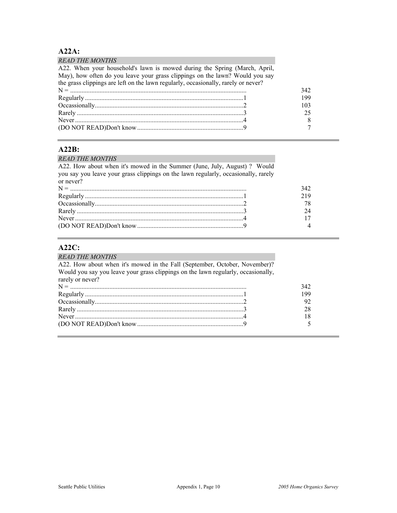# **A22A:**

| <b>READ THE MONTHS</b>                                                             |     |
|------------------------------------------------------------------------------------|-----|
| A22. When your household's lawn is mowed during the Spring (March, April,          |     |
| May), how often do you leave your grass clippings on the lawn? Would you say       |     |
| the grass clippings are left on the lawn regularly, occasionally, rarely or never? |     |
|                                                                                    | 342 |
|                                                                                    | 199 |
|                                                                                    | 103 |
|                                                                                    | 25  |
|                                                                                    | 8   |
|                                                                                    | 7   |

#### **A22B:**

# *READ THE MONTHS*

| A22. How about when it's mowed in the Summer (June, July, August)? Would           |                |
|------------------------------------------------------------------------------------|----------------|
| you say you leave your grass clippings on the lawn regularly, occasionally, rarely |                |
| or never?                                                                          |                |
|                                                                                    | 342            |
|                                                                                    | 219            |
|                                                                                    | 78             |
|                                                                                    | 24             |
|                                                                                    | 17             |
|                                                                                    | $\overline{4}$ |

# **A22C:**

| <b>READ THE MONTHS</b>                                                            |     |
|-----------------------------------------------------------------------------------|-----|
| A22. How about when it's mowed in the Fall (September, October, November)?        |     |
| Would you say you leave your grass clippings on the lawn regularly, occasionally, |     |
| rarely or never?                                                                  |     |
|                                                                                   | 342 |
|                                                                                   | 199 |
|                                                                                   | 92  |
|                                                                                   | 28  |
| Never $\ldots$ 4                                                                  | 18  |
|                                                                                   |     |
|                                                                                   |     |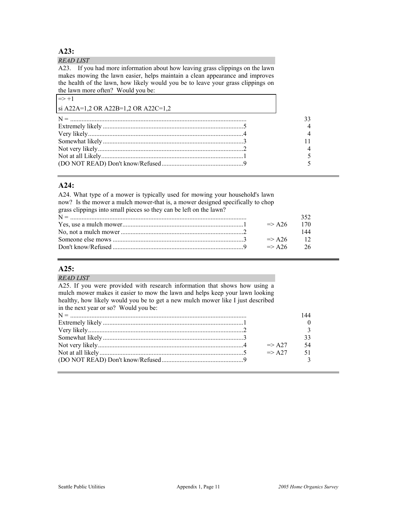#### **A23:**

#### *READ LIST*  A23. If you had more information about how leaving grass clippings on the lawn makes mowing the lawn easier, helps maintain a clean appearance and improves the health of the lawn, how likely would you be to leave your grass clippings on the lawn more often? Would you be:

| the lawn more onen. Would you be.   |  |
|-------------------------------------|--|
| $\Rightarrow$ +1                    |  |
| si A22A=1,2 OR A22B=1,2 OR A22C=1,2 |  |
|                                     |  |
|                                     |  |
|                                     |  |
|                                     |  |
|                                     |  |
|                                     |  |
|                                     |  |
|                                     |  |

#### **A24:**

A24. What type of a mower is typically used for mowing your household's lawn now? Is the mower a mulch mower-that is, a mower designed specifically to chop grass clippings into small pieces so they can be left on the lawn? N = ............................................................................................................ 352 Yes, use a mulch mower..........................................................................1 => A26 170 No, not a mulch mower ...........................................................................2 144 Someone else mows ................................................................................3 => A26 12

Don't know/Refused ................................................................................9 => A26 26

#### **A25:**

| A25. If you were provided with research information that shows how using a<br>mulch mower makes it easier to mow the lawn and helps keep your lawn looking<br>healthy, how likely would you be to get a new mulch mower like I just described<br>$\Rightarrow$ A27<br>$\Rightarrow$ A27 | <i>READ LIST</i>                      |  |
|-----------------------------------------------------------------------------------------------------------------------------------------------------------------------------------------------------------------------------------------------------------------------------------------|---------------------------------------|--|
|                                                                                                                                                                                                                                                                                         |                                       |  |
|                                                                                                                                                                                                                                                                                         |                                       |  |
|                                                                                                                                                                                                                                                                                         |                                       |  |
|                                                                                                                                                                                                                                                                                         | in the next year or so? Would you be: |  |
|                                                                                                                                                                                                                                                                                         |                                       |  |
|                                                                                                                                                                                                                                                                                         |                                       |  |
|                                                                                                                                                                                                                                                                                         |                                       |  |
|                                                                                                                                                                                                                                                                                         |                                       |  |
|                                                                                                                                                                                                                                                                                         |                                       |  |
|                                                                                                                                                                                                                                                                                         |                                       |  |
|                                                                                                                                                                                                                                                                                         |                                       |  |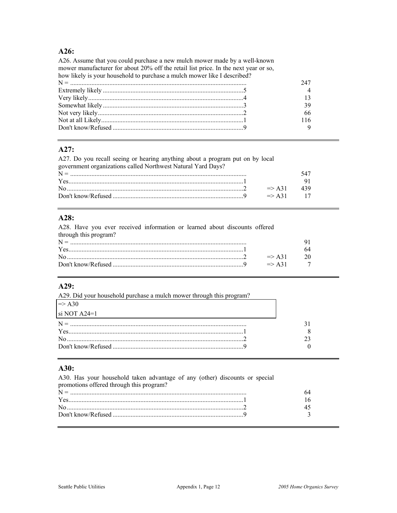#### $A26:$

A26. Assume that you could purchase a new mulch mower made by a well-known mower manufacturer for about 20% off the retail list price. In the next year or so, how likely is your household to purchase a mulch mower like I described? 247  $\overline{4}$  $13$ 39 66 116  $\mathbf{Q}$ 

#### A27:

A27. Do you recall seeing or hearing anything about a program put on by local government organizations called Northwest Natural Yard Days?

| $\sim$ |                       |  |
|--------|-----------------------|--|
|        |                       |  |
|        |                       |  |
|        | $\Rightarrow$ A31 439 |  |
|        | $\Rightarrow$ A 31 17 |  |
|        |                       |  |

#### A28:

A28. Have you ever received information or learned about discounts offered through this program?

| Y es |                   |  |
|------|-------------------|--|
|      | $\Rightarrow$ A31 |  |
|      | $\Rightarrow$ A31 |  |
|      |                   |  |

#### $A29:$

| A29. Did your household purchase a mulch mower through this program? |  |
|----------------------------------------------------------------------|--|
| $\Rightarrow$ A 30                                                   |  |
| si NOT $A24=1$                                                       |  |
|                                                                      |  |
| $Yes$ $\lceil$                                                       |  |
| No $\sim$ 2                                                          |  |
|                                                                      |  |

#### $A30:$

| A30. Has your household taken advantage of any (other) discounts or special |  |
|-----------------------------------------------------------------------------|--|
| promotions offered through this program?                                    |  |
|                                                                             |  |
|                                                                             |  |
| $\sim$ 2                                                                    |  |
|                                                                             |  |
|                                                                             |  |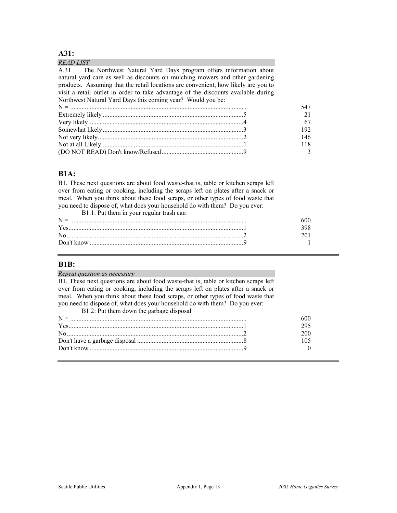#### **A31:**

| <i>READ LIST</i>                                                                   |  |
|------------------------------------------------------------------------------------|--|
| A.31 The Northwest Natural Yard Days program offers information about              |  |
| natural yard care as well as discounts on mulching mowers and other gardening      |  |
| products. Assuming that the retail locations are convenient, how likely are you to |  |
| visit a retail outlet in order to take advantage of the discounts available during |  |
| Northwest Natural Yard Days this coming year? Would you be:                        |  |
|                                                                                    |  |
|                                                                                    |  |
|                                                                                    |  |
|                                                                                    |  |
|                                                                                    |  |
|                                                                                    |  |
|                                                                                    |  |
|                                                                                    |  |

#### **B1A:**

B1. These next questions are about food waste-that is, table or kitchen scraps left over from eating or cooking, including the scraps left on plates after a snack or meal. When you think about these food scraps, or other types of food waste that you need to dispose of, what does your household do with them? Do you ever:

| B1.1: Put them in your regular trash can |  |
|------------------------------------------|--|
| $N =$                                    |  |
| Yes                                      |  |
|                                          |  |
|                                          |  |

#### **B1B:**

*Repeat question as necessary*  B1. These next questions are about food waste-that is, table or kitchen scraps left over from eating or cooking, including the scraps left on plates after a snack or meal. When you think about these food scraps, or other types of food waste that you need to dispose of, what does your household do with them? Do you ever:

| B1.2: Put them down the garbage disposal |  |
|------------------------------------------|--|
|                                          |  |
|                                          |  |
| $\sim$ 2                                 |  |
|                                          |  |
|                                          |  |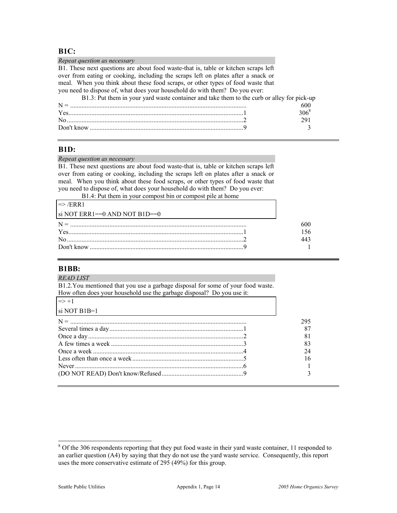#### **B1C:**

| Repeat question as necessary                                                               |         |
|--------------------------------------------------------------------------------------------|---------|
| B1. These next questions are about food waste-that is, table or kitchen scraps left        |         |
| over from eating or cooking, including the scraps left on plates after a snack or          |         |
| meal. When you think about these food scraps, or other types of food waste that            |         |
| you need to dispose of, what does your household do with them? Do you ever:                |         |
| B1.3: Put them in your yard waste container and take them to the curb or alley for pick-up |         |
|                                                                                            | 600     |
|                                                                                            | $306^8$ |
|                                                                                            | 291     |
|                                                                                            |         |

#### **B1D:**

#### *Repeat question as necessary*

B1. These next questions are about food waste-that is, table or kitchen scraps left over from eating or cooking, including the scraps left on plates after a snack or meal. When you think about these food scraps, or other types of food waste that you need to dispose of, what does your household do with them? Do you ever:

B1.4: Put them in your compost bin or compost pile at home

| $\Rightarrow$ /ERR1               |  |
|-----------------------------------|--|
| $\sin NOT$ ERR1==0 AND NOT B1D==0 |  |
|                                   |  |
| $Yes$ 1                           |  |
|                                   |  |
|                                   |  |

#### **B1BB:**

| <i>READ LIST</i>                                                                 |     |
|----------------------------------------------------------------------------------|-----|
| B1.2. You mentioned that you use a garbage disposal for some of your food waste. |     |
| How often does your household use the garbage disposal? Do you use it:           |     |
| $\Rightarrow +1$                                                                 |     |
| si NOT B $1B=1$                                                                  |     |
|                                                                                  | 295 |
|                                                                                  | 87  |
|                                                                                  | 81  |
|                                                                                  | 83  |
|                                                                                  | 24  |
|                                                                                  | 16  |
|                                                                                  |     |
|                                                                                  |     |
|                                                                                  |     |

<sup>&</sup>lt;sup>8</sup> Of the 306 respondents reporting that they put food waste in their yard waste container, 11 responded to an earlier question (A4) by saying that they do not use the yard waste service. Consequently, this report uses the more conservative estimate of 295 (49%) for this group.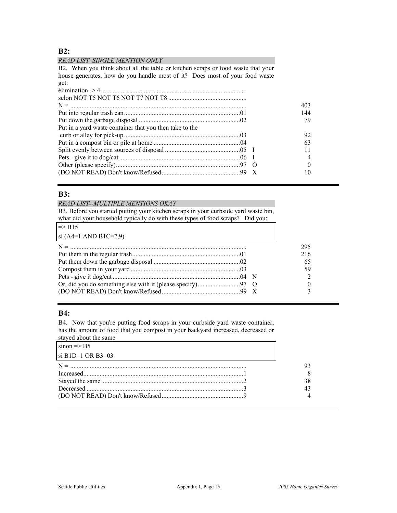#### **B2:**

#### *READ LIST SINGLE MENTION ONLY*

B2. When you think about all the table or kitchen scraps or food waste that your house generates, how do you handle most of it? Does most of your food waste get:

| 403<br>144<br>79<br>Put in a yard waste container that you then take to the<br>92<br>63 |  |  |
|-----------------------------------------------------------------------------------------|--|--|
|                                                                                         |  |  |
|                                                                                         |  |  |
|                                                                                         |  |  |
|                                                                                         |  |  |
|                                                                                         |  |  |
|                                                                                         |  |  |
|                                                                                         |  |  |
|                                                                                         |  |  |
|                                                                                         |  |  |
|                                                                                         |  |  |
|                                                                                         |  |  |

#### **B3:**

#### *READ LIST--MULTIPLE MENTIONS OKAY*

B3. Before you started putting your kitchen scraps in your curbside yard waste bin, what did your household typically do with these types of food scraps? Did you:

| $\Rightarrow$ B15     |  |     |
|-----------------------|--|-----|
| si (A4=1 AND B1C=2,9) |  |     |
|                       |  | 295 |
|                       |  | 216 |
|                       |  | 65  |
|                       |  | 59  |
|                       |  |     |
|                       |  |     |
|                       |  |     |

#### **B4:**

B4. Now that you're putting food scraps in your curbside yard waste container, has the amount of food that you compost in your backyard increased, decreased or stayed about the same

| $\frac{1}{2}$          |  |
|------------------------|--|
| $sinon \Rightarrow B5$ |  |
| si B1D=1 OR B3=03      |  |
|                        |  |
|                        |  |
|                        |  |
| Decreased $\ldots$ 3   |  |
|                        |  |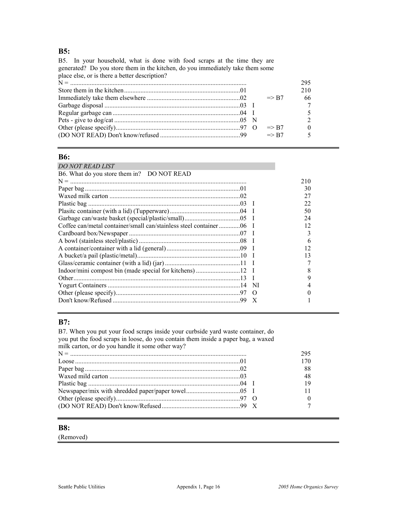# **B5:**

| B5. In your household, what is done with food scraps at the time they are      |                  |          |
|--------------------------------------------------------------------------------|------------------|----------|
| generated? Do you store them in the kitchen, do you immediately take them some |                  |          |
| place else, or is there a better description?                                  |                  |          |
|                                                                                |                  | 295      |
|                                                                                |                  | 210      |
|                                                                                | $\Rightarrow$ R7 | 66       |
|                                                                                |                  |          |
|                                                                                |                  |          |
|                                                                                |                  |          |
|                                                                                | $\Rightarrow$ R7 | $\Omega$ |
|                                                                                | $\Rightarrow$ B7 |          |
|                                                                                |                  |          |

# **B6:**

| DO NOT READ LIST                           |          |     |
|--------------------------------------------|----------|-----|
| B6. What do you store them in? DO NOT READ |          |     |
|                                            |          | 210 |
|                                            |          | 30  |
|                                            |          | 27  |
|                                            |          | 22  |
|                                            |          | 50  |
|                                            |          | 24  |
|                                            |          | 12  |
|                                            |          | 3   |
|                                            |          | 6   |
|                                            |          | 12  |
|                                            |          | 13  |
|                                            |          |     |
|                                            |          | 8   |
|                                            |          | 9   |
|                                            | -NI      |     |
|                                            | $\Omega$ |     |
|                                            |          |     |
|                                            |          |     |

# **B7:**

B7. When you put your food scraps inside your curbside yard waste container, do you put the food scraps in loose, do you contain them inside a paper bag, a waxed milk carton, or do you handle it some other way?

|  | 170 |
|--|-----|
|  | 88  |
|  | 48  |
|  |     |
|  |     |
|  |     |
|  |     |

#### **B8:**

(Removed)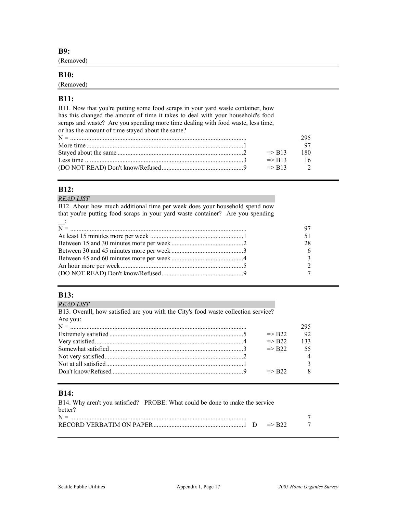**B9:** 

(Removed)

#### **B10:**

(Removed)

#### **B11:**

B11. Now that you're putting some food scraps in your yard waste container, how has this changed the amount of time it takes to deal with your household's food scraps and waste? Are you spending more time dealing with food waste, less time, or has the amount of time stayed about the same? N = ............................................................................................................ 295 More time ................................................................................................1 97 Stayed about the same .............................................................................2 => B13 180 Less time .................................................................................................3 => B13 16 (DO NOT READ) Don't know/Refused..................................................9 => B13 2

## **B12:**

*READ LIST* 

B12. About how much additional time per week does your household spend now that you're putting food scraps in your yard waste container? Are you spending

| $\overline{\phantom{a}}$ |    |
|--------------------------|----|
|                          |    |
|                          |    |
|                          | 28 |
|                          |    |
|                          |    |
|                          |    |
|                          |    |

#### **B13:**

*READ LIST* 

B13. Overall, how satisfied are you with the City's food waste collection service? Are you: N = ............................................................................................................ 295 Extremely satisfied ..................................................................................5 => B22 92 Very satisfied...........................................................................................4 => B22 133 Somewhat satisfied..................................................................................3 => B22 55 Not very satisfied.....................................................................................2 4 Not at all satisfied....................................................................................1 3 Don't know/Refused ................................................................................9 => B22 8

## **B14:**

B14. Why aren't you satisfied? PROBE: What could be done to make the service better? N = ............................................................................................................ 7 RECORD VERBATIM ON PAPER.......................................................1 D => B22 7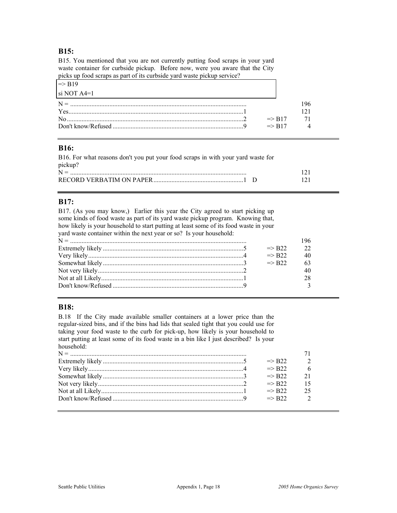#### **B15:**

B15. You mentioned that you are not currently putting food scraps in your yard waste container for curbside pickup. Before now, were you aware that the City picks up food scraps as part of its curbside yard waste pickup service?

| $\Rightarrow$ R <sub>19</sub> |                               |  |
|-------------------------------|-------------------------------|--|
| $\sin MOT$ A4=1               |                               |  |
| $N =$                         |                               |  |
| <b>Yes</b>                    |                               |  |
|                               | $\Rightarrow$ R <sub>17</sub> |  |
|                               | $\Rightarrow$ R17             |  |
|                               |                               |  |

#### **B16:**

| B16. For what reasons don't you put your food scraps in with your yard waste for |     |
|----------------------------------------------------------------------------------|-----|
| pickup?                                                                          |     |
| $N =$                                                                            | 121 |
|                                                                                  | 121 |

## **B17:**

B17. (As you may know,) Earlier this year the City agreed to start picking up some kinds of food waste as part of its yard waste pickup program. Knowing that, how likely is your household to start putting at least some of its food waste in your yard waste container within the next year or so? Is your household:

| $\Rightarrow$ R <sub>22</sub> |  |
|-------------------------------|--|
| $\Rightarrow$ R <sub>22</sub> |  |
| $\Rightarrow$ R <sub>22</sub> |  |
|                               |  |
|                               |  |
|                               |  |

#### **B18:**

B.18 If the City made available smaller containers at a lower price than the regular-sized bins, and if the bins had lids that sealed tight that you could use for taking your food waste to the curb for pick-up, how likely is your household to start putting at least some of its food waste in a bin like I just described? Is your household:

| $\Rightarrow$ R22             |  |
|-------------------------------|--|
| $\Rightarrow$ R22             |  |
| $\Rightarrow$ R <sub>22</sub> |  |
| $\Rightarrow$ R <sub>22</sub> |  |
| $\Rightarrow$ R <sub>22</sub> |  |
| $\Rightarrow$ R <sub>22</sub> |  |
|                               |  |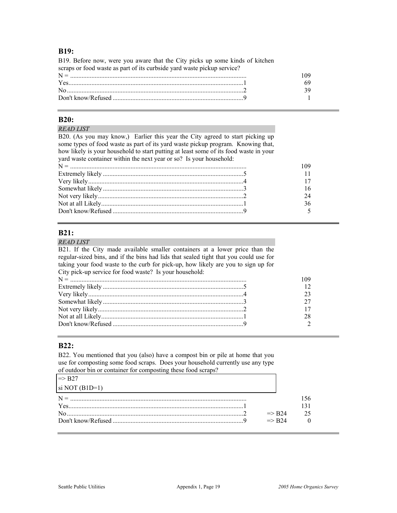#### **B19:**

B19. Before now, were you aware that the City picks up some kinds of kitchen scraps or food waste as part of its curbside yard waste pickup service? N = ............................................................................................................ 109

| Don't know/Refused |  |
|--------------------|--|

#### **B20:**

#### *READ LIST*

B20. (As you may know,) Earlier this year the City agreed to start picking up some types of food waste as part of its yard waste pickup program. Knowing that, how likely is your household to start putting at least some of its food waste in your yard waste container within the next year or so? Is your household:

#### **B21:**

#### *READ LIST*

B21. If the City made available smaller containers at a lower price than the regular-sized bins, and if the bins had lids that sealed tight that you could use for taking your food waste to the curb for pick-up, how likely are you to sign up for City pick-up service for food waste? Is your household:

#### **B22:**

B22. You mentioned that you (also) have a compost bin or pile at home that you use for composting some food scraps. Does your household currently use any type of outdoor bin or container for composting these food scraps?

| $\Rightarrow$ B27         |                               |     |
|---------------------------|-------------------------------|-----|
| $\sin \text{NOT}$ (B1D=1) |                               |     |
|                           |                               | -56 |
|                           |                               |     |
| $\rm No$                  | $\Rightarrow$ R <sub>24</sub> |     |
|                           | $\Rightarrow$ R <sub>24</sub> |     |
|                           |                               |     |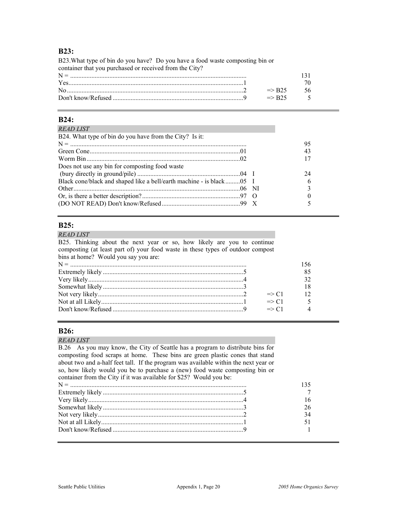#### **B23:**

B23.What type of bin do you have? Do you have a food waste composting bin or container that you purchased or received from the City? N = ............................................................................................................ 131 Yes...........................................................................................................1 70 No............................................................................................................2 => B25 56 Don't know/Refused ................................................................................9 => B25 5

#### **B24:**

| <b>READ LIST</b>                                                      |    |
|-----------------------------------------------------------------------|----|
| B24. What type of bin do you have from the City? Is it:               |    |
|                                                                       | 95 |
|                                                                       | 43 |
|                                                                       |    |
| Does not use any bin for composting food waste                        |    |
|                                                                       | 24 |
| Black cone/black and shaped like a bell/earth machine - is black 05 I |    |
|                                                                       |    |
|                                                                       |    |
|                                                                       |    |

#### **B25:**

B25. Thinking about the next year or so, how likely are you to continue composting (at least part of) your food waste in these types of outdoor compost bins at home? Would you say you are: N = ............................................................................................................ 156 Extremely likely ......................................................................................5 85 Very likely...............................................................................................4 32 Somewhat likely ......................................................................................3 18 Not very likely.........................................................................................2 => C1 12

Not at all Likely.......................................................................................1 => C1 5 Don't know/Refused ................................................................................9 => C1 4

#### **B26:**

#### *READ LIST*

B.26 As you may know, the City of Seattle has a program to distribute bins for composting food scraps at home. These bins are green plastic cones that stand about two and a-half feet tall. If the program was available within the next year or so, how likely would you be to purchase a (new) food waste composting bin or container from the City if it was available for \$25? Would you be: N = ............................................................................................................ 135 Extremely likely ......................................................................................5 7 Very likely...............................................................................................4 16 Somewhat likely ......................................................................................3 26 Not very likely.........................................................................................2 34 Not at all Likely.......................................................................................1 51 Don't know/Refused ................................................................................9 1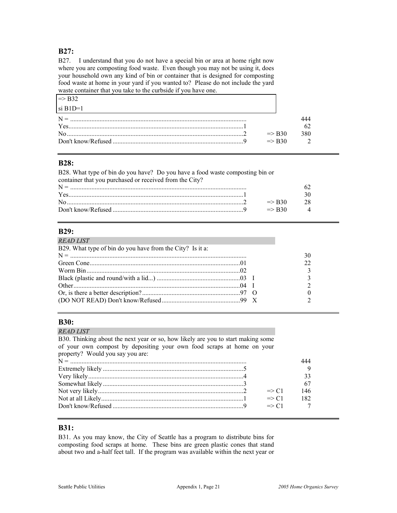## **B27:**

B27. I understand that you do not have a special bin or area at home right now where you are composting food waste. Even though you may not be using it, does your household own any kind of bin or container that is designed for composting food waste at home in your yard if you wanted to? Please do not include the yard waste container that you take to the curbside if you have one.

| $\Rightarrow$ R32 |                   |     |
|-------------------|-------------------|-----|
| $\sin B1D=1$      |                   |     |
| $N =$             |                   |     |
|                   |                   |     |
|                   | $\Rightarrow$ R30 | 380 |
|                   | $\Rightarrow$ R30 |     |

#### **B28:**

B28. What type of bin do you have? Do you have a food waste composting bin or container that you purchased or received from the City? N = ............................................................................................................ 62 Yes...........................................................................................................1 30 No............................................................................................................2 => B30 28 Don't know/Refused ................................................................................9 => B30 4

#### **B29:**

| <b>READ LIST</b>                                          |    |
|-----------------------------------------------------------|----|
| B29. What type of bin do you have from the City? Is it a: |    |
|                                                           | 30 |
|                                                           | 22 |
|                                                           |    |
|                                                           |    |
|                                                           |    |
|                                                           |    |
|                                                           |    |
|                                                           |    |

#### **B30:**

| 444 |
|-----|
|     |
| 33  |
| 67  |
| 146 |
| 182 |
|     |
|     |

#### **B31:**

B31. As you may know, the City of Seattle has a program to distribute bins for composting food scraps at home. These bins are green plastic cones that stand about two and a-half feet tall. If the program was available within the next year or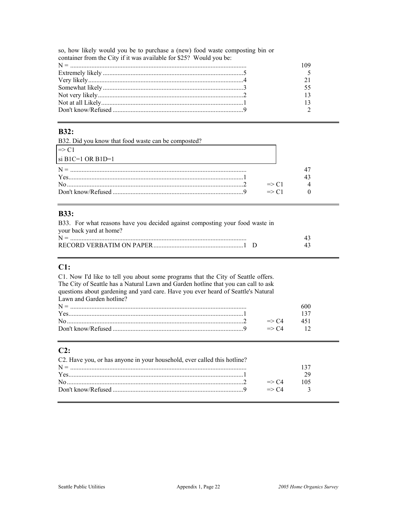so, how likely would you be to purchase a (new) food waste composting bin or container from the City if it was available for \$25? Would you be:

#### **B32:**

B32. Did you know that food waste can be composted?

| $\Rightarrow$ C1          |  |
|---------------------------|--|
| $\vert$ si B1C=1 OR B1D=1 |  |
| $N =$                     |  |
|                           |  |
| $\Rightarrow$ C1          |  |
| $\Rightarrow$ C1          |  |

## **B33:**

| B33. For what reasons have you decided against composting your food waste in |    |
|------------------------------------------------------------------------------|----|
| your back yard at home?                                                      |    |
|                                                                              | 43 |
|                                                                              | 43 |

# $C1:$

| C1. Now I'd like to tell you about some programs that the City of Seattle offers.  |                  |                |
|------------------------------------------------------------------------------------|------------------|----------------|
| The City of Seattle has a Natural Lawn and Garden hotline that you can call to ask |                  |                |
| questions about gardening and yard care. Have you ever heard of Seattle's Natural  |                  |                |
| Lawn and Garden hotline?                                                           |                  |                |
|                                                                                    |                  | 600            |
|                                                                                    |                  | 137            |
|                                                                                    | $\Rightarrow$ C4 | 451            |
|                                                                                    | $\Rightarrow$ C4 | $\frac{12}{2}$ |

# $C2:$

| C2. Have you, or has anyone in your household, ever called this hotline? |                  |     |  |
|--------------------------------------------------------------------------|------------------|-----|--|
|                                                                          |                  |     |  |
|                                                                          |                  |     |  |
|                                                                          | $\Rightarrow$ C4 | 105 |  |
|                                                                          | $\Rightarrow$ C4 |     |  |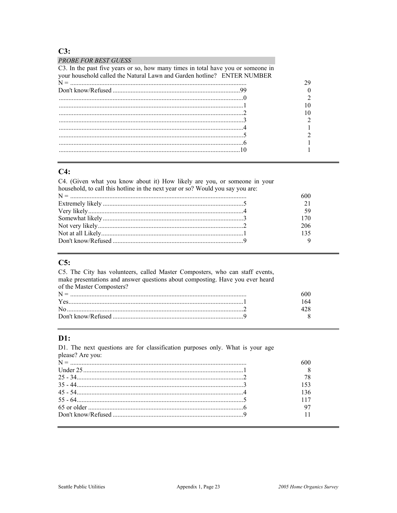## $C3:$

| <b>PROBE FOR BEST GUESS</b>                                                      |  |
|----------------------------------------------------------------------------------|--|
| C3. In the past five years or so, how many times in total have you or someone in |  |
| your household called the Natural Lawn and Garden hotline? ENTER NUMBER          |  |
|                                                                                  |  |
|                                                                                  |  |
|                                                                                  |  |
|                                                                                  |  |
|                                                                                  |  |
|                                                                                  |  |
|                                                                                  |  |
|                                                                                  |  |
|                                                                                  |  |
|                                                                                  |  |
|                                                                                  |  |

# $C4:$

C4. (Given what you know about it) How likely are you, or someone in your household, to call this hotline in the next year or so? Would you say you are:

| 206 |
|-----|
| 135 |
|     |

#### $C5:$

C5. The City has volunteers, called Master Composters, who can staff events, make presentations and answer questions about composting. Have you ever heard of the Master Composters?  $N =$ 

| $N =$ |  |
|-------|--|
|       |  |
|       |  |
|       |  |

#### **:**

D1. The next questions are for classification purposes only. What is your age please? Are you:

|  | 78  |
|--|-----|
|  | 153 |
|  | 136 |
|  | 117 |
|  |     |
|  |     |
|  |     |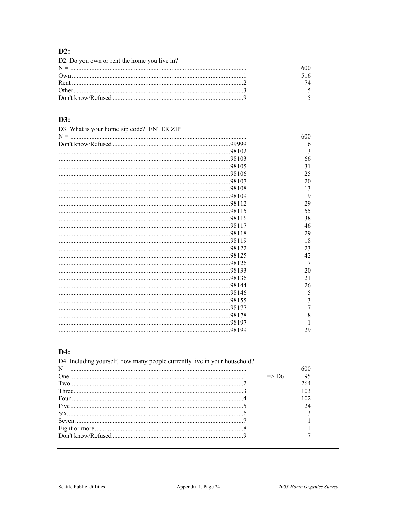# $D2$ :

| D2. Do you own or rent the home you live in? |     |
|----------------------------------------------|-----|
|                                              | 600 |
|                                              | 516 |
|                                              | 74  |
|                                              |     |
|                                              |     |

# $D3:$

| D3. What is your home zip code? ENTER ZIP |     |
|-------------------------------------------|-----|
|                                           | 600 |
|                                           | 6   |
|                                           | 13  |
|                                           | 66  |
|                                           | 31  |
|                                           | 25  |
|                                           | 20  |
|                                           | 13  |
|                                           | 9   |
|                                           | 29  |
|                                           | 55  |
|                                           | 38  |
|                                           | 46  |
|                                           | 29  |
|                                           | 18  |
|                                           | 23  |
|                                           | 42  |
|                                           | 17  |
|                                           | 20  |
|                                           | 21  |
|                                           | 26  |
|                                           | 5   |
|                                           | 3   |
|                                           |     |
|                                           | 8   |
|                                           |     |
|                                           | 29  |
|                                           |     |

# D4:

D4. Including yourself, how many people currently live in your household?

|                  | $\Rightarrow$ D6 | 95  |  |
|------------------|------------------|-----|--|
| $Tw0$ $2$        |                  | 264 |  |
|                  |                  | 103 |  |
| Four $\cdots$ 4  |                  | 102 |  |
|                  |                  | 24  |  |
|                  |                  |     |  |
| Seven $\ldots$ 7 |                  |     |  |
|                  |                  |     |  |
|                  |                  |     |  |
|                  |                  |     |  |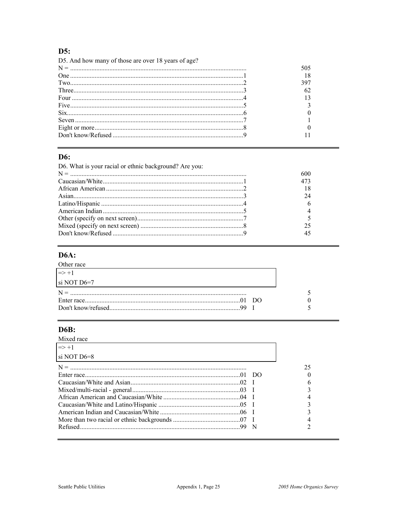# $D5:$

| D5. And how many of those are over 18 years of age? |     |
|-----------------------------------------------------|-----|
|                                                     | 505 |
|                                                     |     |
|                                                     | 397 |
|                                                     | 62  |
| Four $\cdots$ 4                                     |     |
|                                                     |     |
| $\text{Six}$ 6                                      |     |
|                                                     |     |
|                                                     |     |
|                                                     |     |

### **D6:**

| D6. What is your racial or ethnic background? Are you: |     |
|--------------------------------------------------------|-----|
|                                                        | 600 |
|                                                        | 473 |
|                                                        | 18  |
|                                                        | 24  |
|                                                        |     |
|                                                        |     |
|                                                        |     |
|                                                        | 25  |
|                                                        | 45  |
|                                                        |     |

# **D6A:**

| Other race             |  |
|------------------------|--|
| $\Rightarrow$ +1       |  |
| $\sin \text{NOT}$ D6=7 |  |
|                        |  |
|                        |  |
|                        |  |

# **D6B:**

| Mixed race       |   |    |
|------------------|---|----|
| $\Rightarrow +1$ |   |    |
| si NOT D6=8      |   |    |
|                  |   | 25 |
|                  |   |    |
|                  |   |    |
|                  |   |    |
|                  |   |    |
|                  |   |    |
|                  |   |    |
|                  |   |    |
|                  | N |    |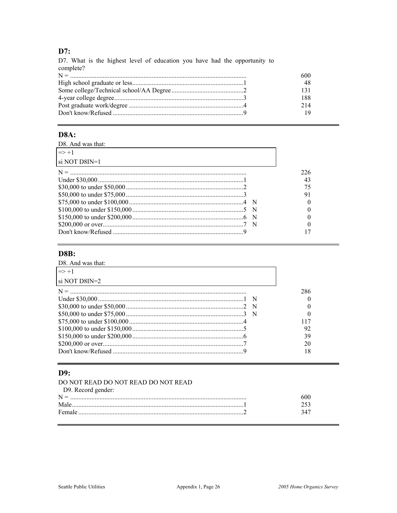# $D7:$

| D7. What is the highest level of education you have had the opportunity to |     |
|----------------------------------------------------------------------------|-----|
| complete?                                                                  |     |
|                                                                            | 600 |
|                                                                            | 48  |
|                                                                            | 131 |
|                                                                            | 188 |
|                                                                            | 214 |
|                                                                            | 19  |

### **D8A:**

| D8. And was that: |     |
|-------------------|-----|
| $\Rightarrow$ +1  |     |
| si NOT D8IN=1     |     |
|                   | 226 |
|                   | 43  |
|                   | 75  |
|                   | 91  |
|                   |     |
|                   |     |
|                   |     |
|                   |     |
|                   |     |
|                   |     |

# **D8B:**

| $\Rightarrow$ +1         |     |
|--------------------------|-----|
| $\sin \text{NOT}$ D8IN=2 |     |
|                          | 286 |
|                          |     |
|                          |     |
|                          |     |
|                          |     |
|                          | 92  |
|                          | 39  |
|                          | 20  |
|                          | 18  |

#### D9:

| DO NOT READ DO NOT READ DO NOT READ |     |
|-------------------------------------|-----|
| D9. Record gender:                  |     |
|                                     | 600 |
| Male                                |     |
|                                     | 347 |

 $\equiv$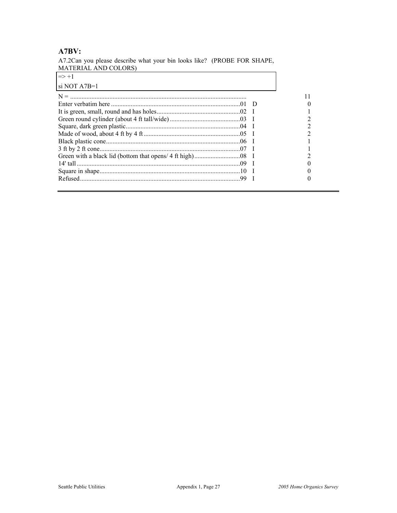# **A7BV:**

A7.2Can you please describe what your bin looks like? (PROBE FOR SHAPE, MATERIAL AND COLORS)

| $\Rightarrow +1$ |  |
|------------------|--|
| $\sin$ NOT A7B=1 |  |
|                  |  |
|                  |  |
|                  |  |
|                  |  |
|                  |  |
|                  |  |
|                  |  |
|                  |  |
|                  |  |
|                  |  |
|                  |  |
|                  |  |
|                  |  |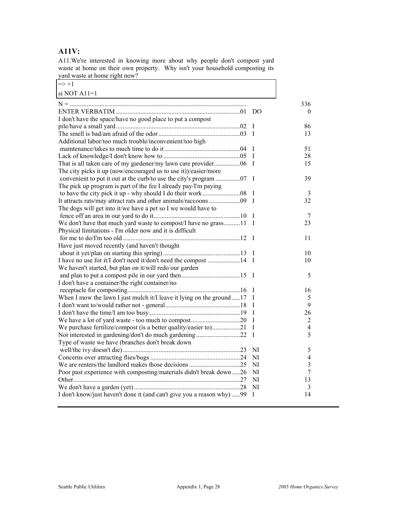# **A11V:**

A11.We're interested in knowing more about why people don't compost yard waste at home on their own property. Why isn't your household composting its yard waste at home right now? 7

| $\Rightarrow +1$                                                       |              |                |
|------------------------------------------------------------------------|--------------|----------------|
| si NOT A $11=1$                                                        |              |                |
|                                                                        |              | 336            |
|                                                                        |              | $\theta$       |
| I don't have the space/have no good place to put a compost             |              |                |
|                                                                        | I            | 86             |
|                                                                        | T            | 13             |
| Additional labor/too much trouble/inconvenient/too high                |              |                |
|                                                                        | I            | 51             |
|                                                                        | $\mathbf I$  | 28             |
|                                                                        | I            | 15             |
| The city picks it up (now/encouraged us to use it))/easier/more        |              |                |
| convenient to put it out at the curb/to use the city's program 07      | $\bf{I}$     | 39             |
| The pick up program is part of the fee I already pay/I'm paying        |              |                |
|                                                                        | I            | 3              |
|                                                                        | $\mathbf{I}$ | 32             |
| The dogs will get into it/we have a pet so I we would have to          |              |                |
|                                                                        | I            | 7              |
| We don't have that much yard waste to compost/I have no grass11        | I            | 23             |
| Physical limitations - I'm older now and it is difficult               |              |                |
|                                                                        | $\mathbf{I}$ | 11             |
| Have just moved recently (and haven't thought                          |              |                |
|                                                                        | $\bf{I}$     | 10             |
| I have no use for it/I don't need it/don't need the compost 14         | $\mathbf{I}$ | 10             |
| We haven't started, but plan on it/will redo our garden                |              |                |
|                                                                        | - 1          | 5              |
| I don't have a container/the right container/no                        |              |                |
|                                                                        | Ι            | 16             |
| When I mow the lawn I just mulch it/I leave it lying on the ground 17  | $\mathbf I$  | 5              |
|                                                                        | I            | 9              |
|                                                                        | $\mathbf I$  | 26             |
|                                                                        | $\mathbf I$  | $\overline{2}$ |
| We purchase fertilize/compost (is a better quality/easier to)21        | I            | 4              |
| Not interested in gardening/don't do much gardening22                  | I            | 5              |
| Type of waste we have (branches don't break down                       | NI           | 5              |
|                                                                        | NI           | $\overline{4}$ |
|                                                                        | NI           | 3              |
| Poor past experience with composting/materials didn't break down26     | NI           | $\overline{7}$ |
|                                                                        | NI           | 13             |
|                                                                        | NI           | 3              |
| I don't know/just haven't done it (and can't give you a reason why) 99 | I            | 14             |
|                                                                        |              |                |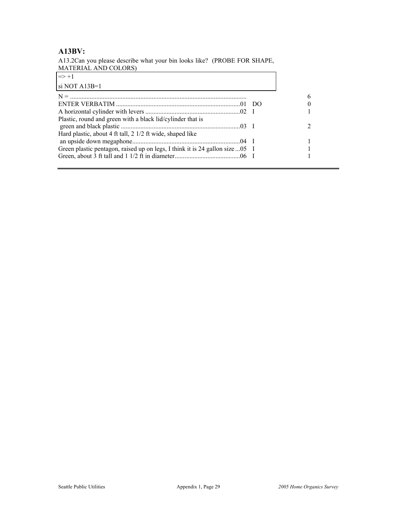### **A13BV:**

A13.2Can you please describe what your bin looks like? (PROBE FOR SHAPE, MATERIAL AND COLORS)

| $\Rightarrow$ +1                                                              |  |
|-------------------------------------------------------------------------------|--|
| si NOT A13B=1                                                                 |  |
|                                                                               |  |
|                                                                               |  |
|                                                                               |  |
| Plastic, round and green with a black lid/cylinder that is                    |  |
| Hard plastic, about 4 ft tall, 2 1/2 ft wide, shaped like                     |  |
|                                                                               |  |
| Green plastic pentagon, raised up on legs, I think it is 24 gallon size  05 I |  |
|                                                                               |  |
|                                                                               |  |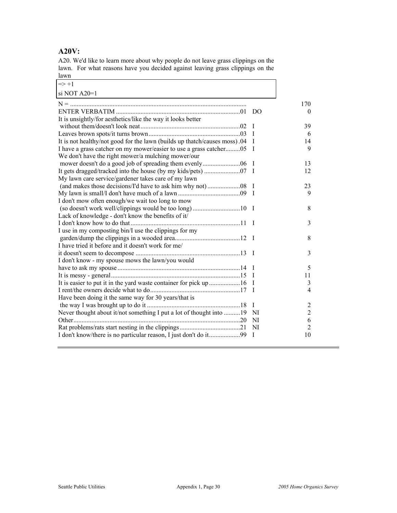# **A20V:**

A20. We'd like to learn more about why people do not leave grass clippings on the lawn. For what reasons have you decided against leaving grass clippings on the lawn

| $\Rightarrow +1$                                                          |              |                |
|---------------------------------------------------------------------------|--------------|----------------|
| si NOT A20=1                                                              |              |                |
|                                                                           |              | 170            |
|                                                                           |              | $\Omega$       |
| It is unsightly/for aesthetics/like the way it looks better               |              |                |
|                                                                           | $\mathbf I$  | 39             |
|                                                                           | $\mathbf{I}$ | 6              |
| It is not healthy/not good for the lawn (builds up thatch/causes moss).04 | $\bf I$      | 14             |
| I have a grass catcher on my mower/easier to use a grass catcher05        | $\mathbf{I}$ | 9              |
| We don't have the right mower/a mulching mower/our                        |              |                |
|                                                                           | <sup>1</sup> | 13             |
|                                                                           | $\mathbf{I}$ | 12             |
| My lawn care service/gardener takes care of my lawn                       |              |                |
|                                                                           | $\mathbf{I}$ | 23             |
|                                                                           | $\mathbf{I}$ | 9              |
| I don't mow often enough/we wait too long to mow                          |              |                |
|                                                                           |              | 8              |
| Lack of knowledge - don't know the benefits of it/                        |              |                |
|                                                                           |              | 3              |
| I use in my composting bin/I use the clippings for my                     |              |                |
|                                                                           |              | 8              |
| I have tried it before and it doesn't work for me/                        |              |                |
|                                                                           |              | 3              |
| I don't know - my spouse mows the lawn/you would                          |              |                |
|                                                                           | $\mathbf{I}$ | 5              |
|                                                                           | T            | 11             |
|                                                                           | -1           | 3              |
|                                                                           | $\mathbf I$  | 4              |
| Have been doing it the same way for 30 years/that is                      |              |                |
|                                                                           | $\mathbf I$  | 2              |
| Never thought about it/not something I put a lot of thought into 19       | - NI         | $\overline{2}$ |
|                                                                           | NI           | 6              |
|                                                                           | NI           | $\overline{2}$ |
|                                                                           | $\bf I$      | 10             |
|                                                                           |              |                |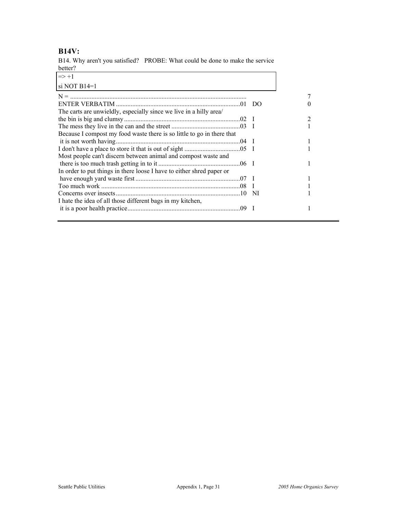# **B14V:**

B14. Why aren't you satisfied? PROBE: What could be done to make the service better?

| $\Rightarrow +1$                                                       |   |
|------------------------------------------------------------------------|---|
| si NOT $B14=1$                                                         |   |
|                                                                        |   |
|                                                                        |   |
| The carts are unwieldly, especially since we live in a hilly area/     |   |
|                                                                        | 2 |
|                                                                        |   |
| Because I compost my food waste there is so little to go in there that |   |
|                                                                        |   |
|                                                                        |   |
| Most people can't discern between animal and compost waste and         |   |
|                                                                        |   |
| In order to put things in there loose I have to either shred paper or  |   |
|                                                                        |   |
|                                                                        |   |
|                                                                        |   |
| I hate the idea of all those different bags in my kitchen,             |   |
|                                                                        |   |
|                                                                        |   |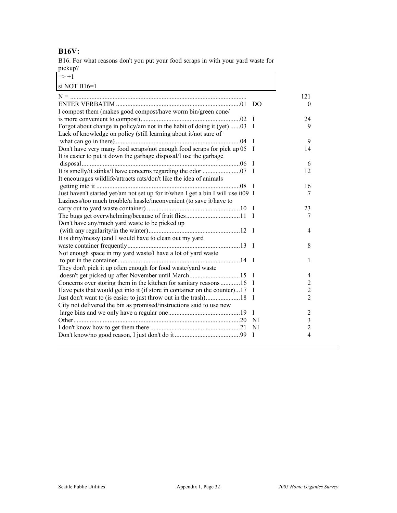### **B16V:**

B16. For what reasons don't you put your food scraps in with your yard waste for pickup?

 $\overline{\phantom{a}}$ 

 $\Rightarrow +1$ 

| si NOT B16=1                                                                     |              |                         |
|----------------------------------------------------------------------------------|--------------|-------------------------|
|                                                                                  |              | 121                     |
|                                                                                  |              | $\Omega$                |
| I compost them (makes good compost/have worm bin/green cone/                     |              |                         |
|                                                                                  | $\mathbf{I}$ | 24                      |
| Forgot about change in policy/am not in the habit of doing it (yet) 03 I         |              | 9                       |
| Lack of knowledge on policy (still learning about it/not sure of                 |              |                         |
|                                                                                  | $\mathbf{I}$ | 9                       |
| Don't have very many food scraps/not enough food scraps for pick up 05           | $\mathbf I$  | 14                      |
| It is easier to put it down the garbage disposal/I use the garbage               |              |                         |
|                                                                                  | - I          | 6                       |
|                                                                                  |              | 12                      |
| It encourages wildlife/attracts rats/don't like the idea of animals              |              |                         |
|                                                                                  | $\mathbf I$  | 16                      |
| Just haven't started yet/am not set up for it/when I get a bin I will use it09 I |              | 7                       |
| Laziness/too much trouble/a hassle/inconvenient (to save it/have to              |              |                         |
|                                                                                  |              | 23                      |
|                                                                                  |              | 7                       |
| Don't have any/much yard waste to be picked up                                   |              |                         |
|                                                                                  |              | 4                       |
| It is dirty/messy (and I would have to clean out my yard                         |              |                         |
|                                                                                  |              | 8                       |
| Not enough space in my yard waste/I have a lot of yard waste                     |              |                         |
|                                                                                  |              | 1                       |
| They don't pick it up often enough for food waste/yard waste                     |              |                         |
|                                                                                  | $\mathbf{I}$ | 4                       |
| Concerns over storing them in the kitchen for sanitary reasons 16                | $\bf I$      | 2                       |
| Have pets that would get into it (if store in container on the counter)17        | <sup>1</sup> | $\mathfrak{2}$          |
|                                                                                  | <sup>1</sup> | $\overline{2}$          |
| City not delivered the bin as promised/instructions said to use new              |              |                         |
|                                                                                  | $\mathbf I$  | $\overline{2}$          |
|                                                                                  | -NI          | $\overline{\mathbf{3}}$ |
|                                                                                  | NI           | $\overline{c}$          |
|                                                                                  | $\mathbf{I}$ | $\overline{4}$          |
|                                                                                  |              |                         |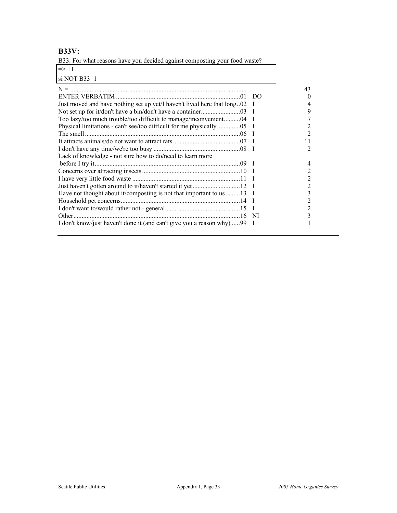# **B33V:**

B33. For what reasons have you decided against composting your food waste?

| $\Rightarrow +1$                                                        |             |                   |
|-------------------------------------------------------------------------|-------------|-------------------|
| si NOT $B33=1$                                                          |             |                   |
|                                                                         |             | 43                |
|                                                                         |             | $\mathbf{\Omega}$ |
| Just moved and have nothing set up yet/I haven't lived here that long02 |             |                   |
|                                                                         | $\mathbf I$ | 9                 |
| Too lazy/too much trouble/too difficult to manage/inconvenient04        | $\mathbf I$ |                   |
|                                                                         |             |                   |
|                                                                         |             | 2                 |
|                                                                         |             | 11                |
|                                                                         |             | 2                 |
| Lack of knowledge - not sure how to do/need to learn more               |             |                   |
|                                                                         |             |                   |
|                                                                         |             |                   |
|                                                                         |             |                   |
|                                                                         |             |                   |
| Have not thought about it/composting is not that important to us 13 I   |             |                   |
|                                                                         |             |                   |
|                                                                         |             |                   |
|                                                                         | -NI         |                   |
| I don't know/just haven't done it (and can't give you a reason why) 99  | $\perp$     |                   |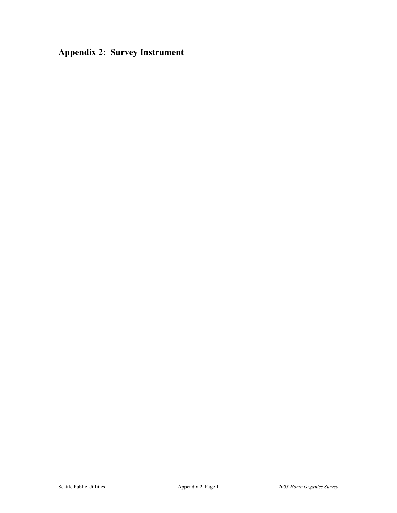**Appendix 2: Survey Instrument**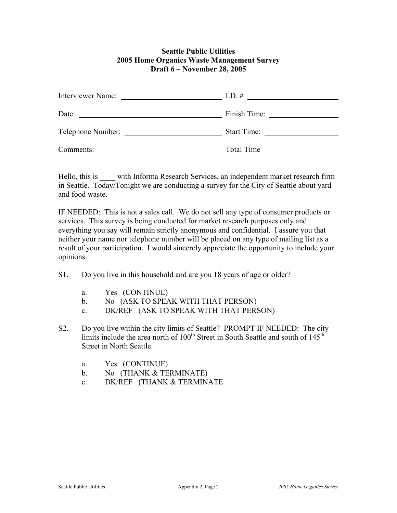#### **Seattle Public Utilities 2005 Home Organics Waste Management Survey Draft 6 – November 28, 2005**

| Interviewer Name: | I.D. $#$            |
|-------------------|---------------------|
| Date:             | Finish Time: $\_\_$ |
| Telephone Number: | <b>Start Time:</b>  |
| Comments:         | Total Time          |

Hello, this is with Informa Research Services, an independent market research firm in Seattle. Today/Tonight we are conducting a survey for the City of Seattle about yard and food waste.

IF NEEDED: This is not a sales call. We do not sell any type of consumer products or services. This survey is being conducted for market research purposes only and everything you say will remain strictly anonymous and confidential. I assure you that neither your name nor telephone number will be placed on any type of mailing list as a result of your participation. I would sincerely appreciate the opportunity to include your opinions.

- S1. Do you live in this household and are you 18 years of age or older?
	- a. Yes (CONTINUE)
	- b. No (ASK TO SPEAK WITH THAT PERSON)
	- c. DK/REF (ASK TO SPEAK WITH THAT PERSON)
- S2. Do you live within the city limits of Seattle? PROMPT IF NEEDED: The city limits include the area north of  $100<sup>th</sup>$  Street in South Seattle and south of  $145<sup>th</sup>$ Street in North Seattle.
	- a. Yes (CONTINUE)
	- b. No (THANK & TERMINATE)
	- c. DK/REF (THANK & TERMINATE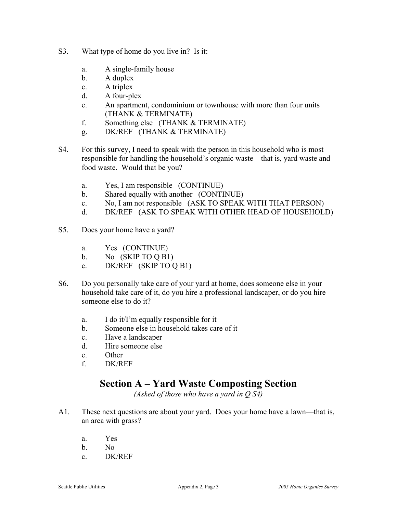- S3. What type of home do you live in? Is it:
	- a. A single-family house
	- b. A duplex
	- c. A triplex
	- d. A four-plex
	- e. An apartment, condominium or townhouse with more than four units (THANK & TERMINATE)
	- f. Something else (THANK & TERMINATE)
	- g. DK/REF (THANK & TERMINATE)
- S4. For this survey, I need to speak with the person in this household who is most responsible for handling the household's organic waste—that is, yard waste and food waste. Would that be you?
	- a. Yes, I am responsible (CONTINUE)
	- b. Shared equally with another (CONTINUE)
	- c. No, I am not responsible (ASK TO SPEAK WITH THAT PERSON)
	- d. DK/REF (ASK TO SPEAK WITH OTHER HEAD OF HOUSEHOLD)
- S5. Does your home have a yard?
	- a. Yes (CONTINUE)
	- b. No (SKIP TO Q B1)
	- c. DK/REF (SKIP TO Q B1)
- S6. Do you personally take care of your yard at home, does someone else in your household take care of it, do you hire a professional landscaper, or do you hire someone else to do it?
	- a. I do it/I'm equally responsible for it
	- b. Someone else in household takes care of it
	- c. Have a landscaper
	- d. Hire someone else
	- e. Other
	- f. DK/REF

# **Section A – Yard Waste Composting Section**

*(Asked of those who have a yard in Q S4)* 

- A1. These next questions are about your yard. Does your home have a lawn—that is, an area with grass?
	- a. Yes
	- b. No
	- c. DK/REF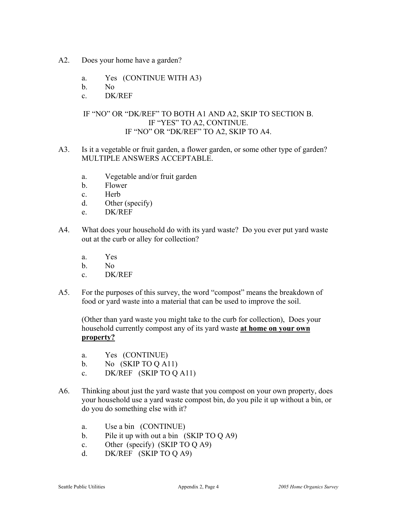- A2. Does your home have a garden?
	- a. Yes (CONTINUE WITH A3)
	- b. No
	- c. DK/REF

### IF "NO" OR "DK/REF" TO BOTH A1 AND A2, SKIP TO SECTION B. IF "YES" TO A2, CONTINUE. IF "NO" OR "DK/REF" TO A2, SKIP TO A4.

- A3. Is it a vegetable or fruit garden, a flower garden, or some other type of garden? MULTIPLE ANSWERS ACCEPTABLE.
	- a. Vegetable and/or fruit garden
	- b. Flower
	- c. Herb
	- d. Other (specify)
	- e. DK/REF
- A4. What does your household do with its yard waste? Do you ever put yard waste out at the curb or alley for collection?
	- a. Yes
	- b. No
	- c. DK/REF
- A5. For the purposes of this survey, the word "compost" means the breakdown of food or yard waste into a material that can be used to improve the soil.

 (Other than yard waste you might take to the curb for collection), Does your household currently compost any of its yard waste **at home on your own property?**

- a. Yes (CONTINUE)
- b. No  $(SKIP TO Q A11)$
- c. DK/REF (SKIP TO Q A11)
- A6. Thinking about just the yard waste that you compost on your own property, does your household use a yard waste compost bin, do you pile it up without a bin, or do you do something else with it?
	- a. Use a bin (CONTINUE)
	- b. Pile it up with out a bin (SKIP TO Q A9)
	- c. Other (specify) (SKIP TO Q A9)
	- d. DK/REF (SKIP TO Q A9)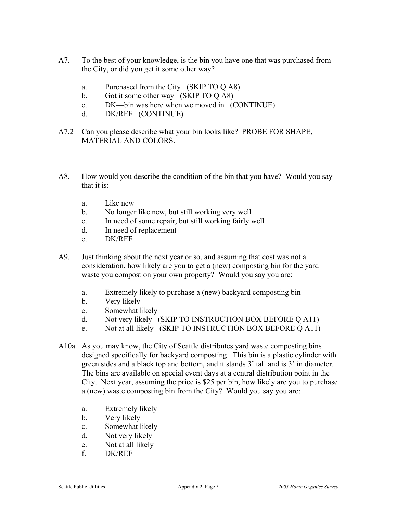- A7. To the best of your knowledge, is the bin you have one that was purchased from the City, or did you get it some other way?
	- a. Purchased from the City (SKIP TO Q A8)
	- b. Got it some other way (SKIP TO Q A8)
	- c. DK—bin was here when we moved in (CONTINUE)
	- d. DK/REF (CONTINUE)
- A7.2 Can you please describe what your bin looks like? PROBE FOR SHAPE, MATERIAL AND COLORS.
- A8. How would you describe the condition of the bin that you have? Would you say that it is:
	- a. Like new
	- b. No longer like new, but still working very well
	- c. In need of some repair, but still working fairly well
	- d. In need of replacement
	- e. DK/REF
- A9. Just thinking about the next year or so, and assuming that cost was not a consideration, how likely are you to get a (new) composting bin for the yard waste you compost on your own property? Would you say you are:
	- a. Extremely likely to purchase a (new) backyard composting bin
	- b. Very likely
	- c. Somewhat likely
	- d. Not very likely (SKIP TO INSTRUCTION BOX BEFORE Q A11)
	- e. Not at all likely (SKIP TO INSTRUCTION BOX BEFORE Q A11)
- A10a. As you may know, the City of Seattle distributes yard waste composting bins designed specifically for backyard composting. This bin is a plastic cylinder with green sides and a black top and bottom, and it stands 3' tall and is 3' in diameter. The bins are available on special event days at a central distribution point in the City. Next year, assuming the price is \$25 per bin, how likely are you to purchase a (new) waste composting bin from the City? Would you say you are:
	- a. Extremely likely
	- b. Very likely
	- c. Somewhat likely
	- d. Not very likely
	- e. Not at all likely
	- f. DK/REF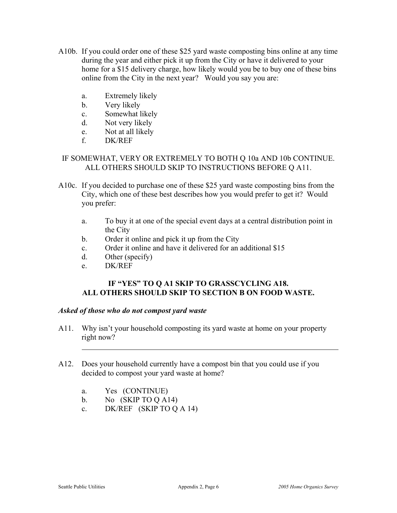- A10b. If you could order one of these \$25 yard waste composting bins online at any time during the year and either pick it up from the City or have it delivered to your home for a \$15 delivery charge, how likely would you be to buy one of these bins online from the City in the next year? Would you say you are:
	- a. Extremely likely
	- b. Very likely
	- c. Somewhat likely
	- d. Not very likely
	- e. Not at all likely
	- f. DK/REF

### IF SOMEWHAT, VERY OR EXTREMELY TO BOTH Q 10a AND 10b CONTINUE. ALL OTHERS SHOULD SKIP TO INSTRUCTIONS BEFORE Q A11.

- A10c. If you decided to purchase one of these \$25 yard waste composting bins from the City, which one of these best describes how you would prefer to get it? Would you prefer:
	- a. To buy it at one of the special event days at a central distribution point in the City
	- b. Order it online and pick it up from the City
	- c. Order it online and have it delivered for an additional \$15
	- d. Other (specify)
	- e. DK/REF

### **IF "YES" TO Q A1 SKIP TO GRASSCYCLING A18. ALL OTHERS SHOULD SKIP TO SECTION B ON FOOD WASTE.**

#### *Asked of those who do not compost yard waste*

- A11. Why isn't your household composting its yard waste at home on your property right now?
- A12. Does your household currently have a compost bin that you could use if you decided to compost your yard waste at home?
	- a. Yes (CONTINUE)
	- b. No  $(SKIP TO Q A14)$
	- c. DK/REF (SKIP TO Q A 14)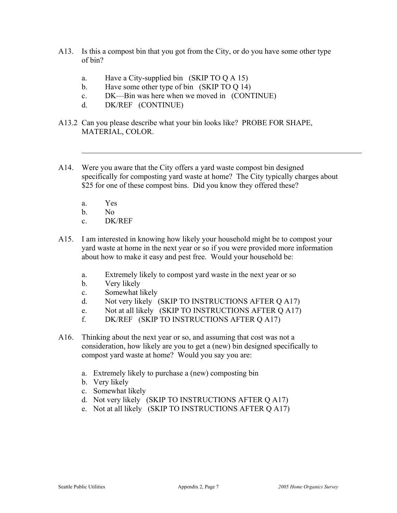- A13. Is this a compost bin that you got from the City, or do you have some other type of bin?
	- a. Have a City-supplied bin (SKIP TO Q A 15)
	- b. Have some other type of bin (SKIP TO O 14)
	- c. DK—Bin was here when we moved in (CONTINUE)
	- d. DK/REF (CONTINUE)
- A13.2 Can you please describe what your bin looks like? PROBE FOR SHAPE, MATERIAL, COLOR.
- A14. Were you aware that the City offers a yard waste compost bin designed specifically for composting yard waste at home? The City typically charges about \$25 for one of these compost bins. Did you know they offered these?
	- a. Yes
	- b. No
	- c. DK/REF
- A15. I am interested in knowing how likely your household might be to compost your yard waste at home in the next year or so if you were provided more information about how to make it easy and pest free. Would your household be:
	- a. Extremely likely to compost yard waste in the next year or so
	- b. Very likely
	- c. Somewhat likely
	- d. Not very likely (SKIP TO INSTRUCTIONS AFTER Q A17)
	- e. Not at all likely (SKIP TO INSTRUCTIONS AFTER Q A17)
	- f. DK/REF (SKIP TO INSTRUCTIONS AFTER Q A17)
- A16. Thinking about the next year or so, and assuming that cost was not a consideration, how likely are you to get a (new) bin designed specifically to compost yard waste at home? Would you say you are:
	- a. Extremely likely to purchase a (new) composting bin
	- b. Very likely
	- c. Somewhat likely
	- d. Not very likely (SKIP TO INSTRUCTIONS AFTER Q A17)
	- e. Not at all likely (SKIP TO INSTRUCTIONS AFTER Q A17)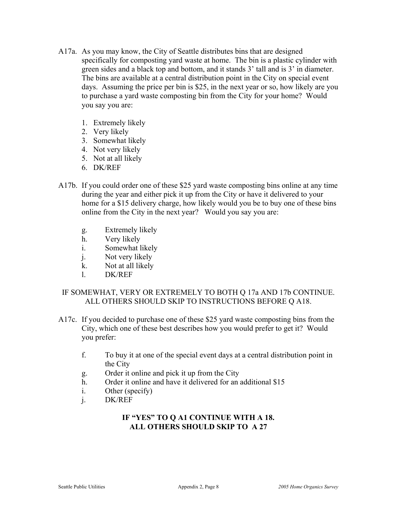- A17a. As you may know, the City of Seattle distributes bins that are designed specifically for composting yard waste at home. The bin is a plastic cylinder with green sides and a black top and bottom, and it stands 3' tall and is 3' in diameter. The bins are available at a central distribution point in the City on special event days. Assuming the price per bin is \$25, in the next year or so, how likely are you to purchase a yard waste composting bin from the City for your home? Would you say you are:
	- 1. Extremely likely
	- 2. Very likely
	- 3. Somewhat likely
	- 4. Not very likely
	- 5. Not at all likely
	- 6. DK/REF
- A17b. If you could order one of these \$25 yard waste composting bins online at any time during the year and either pick it up from the City or have it delivered to your home for a \$15 delivery charge, how likely would you be to buy one of these bins online from the City in the next year? Would you say you are:
	- g. Extremely likely
	- h. Very likely
	- i. Somewhat likely
	- j. Not very likely
	- k. Not at all likely
	- l. DK/REF

### IF SOMEWHAT, VERY OR EXTREMELY TO BOTH Q 17a AND 17b CONTINUE. ALL OTHERS SHOULD SKIP TO INSTRUCTIONS BEFORE Q A18.

- A17c. If you decided to purchase one of these \$25 yard waste composting bins from the City, which one of these best describes how you would prefer to get it? Would you prefer:
	- f. To buy it at one of the special event days at a central distribution point in the City
	- g. Order it online and pick it up from the City
	- h. Order it online and have it delivered for an additional \$15
	- i. Other (specify)
	- j. DK/REF

### **IF "YES" TO Q A1 CONTINUE WITH A 18. ALL OTHERS SHOULD SKIP TO A 27**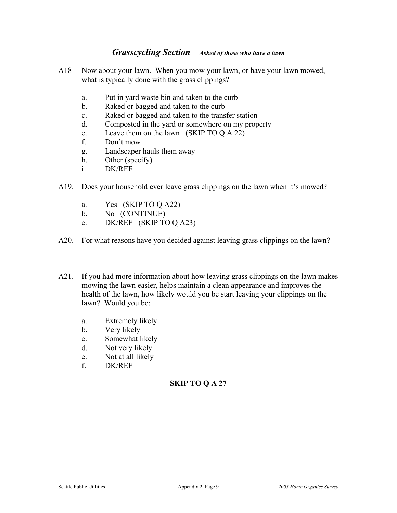#### *Grasscycling Section—Asked of those who have a lawn*

- A18 Now about your lawn. When you mow your lawn, or have your lawn mowed, what is typically done with the grass clippings?
	- a. Put in yard waste bin and taken to the curb
	- b. Raked or bagged and taken to the curb
	- c. Raked or bagged and taken to the transfer station
	- d. Composted in the yard or somewhere on my property
	- e. Leave them on the lawn (SKIP TO Q A 22)
	- f. Don't mow
	- g. Landscaper hauls them away
	- h. Other (specify)
	- i. DK/REF
- A19. Does your household ever leave grass clippings on the lawn when it's mowed?
	- a. Yes (SKIP TO Q A22)
	- b. No (CONTINUE)
	- c. DK/REF (SKIP TO Q A23)
- A20. For what reasons have you decided against leaving grass clippings on the lawn?
- A21. If you had more information about how leaving grass clippings on the lawn makes mowing the lawn easier, helps maintain a clean appearance and improves the health of the lawn, how likely would you be start leaving your clippings on the lawn? Would you be:
	- a. Extremely likely
	- b. Very likely
	- c. Somewhat likely
	- d. Not very likely
	- e. Not at all likely
	- f. DK/REF

#### **SKIP TO Q A 27**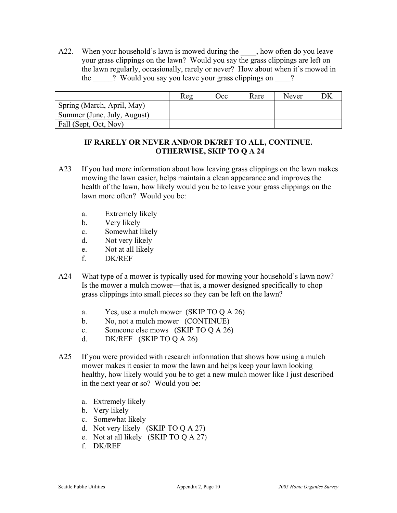A22. When your household's lawn is mowed during the sample both and you leave your grass clippings on the lawn? Would you say the grass clippings are left on the lawn regularly, occasionally, rarely or never? How about when it's mowed in the **Would you say you leave your grass clippings on** ?

|                             | Reg | Occ | Rare | Never |  |
|-----------------------------|-----|-----|------|-------|--|
| Spring (March, April, May)  |     |     |      |       |  |
| Summer (June, July, August) |     |     |      |       |  |
| Fall (Sept, Oct, Nov)       |     |     |      |       |  |

### **IF RARELY OR NEVER AND/OR DK/REF TO ALL, CONTINUE. OTHERWISE, SKIP TO Q A 24**

- A23 If you had more information about how leaving grass clippings on the lawn makes mowing the lawn easier, helps maintain a clean appearance and improves the health of the lawn, how likely would you be to leave your grass clippings on the lawn more often? Would you be:
	- a. Extremely likely
	- b. Very likely
	- c. Somewhat likely
	- d. Not very likely
	- e. Not at all likely
	- f. DK/REF
- A24 What type of a mower is typically used for mowing your household's lawn now? Is the mower a mulch mower—that is, a mower designed specifically to chop grass clippings into small pieces so they can be left on the lawn?
	- a. Yes, use a mulch mower (SKIP TO Q A 26)
	- b. No, not a mulch mower (CONTINUE)
	- c. Someone else mows (SKIP TO Q A 26)
	- d. DK/REF (SKIP TO Q A 26)
- A25 If you were provided with research information that shows how using a mulch mower makes it easier to mow the lawn and helps keep your lawn looking healthy, how likely would you be to get a new mulch mower like I just described in the next year or so? Would you be:
	- a. Extremely likely
	- b. Very likely
	- c. Somewhat likely
	- d. Not very likely (SKIP TO Q A 27)
	- e. Not at all likely (SKIP TO Q A 27)
	- f. DK/REF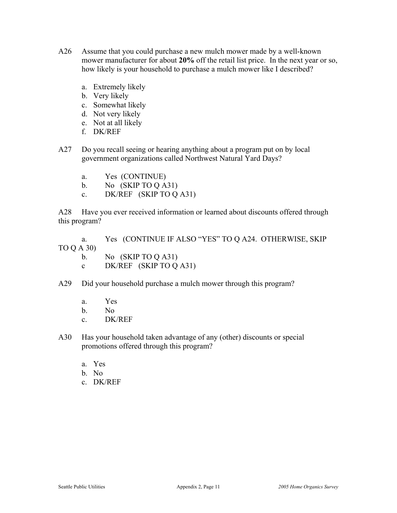- A26 Assume that you could purchase a new mulch mower made by a well-known mower manufacturer for about **20%** off the retail list price. In the next year or so, how likely is your household to purchase a mulch mower like I described?
	- a. Extremely likely
	- b. Very likely
	- c. Somewhat likely
	- d. Not very likely
	- e. Not at all likely
	- f. DK/REF
- A27 Do you recall seeing or hearing anything about a program put on by local government organizations called Northwest Natural Yard Days?
	- a. Yes (CONTINUE)
	- b. No  $(SKIP TO Q A31)$
	- c. DK/REF (SKIP TO Q A31)

A28 Have you ever received information or learned about discounts offered through this program?

 a. Yes (CONTINUE IF ALSO "YES" TO Q A24. OTHERWISE, SKIP TO Q A 30)

- b. No  $(SKIP TO Q A31)$
- c DK/REF (SKIP TO Q A31)
- A29 Did your household purchase a mulch mower through this program?
	- a. Yes
	- b. No
	- c. DK/REF
- A30 Has your household taken advantage of any (other) discounts or special promotions offered through this program?
	- a. Yes
	- b. No
	- c. DK/REF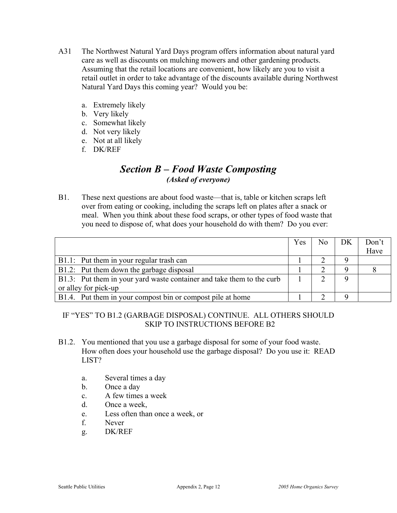- A31 The Northwest Natural Yard Days program offers information about natural yard care as well as discounts on mulching mowers and other gardening products. Assuming that the retail locations are convenient, how likely are you to visit a retail outlet in order to take advantage of the discounts available during Northwest Natural Yard Days this coming year? Would you be:
	- a. Extremely likely
	- b. Very likely
	- c. Somewhat likely
	- d. Not very likely
	- e. Not at all likely
	- f. DK/REF

# *Section B – Food Waste Composting (Asked of everyone)*

B1. These next questions are about food waste—that is, table or kitchen scraps left over from eating or cooking, including the scraps left on plates after a snack or meal. When you think about these food scraps, or other types of food waste that you need to dispose of, what does your household do with them? Do you ever:

|                                                                       | Yes | No. | DK | Don't |
|-----------------------------------------------------------------------|-----|-----|----|-------|
|                                                                       |     |     |    | Have  |
| B1.1: Put them in your regular trash can                              |     |     |    |       |
| B1.2: Put them down the garbage disposal                              |     |     |    |       |
| B1.3: Put them in your yard waste container and take them to the curb |     |     |    |       |
| or alley for pick-up                                                  |     |     |    |       |
| B1.4. Put them in your compost bin or compost pile at home            |     |     |    |       |

### IF "YES" TO B1.2 (GARBAGE DISPOSAL) CONTINUE. ALL OTHERS SHOULD SKIP TO INSTRUCTIONS BEFORE B2

- B1.2. You mentioned that you use a garbage disposal for some of your food waste. How often does your household use the garbage disposal? Do you use it: READ LIST?
	- a. Several times a day
	- b. Once a day
	- c. A few times a week
	- d. Once a week,
	- e. Less often than once a week, or
	- f. Never
	- g. DK/REF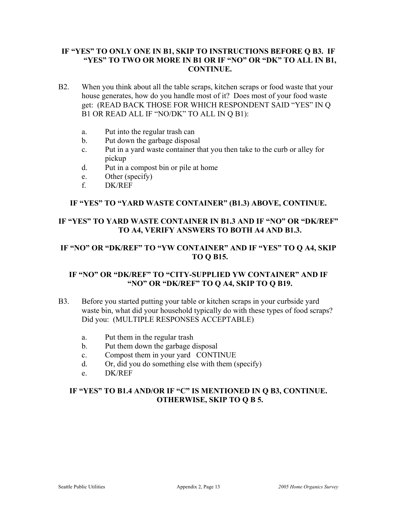### **IF "YES" TO ONLY ONE IN B1, SKIP TO INSTRUCTIONS BEFORE Q B3. IF "YES" TO TWO OR MORE IN B1 OR IF "NO" OR "DK" TO ALL IN B1, CONTINUE.**

- B2. When you think about all the table scraps, kitchen scraps or food waste that your house generates, how do you handle most of it? Does most of your food waste get: (READ BACK THOSE FOR WHICH RESPONDENT SAID "YES" IN Q B1 OR READ ALL IF "NO/DK" TO ALL IN Q B1):
	- a. Put into the regular trash can
	- b. Put down the garbage disposal
	- c. Put in a yard waste container that you then take to the curb or alley for pickup
	- d. Put in a compost bin or pile at home
	- e. Other (specify)
	- f. DK/REF

#### **IF "YES" TO "YARD WASTE CONTAINER" (B1.3) ABOVE, CONTINUE.**

### **IF "YES" TO YARD WASTE CONTAINER IN B1.3 AND IF "NO" OR "DK/REF" TO A4, VERIFY ANSWERS TO BOTH A4 AND B1.3.**

### **IF "NO" OR "DK/REF" TO "YW CONTAINER" AND IF "YES" TO Q A4, SKIP TO Q B15.**

### **IF "NO" OR "DK/REF" TO "CITY-SUPPLIED YW CONTAINER" AND IF "NO" OR "DK/REF" TO Q A4, SKIP TO Q B19.**

- B3. Before you started putting your table or kitchen scraps in your curbside yard waste bin, what did your household typically do with these types of food scraps? Did you: (MULTIPLE RESPONSES ACCEPTABLE)
	- a. Put them in the regular trash
	- b. Put them down the garbage disposal
	- c. Compost them in your yard CONTINUE
	- d. Or, did you do something else with them (specify)
	- e. DK/REF

### **IF "YES" TO B1.4 AND/OR IF "C" IS MENTIONED IN Q B3, CONTINUE. OTHERWISE, SKIP TO Q B 5.**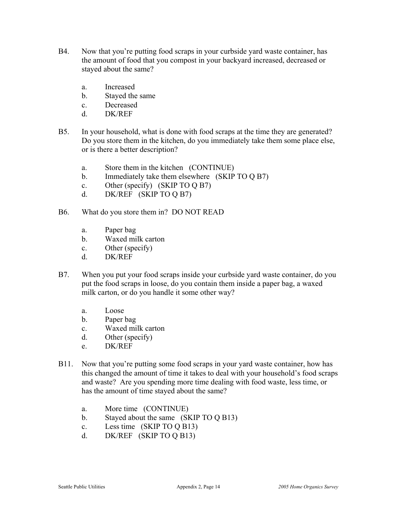- B4. Now that you're putting food scraps in your curbside yard waste container, has the amount of food that you compost in your backyard increased, decreased or stayed about the same?
	- a. Increased
	- b. Stayed the same
	- c. Decreased
	- d. DK/REF
- B5. In your household, what is done with food scraps at the time they are generated? Do you store them in the kitchen, do you immediately take them some place else, or is there a better description?
	- a. Store them in the kitchen (CONTINUE)
	- b. Immediately take them elsewhere (SKIP TO Q B7)
	- c. Other (specify) (SKIP TO Q B7)
	- d. DK/REF (SKIP TO Q B7)
- B6. What do you store them in? DO NOT READ
	- a. Paper bag
	- b. Waxed milk carton
	- c. Other (specify)
	- d. DK/REF
- B7. When you put your food scraps inside your curbside yard waste container, do you put the food scraps in loose, do you contain them inside a paper bag, a waxed milk carton, or do you handle it some other way?
	- a. Loose
	- b. Paper bag
	- c. Waxed milk carton
	- d. Other (specify)
	- e. DK/REF
- B11. Now that you're putting some food scraps in your yard waste container, how has this changed the amount of time it takes to deal with your household's food scraps and waste? Are you spending more time dealing with food waste, less time, or has the amount of time stayed about the same?
	- a. More time (CONTINUE)
	- b. Stayed about the same (SKIP TO Q B13)
	- c. Less time (SKIP TO Q B13)
	- d. DK/REF (SKIP TO Q B13)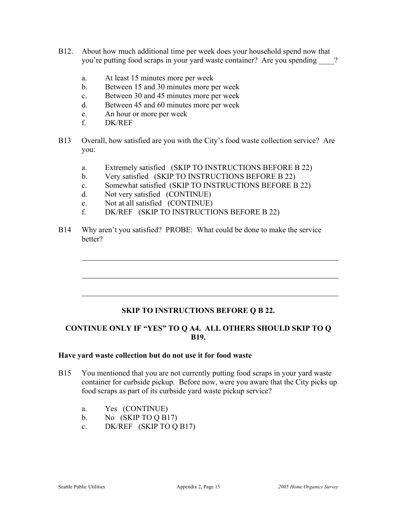- B12. About how much additional time per week does your household spend now that you're putting food scraps in your yard waste container? Are you spending \_\_\_\_?
	- a. At least 15 minutes more per week
	- b. Between 15 and 30 minutes more per week
	- c. Between 30 and 45 minutes more per week
	- d. Between 45 and 60 minutes more per week
	- e. An hour or more per week
	- f. DK/REF
- B13 Overall, how satisfied are you with the City's food waste collection service? Are you:
	- a. Extremely satisfied (SKIP TO INSTRUCTIONS BEFORE B 22)
	- b. Very satisfied (SKIP TO INSTRUCTIONS BEFORE B 22)
	- c. Somewhat satisfied (SKIP TO INSTRUCTIONS BEFORE B 22)
	- d. Not very satisfied (CONTINUE)
	- e. Not at all satisfied (CONTINUE)
	- f. DK/REF (SKIP TO INSTRUCTIONS BEFORE B 22)
- B14 Why aren't you satisfied? PROBE: What could be done to make the service better?

### **SKIP TO INSTRUCTIONS BEFORE Q B 22.**

### **CONTINUE ONLY IF "YES" TO Q A4. ALL OTHERS SHOULD SKIP TO Q B19.**

#### **Have yard waste collection but do not use it for food waste**

- B15 You mentioned that you are not currently putting food scraps in your yard waste container for curbside pickup. Before now, were you aware that the City picks up food scraps as part of its curbside yard waste pickup service?
	- a. Yes (CONTINUE)
	- b. No (SKIP TO Q B17)
	- c. DK/REF (SKIP TO Q B17)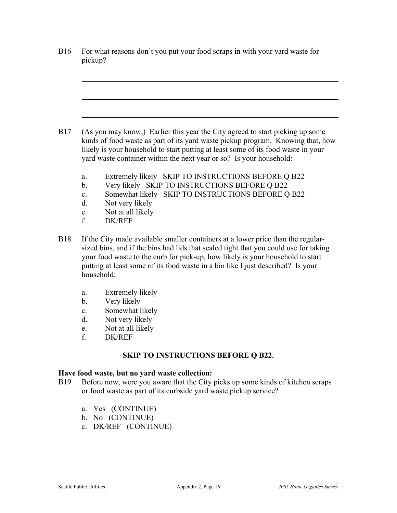|                                                                         | For what reasons don't you put your food scraps in with your yard waste for<br>pickup?                                                                                                                                                                                                                                                                      |
|-------------------------------------------------------------------------|-------------------------------------------------------------------------------------------------------------------------------------------------------------------------------------------------------------------------------------------------------------------------------------------------------------------------------------------------------------|
|                                                                         |                                                                                                                                                                                                                                                                                                                                                             |
|                                                                         | (As you may know,) Earlier this year the City agreed to start picking up some<br>kinds of food waste as part of its yard waste pickup program. Knowing that, how<br>likely is your household to start putting at least some of its food waste in your<br>yard waste container within the next year or so? Is your household:                                |
| a.<br>$b_{\cdot}$<br>$\mathbf{c}$ .<br>$d_{\cdot}$<br>e.<br>$f_{\cdot}$ | Extremely likely SKIP TO INSTRUCTIONS BEFORE Q B22<br>Very likely SKIP TO INSTRUCTIONS BEFORE Q B22<br>Somewhat likely SKIP TO INSTRUCTIONS BEFORE Q B22<br>Not very likely<br>Not at all likely<br><b>DK/REF</b>                                                                                                                                           |
|                                                                         | If the City made available smaller containers at a lower price than the regular-<br>sized bins, and if the bins had lids that sealed tight that you could use for taking<br>your food waste to the curb for pick-up, how likely is your household to start<br>putting at least some of its food waste in a bin like I just described? Is your<br>household: |
| a.<br>$b_{\cdot}$<br>$\mathbf{c}$ .<br>d.<br>e.<br>f.                   | Extremely likely<br>Very likely<br>Somewhat likely<br>Not very likely<br>Not at all likely<br><b>DK/REF</b>                                                                                                                                                                                                                                                 |
|                                                                         | <b>SKIP TO INSTRUCTIONS BEFORE Q B22.</b>                                                                                                                                                                                                                                                                                                                   |
|                                                                         | Have food waste, but no yard waste collection:<br>Before now, were you aware that the City picks up some kinds of kitchen scraps<br>or food waste as part of its curbside yard waste pickup service?                                                                                                                                                        |
|                                                                         | a. Yes (CONTINUE)                                                                                                                                                                                                                                                                                                                                           |

- b. No (CONTINUE)
- c. DK/REF (CONTINUE)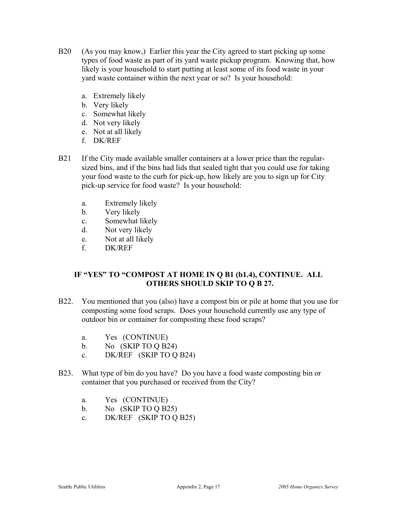- B20 (As you may know,) Earlier this year the City agreed to start picking up some types of food waste as part of its yard waste pickup program. Knowing that, how likely is your household to start putting at least some of its food waste in your yard waste container within the next year or so? Is your household:
	- a. Extremely likely
	- b. Very likely
	- c. Somewhat likely
	- d. Not very likely
	- e. Not at all likely
	- f. DK/REF
- B21 If the City made available smaller containers at a lower price than the regularsized bins, and if the bins had lids that sealed tight that you could use for taking your food waste to the curb for pick-up, how likely are you to sign up for City pick-up service for food waste? Is your household:
	- a. Extremely likely
	- b. Very likely
	- c. Somewhat likely
	- d. Not very likely
	- e. Not at all likely
	- f. DK/REF

### **IF "YES" TO "COMPOST AT HOME IN Q B1 (b1.4), CONTINUE. ALL OTHERS SHOULD SKIP TO Q B 27.**

- B22. You mentioned that you (also) have a compost bin or pile at home that you use for composting some food scraps. Does your household currently use any type of outdoor bin or container for composting these food scraps?
	- a. Yes (CONTINUE)
	- b. No (SKIP TO Q B24)
	- c. DK/REF (SKIP TO Q B24)
- B23. What type of bin do you have? Do you have a food waste composting bin or container that you purchased or received from the City?
	- a. Yes (CONTINUE)
	- b. No (SKIP TO Q B25)
	- c. DK/REF (SKIP TO Q B25)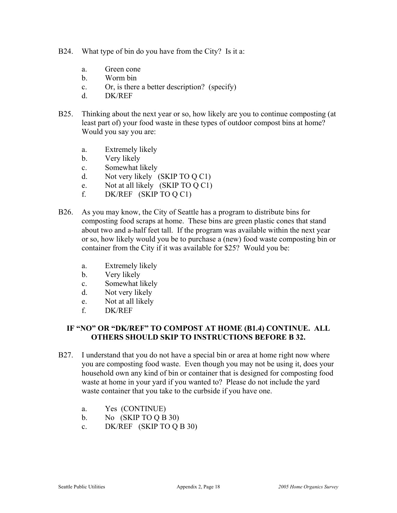- B24. What type of bin do you have from the City? Is it a:
	- a. Green cone
	- b. Worm bin
	- c. Or, is there a better description? (specify)
	- d. DK/REF
- B25. Thinking about the next year or so, how likely are you to continue composting (at least part of) your food waste in these types of outdoor compost bins at home? Would you say you are:
	- a. Extremely likely
	- b. Very likely
	- c. Somewhat likely
	- d. Not very likely (SKIP TO Q C1)
	- e. Not at all likely (SKIP TO Q C1)
	- f. DK/REF (SKIP TO Q C1)
- B26. As you may know, the City of Seattle has a program to distribute bins for composting food scraps at home. These bins are green plastic cones that stand about two and a-half feet tall. If the program was available within the next year or so, how likely would you be to purchase a (new) food waste composting bin or container from the City if it was available for \$25? Would you be:
	- a. Extremely likely
	- b. Very likely
	- c. Somewhat likely
	- d. Not very likely
	- e. Not at all likely
	- f. DK/REF

### **IF "NO" OR "DK/REF" TO COMPOST AT HOME (B1.4) CONTINUE. ALL OTHERS SHOULD SKIP TO INSTRUCTIONS BEFORE B 32.**

- B27. I understand that you do not have a special bin or area at home right now where you are composting food waste. Even though you may not be using it, does your household own any kind of bin or container that is designed for composting food waste at home in your yard if you wanted to? Please do not include the yard waste container that you take to the curbside if you have one.
	- a. Yes (CONTINUE)
	- b. No (SKIP TO Q B 30)
	- c. DK/REF (SKIP TO Q B 30)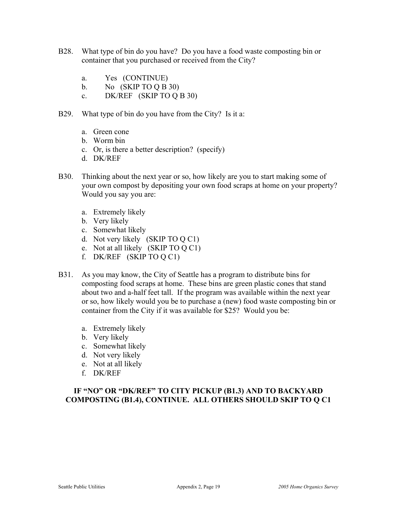- B28. What type of bin do you have? Do you have a food waste composting bin or container that you purchased or received from the City?
	- a. Yes (CONTINUE)
	- b. No  $(SKIPTOOB 30)$
	- c. DK/REF (SKIP TO Q B 30)
- B29. What type of bin do you have from the City? Is it a:
	- a. Green cone
	- b. Worm bin
	- c. Or, is there a better description? (specify)
	- d. DK/REF
- B30. Thinking about the next year or so, how likely are you to start making some of your own compost by depositing your own food scraps at home on your property? Would you say you are:
	- a. Extremely likely
	- b. Very likely
	- c. Somewhat likely
	- d. Not very likely (SKIP TO Q C1)
	- e. Not at all likely (SKIP TO Q C1)
	- f. DK/REF (SKIP TO Q C1)
- B31. As you may know, the City of Seattle has a program to distribute bins for composting food scraps at home. These bins are green plastic cones that stand about two and a-half feet tall. If the program was available within the next year or so, how likely would you be to purchase a (new) food waste composting bin or container from the City if it was available for \$25? Would you be:
	- a. Extremely likely
	- b. Very likely
	- c. Somewhat likely
	- d. Not very likely
	- e. Not at all likely
	- f. DK/REF

#### **IF "NO" OR "DK/REF" TO CITY PICKUP (B1.3) AND TO BACKYARD COMPOSTING (B1.4), CONTINUE. ALL OTHERS SHOULD SKIP TO Q C1**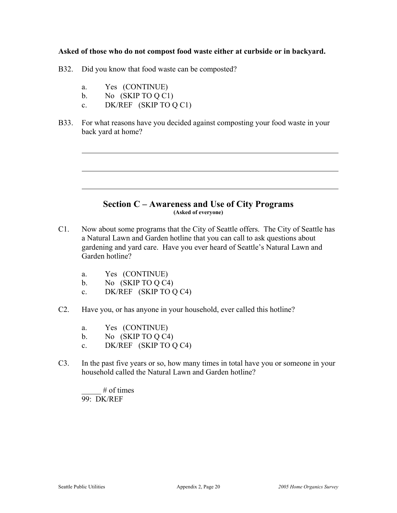#### **Asked of those who do not compost food waste either at curbside or in backyard.**

- B32. Did you know that food waste can be composted?
	- a. Yes (CONTINUE)
	- b. No (SKIP TO Q C1)
	- c. DK/REF (SKIP TO Q C1)
- B33. For what reasons have you decided against composting your food waste in your back yard at home?

#### **Section C – Awareness and Use of City Programs (Asked of everyone)**

- C1. Now about some programs that the City of Seattle offers. The City of Seattle has a Natural Lawn and Garden hotline that you can call to ask questions about gardening and yard care. Have you ever heard of Seattle's Natural Lawn and Garden hotline?
	- a. Yes (CONTINUE)
	- b. No (SKIP TO Q C4)
	- c. DK/REF (SKIP TO Q C4)
- C2. Have you, or has anyone in your household, ever called this hotline?
	- a. Yes (CONTINUE)
	- b. No  $(SKIP TO Q C4)$
	- c. DK/REF (SKIP TO Q C4)
- C3. In the past five years or so, how many times in total have you or someone in your household called the Natural Lawn and Garden hotline?

 $\#$  of times 99: DK/REF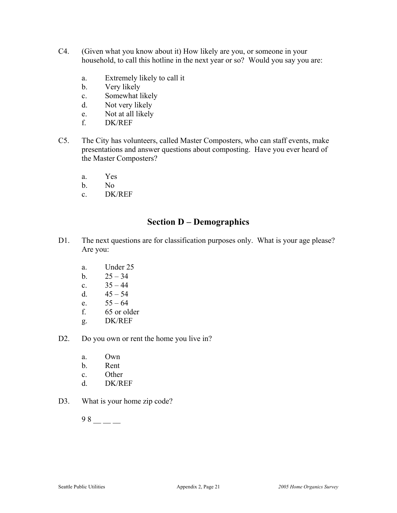- C4. (Given what you know about it) How likely are you, or someone in your household, to call this hotline in the next year or so? Would you say you are:
	- a. Extremely likely to call it
	- b. Very likely
	- c. Somewhat likely
	- d. Not very likely
	- e. Not at all likely
	- f. DK/REF
- C5. The City has volunteers, called Master Composters, who can staff events, make presentations and answer questions about composting. Have you ever heard of the Master Composters?
	- a. Yes
	- b. No
	- c. DK/REF

# **Section D – Demographics**

- D1. The next questions are for classification purposes only. What is your age please? Are you:
	- a. Under 25
	- b.  $25 34$
	- c.  $35 44$
	- d.  $45 54$
	- e.  $55 64$
	- f. 65 or older
	- g. DK/REF
- D2. Do you own or rent the home you live in?
	- a. Own
	- b. Rent
	- c. Other
	- d. DK/REF
- D3. What is your home zip code?

 $98 - -$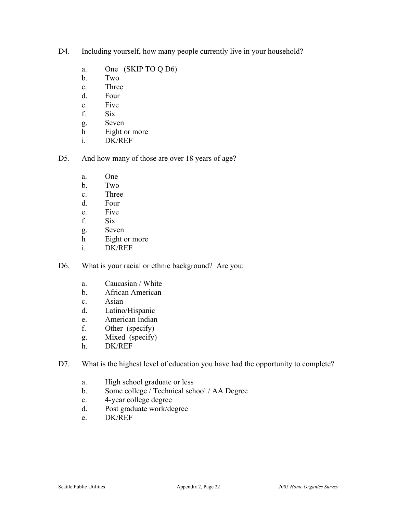- D4. Including yourself, how many people currently live in your household?
	- a. One (SKIP TO Q D6)
	- b. Two
	- c. Three
	- d. Four
	- e. Five
	- f. Six
	- g. Seven
	- h Eight or more
	- i. DK/REF
- D5. And how many of those are over 18 years of age?
	- a. One
	- b. Two
	- c. Three
	- d. Four
	- e. Five
	- f. Six
	- g. Seven
	- h Eight or more
	- i. DK/REF
- D6. What is your racial or ethnic background? Are you:
	- a. Caucasian / White
	- b. African American
	- c. Asian
	- d. Latino/Hispanic
	- e. American Indian
	- f. Other (specify)
	- g. Mixed (specify)
	- h. DK/REF
- D7. What is the highest level of education you have had the opportunity to complete?
	- a. High school graduate or less
	- b. Some college / Technical school / AA Degree
	- c. 4-year college degree
	- d. Post graduate work/degree
	- e. DK/REF